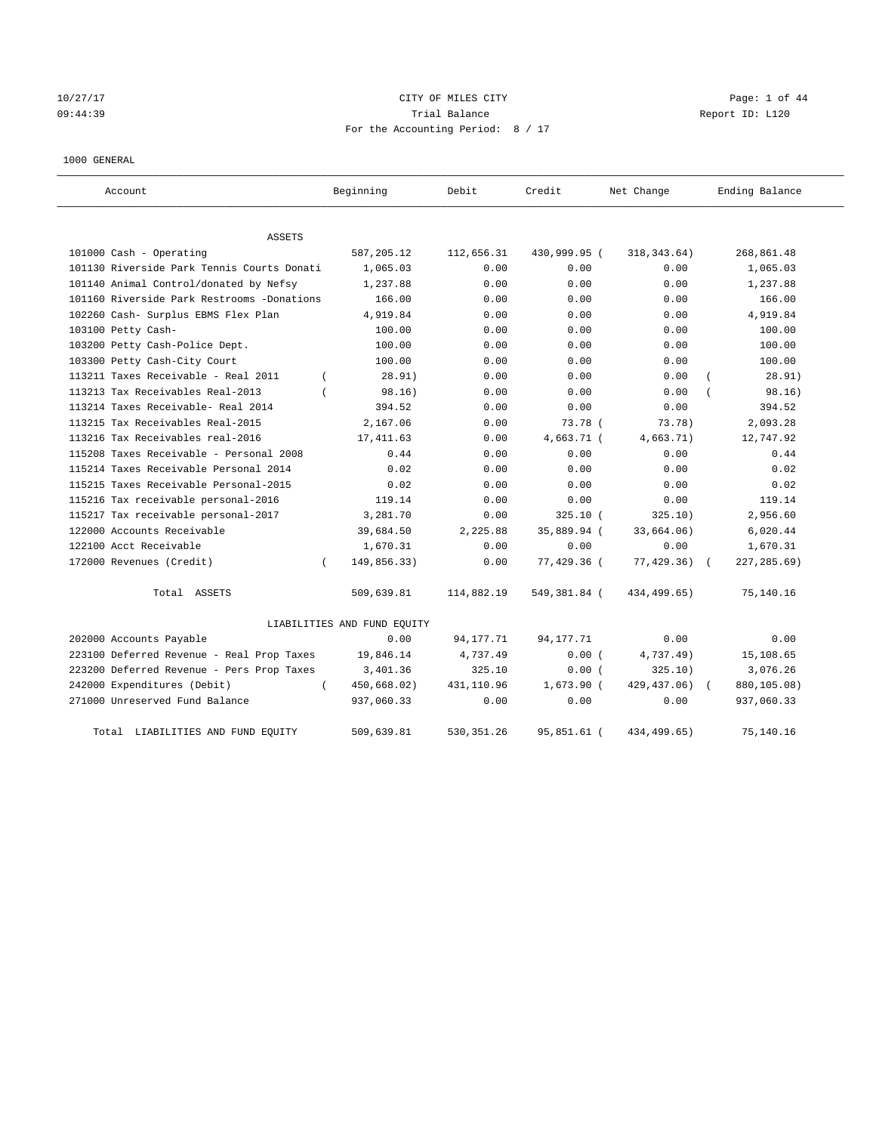# 10/27/17 CITY OF MILES CITY Page: 1 of 44 09:44:39 Trial Balance Report ID: L120 For the Accounting Period: 8 / 17

#### 1000 GENERAL

| Account                                    | Beginning                   | Debit       | Credit       | Net Change   | Ending Balance  |
|--------------------------------------------|-----------------------------|-------------|--------------|--------------|-----------------|
| <b>ASSETS</b>                              |                             |             |              |              |                 |
| 101000 Cash - Operating                    | 587,205.12                  | 112,656.31  | 430,999.95 ( | 318, 343.64) | 268,861.48      |
| 101130 Riverside Park Tennis Courts Donati | 1,065.03                    | 0.00        | 0.00         | 0.00         | 1,065.03        |
| 101140 Animal Control/donated by Nefsy     | 1,237.88                    | 0.00        | 0.00         | 0.00         | 1,237.88        |
| 101160 Riverside Park Restrooms -Donations | 166.00                      | 0.00        | 0.00         | 0.00         | 166.00          |
| 102260 Cash- Surplus EBMS Flex Plan        | 4,919.84                    | 0.00        | 0.00         | 0.00         | 4,919.84        |
| 103100 Petty Cash-                         | 100.00                      | 0.00        | 0.00         | 0.00         | 100.00          |
| 103200 Petty Cash-Police Dept.             | 100.00                      | 0.00        | 0.00         | 0.00         | 100.00          |
| 103300 Petty Cash-City Court               | 100.00                      | 0.00        | 0.00         | 0.00         | 100.00          |
| 113211 Taxes Receivable - Real 2011        | 28.91)<br>$\left($          | 0.00        | 0.00         | 0.00         | 28.91)          |
| 113213 Tax Receivables Real-2013           | 98.16)                      | 0.00        | 0.00         | 0.00         | 98.16)          |
| 113214 Taxes Receivable- Real 2014         | 394.52                      | 0.00        | 0.00         | 0.00         | 394.52          |
| 113215 Tax Receivables Real-2015           | 2,167.06                    | 0.00        | 73.78 (      | 73.78)       | 2,093.28        |
| 113216 Tax Receivables real-2016           | 17, 411.63                  | 0.00        | 4,663.71 (   | 4,663.71)    | 12,747.92       |
| 115208 Taxes Receivable - Personal 2008    | 0.44                        | 0.00        | 0.00         | 0.00         | 0.44            |
| 115214 Taxes Receivable Personal 2014      | 0.02                        | 0.00        | 0.00         | 0.00         | 0.02            |
| 115215 Taxes Receivable Personal-2015      | 0.02                        | 0.00        | 0.00         | 0.00         | 0.02            |
| 115216 Tax receivable personal-2016        | 119.14                      | 0.00        | 0.00         | 0.00         | 119.14          |
| 115217 Tax receivable personal-2017        | 3,281.70                    | 0.00        | $325.10$ (   | 325.10)      | 2,956.60        |
| 122000 Accounts Receivable                 | 39,684.50                   | 2,225.88    | 35,889.94 (  | 33,664.06)   | 6,020.44        |
| 122100 Acct Receivable                     | 1,670.31                    | 0.00        | 0.00         | 0.00         | 1,670.31        |
| 172000 Revenues (Credit)                   | 149,856.33)<br>$\left($     | 0.00        | 77,429.36 (  | 77, 429.36)  | $227, 285.69$ ) |
| Total ASSETS                               | 509,639.81                  | 114,882.19  | 549,381.84 ( | 434,499.65)  | 75,140.16       |
|                                            | LIABILITIES AND FUND EQUITY |             |              |              |                 |
| 202000 Accounts Payable                    | 0.00                        | 94, 177. 71 | 94, 177. 71  | 0.00         | 0.00            |
| 223100 Deferred Revenue - Real Prop Taxes  | 19,846.14                   | 4,737.49    | 0.00(        | 4,737.49)    | 15,108.65       |
| 223200 Deferred Revenue - Pers Prop Taxes  | 3,401.36                    | 325.10      | 0.00(        | 325.10)      | 3,076.26        |
| 242000 Expenditures (Debit)                | 450,668.02)<br>$\left($     | 431,110.96  | $1,673.90$ ( | 429, 437.06) | 880,105.08)     |
| 271000 Unreserved Fund Balance             | 937,060.33                  | 0.00        | 0.00         | 0.00         | 937,060.33      |
| LIABILITIES AND FUND EQUITY<br>Total       | 509,639.81                  | 530, 351.26 | 95,851.61 (  | 434, 499.65) | 75,140.16       |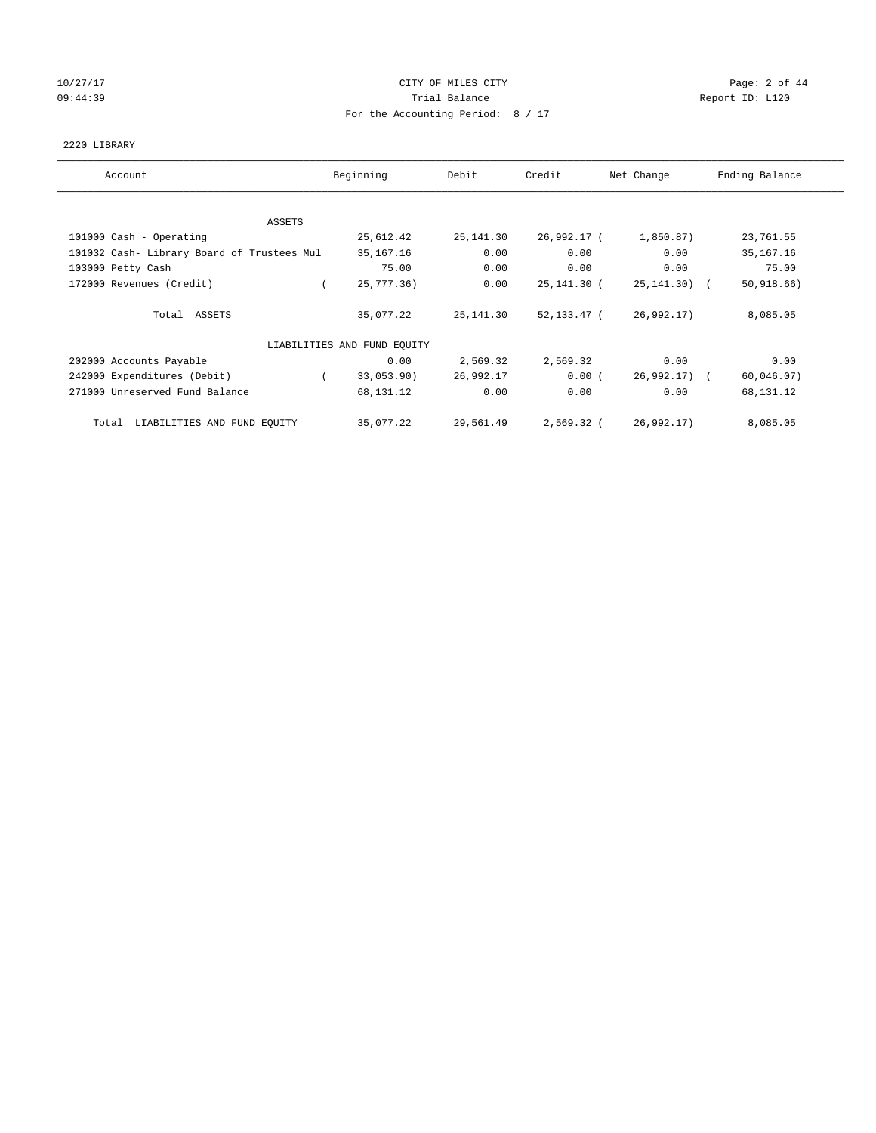# 10/27/17 Page: 2 of 44 09:44:39 Report ID: L120 For the Accounting Period: 8 / 17

#### 2220 LIBRARY

| Account                                    | Beginning                   | Debit      | Credit      | Net Change      | Ending Balance |
|--------------------------------------------|-----------------------------|------------|-------------|-----------------|----------------|
|                                            |                             |            |             |                 |                |
| ASSETS                                     |                             |            |             |                 |                |
| 101000 Cash - Operating                    | 25,612.42                   | 25, 141.30 | 26,992.17 ( | 1,850.87)       | 23,761.55      |
| 101032 Cash- Library Board of Trustees Mul | 35, 167. 16                 | 0.00       | 0.00        | 0.00            | 35, 167. 16    |
| 103000 Petty Cash                          | 75.00                       | 0.00       | 0.00        | 0.00            | 75.00          |
| 172000 Revenues (Credit)                   | 25,777.36)                  | 0.00       | 25,141.30 ( | $25, 141, 30$ ( | 50, 918.66     |
| Total ASSETS                               | 35,077.22                   | 25,141.30  | 52,133.47 ( | 26,992.17)      | 8,085.05       |
|                                            | LIABILITIES AND FUND EQUITY |            |             |                 |                |
| 202000 Accounts Payable                    | 0.00                        | 2,569.32   | 2,569.32    | 0.00            | 0.00           |
| 242000 Expenditures (Debit)                | 33,053.90)                  | 26,992.17  | 0.00(       | 26,992.17) (    | 60,046.07)     |
| 271000 Unreserved Fund Balance             | 68,131.12                   | 0.00       | 0.00        | 0.00            | 68,131.12      |
| LIABILITIES AND FUND EQUITY<br>Total       | 35,077.22                   | 29,561.49  | 2,569.32 (  | 26,992.17)      | 8,085.05       |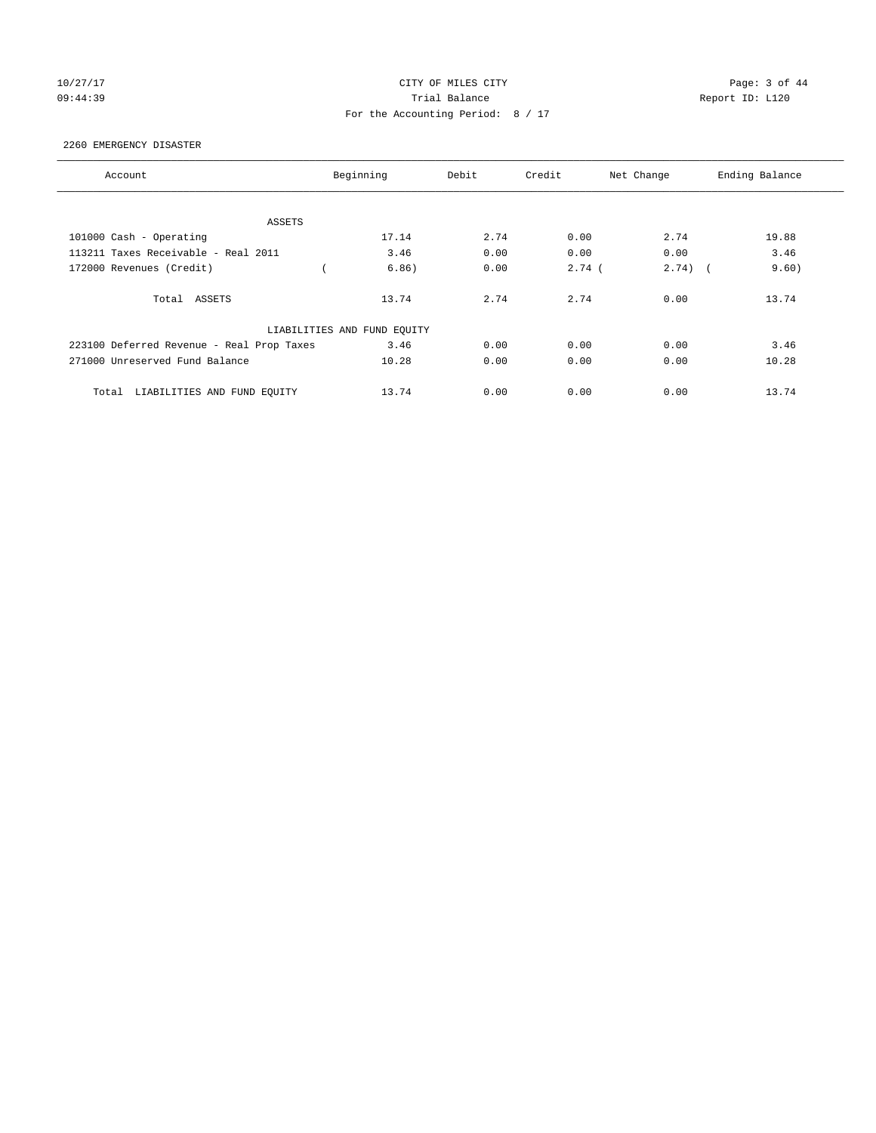# 10/27/17 Page: 3 of 44 09:44:39 Report ID: L120 For the Accounting Period: 8 / 17

#### 2260 EMERGENCY DISASTER

| Account                                   | Beginning                   | Debit | Credit   | Net Change | Ending Balance |
|-------------------------------------------|-----------------------------|-------|----------|------------|----------------|
|                                           |                             |       |          |            |                |
| ASSETS                                    |                             |       |          |            |                |
| 101000 Cash - Operating                   | 17.14                       | 2.74  | 0.00     | 2.74       | 19.88          |
| 113211 Taxes Receivable - Real 2011       | 3.46                        | 0.00  | 0.00     | 0.00       | 3.46           |
| 172000 Revenues (Credit)                  | 6.86)                       | 0.00  | $2.74$ ( | $2.74)$ (  | 9.60)          |
| Total ASSETS                              | 13.74                       | 2.74  | 2.74     | 0.00       | 13.74          |
|                                           | LIABILITIES AND FUND EQUITY |       |          |            |                |
| 223100 Deferred Revenue - Real Prop Taxes | 3.46                        | 0.00  | 0.00     | 0.00       | 3.46           |
| 271000 Unreserved Fund Balance            | 10.28                       | 0.00  | 0.00     | 0.00       | 10.28          |
| LIABILITIES AND FUND EQUITY<br>Total      | 13.74                       | 0.00  | 0.00     | 0.00       | 13.74          |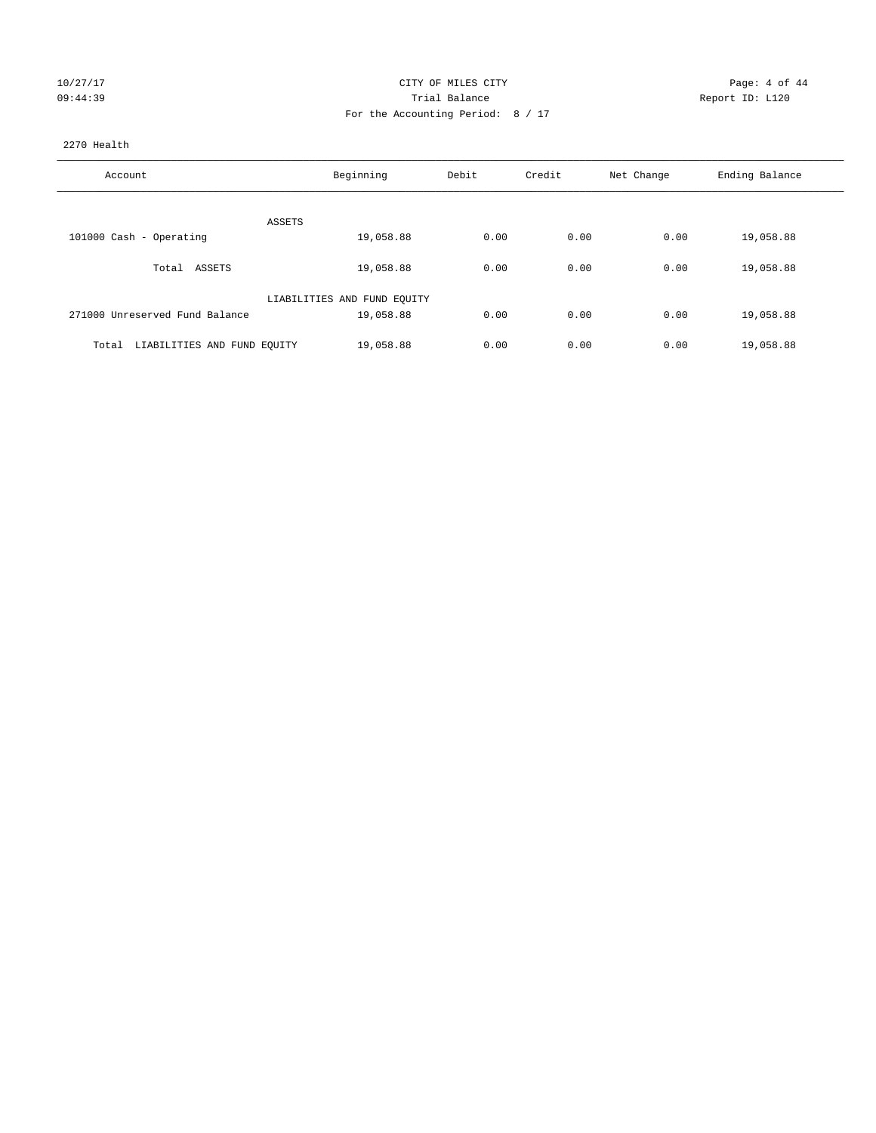| 10/27/17 |  |  |
|----------|--|--|
| 09:44:39 |  |  |

#### CITY OF MILES CITY CONTROL CONTROL CITY CONTROL PAGE: 4 of 44 09:44:39 Trial Balance Report ID: L120 For the Accounting Period: 8 / 17

#### 2270 Health

| Account                              | Beginning                   | Debit | Credit | Net Change | Ending Balance |
|--------------------------------------|-----------------------------|-------|--------|------------|----------------|
|                                      |                             |       |        |            |                |
|                                      | ASSETS                      |       |        |            |                |
| 101000 Cash - Operating              | 19,058.88                   | 0.00  | 0.00   | 0.00       | 19,058.88      |
| Total ASSETS                         | 19,058.88                   | 0.00  | 0.00   | 0.00       | 19,058.88      |
|                                      | LIABILITIES AND FUND EQUITY |       |        |            |                |
| 271000 Unreserved Fund Balance       | 19,058.88                   | 0.00  | 0.00   | 0.00       | 19,058.88      |
|                                      |                             |       |        |            |                |
| LIABILITIES AND FUND EQUITY<br>Total | 19,058.88                   | 0.00  | 0.00   | 0.00       | 19,058.88      |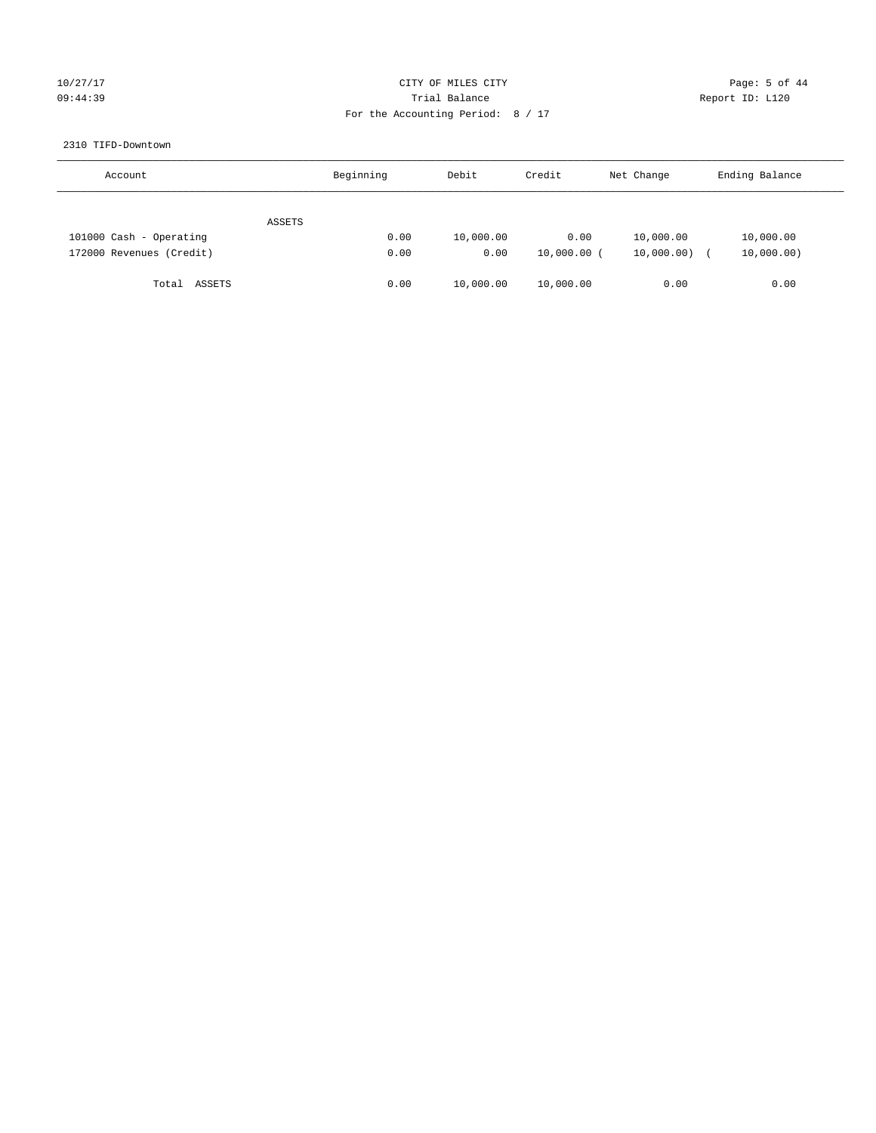# 10/27/17 Page: 5 of 44 09:44:39 Trial Balance Report ID: L120 For the Accounting Period: 8 / 17

#### 2310 TIFD-Downtown

| Account                  | Beginning | Debit     | Credit        | Net Change | Ending Balance |
|--------------------------|-----------|-----------|---------------|------------|----------------|
| ASSETS                   |           |           |               |            |                |
| 101000 Cash - Operating  | 0.00      | 10,000.00 | 0.00          | 10,000.00  | 10,000.00      |
| 172000 Revenues (Credit) | 0.00      | 0.00      | $10,000.00$ ( | 10,000.00) | 10,000.00)     |
| Total ASSETS             | 0.00      | 10,000.00 | 10,000.00     | 0.00       | 0.00           |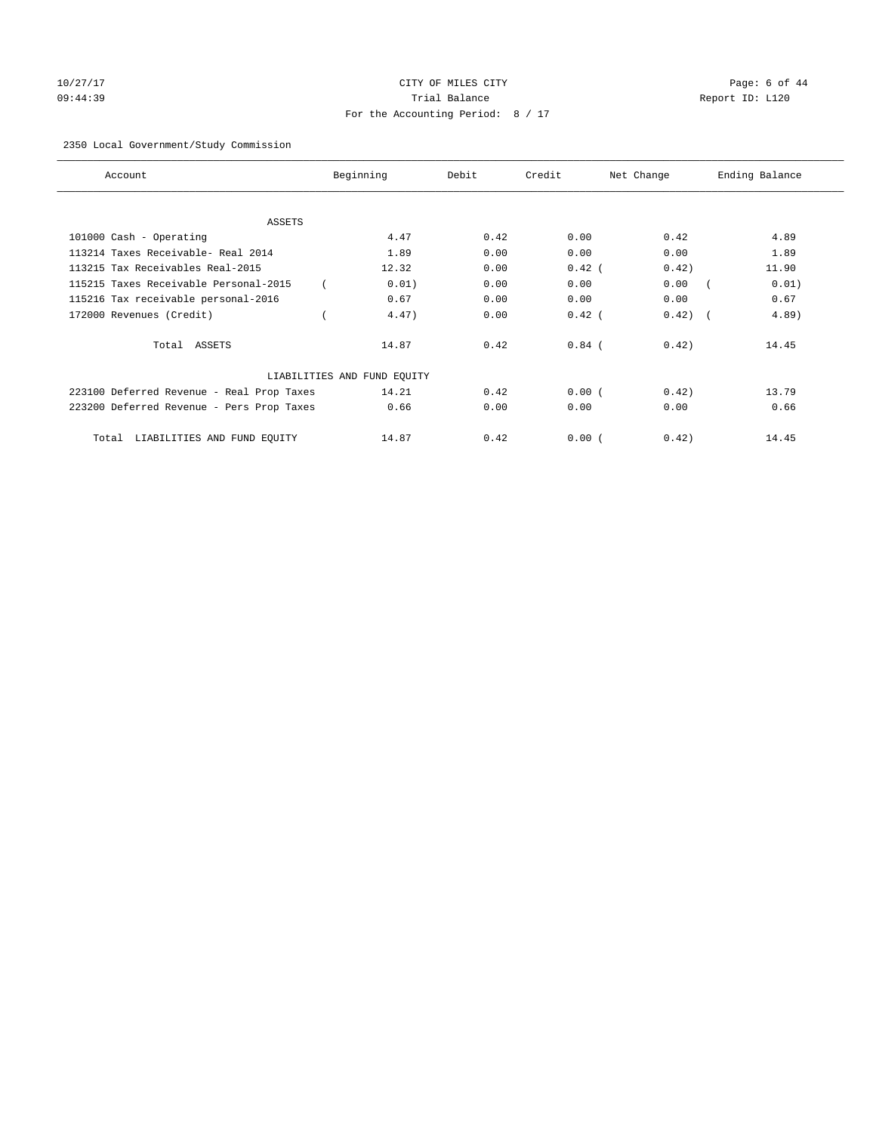# 10/27/17 Page: 6 of 44 09:44:39 Trial Balance Report ID: L120 For the Accounting Period: 8 / 17

#### 2350 Local Government/Study Commission

| Account                                   | Beginning                   | Debit | Credit   | Net Change | Ending Balance |
|-------------------------------------------|-----------------------------|-------|----------|------------|----------------|
| <b>ASSETS</b>                             |                             |       |          |            |                |
| 101000 Cash - Operating                   | 4.47                        | 0.42  | 0.00     | 0.42       | 4.89           |
| 113214 Taxes Receivable- Real 2014        | 1.89                        | 0.00  | 0.00     | 0.00       | 1.89           |
| 113215 Tax Receivables Real-2015          | 12.32                       | 0.00  | $0.42$ ( | 0.42)      | 11.90          |
| 115215 Taxes Receivable Personal-2015     | 0.01)                       | 0.00  | 0.00     | 0.00       | 0.01)          |
| 115216 Tax receivable personal-2016       | 0.67                        | 0.00  | 0.00     | 0.00       | 0.67           |
| 172000 Revenues (Credit)                  | 4.47)                       | 0.00  | $0.42$ ( | 0.42)      | 4.89)          |
| Total ASSETS                              | 14.87                       | 0.42  | $0.84$ ( | 0.42)      | 14.45          |
|                                           | LIABILITIES AND FUND EQUITY |       |          |            |                |
| 223100 Deferred Revenue - Real Prop Taxes | 14.21                       | 0.42  | 0.00(    | 0.42)      | 13.79          |
| 223200 Deferred Revenue - Pers Prop Taxes | 0.66                        | 0.00  | 0.00     | 0.00       | 0.66           |
| LIABILITIES AND FUND EQUITY<br>Total      | 14.87                       | 0.42  | 0.00(    | 0.42)      | 14.45          |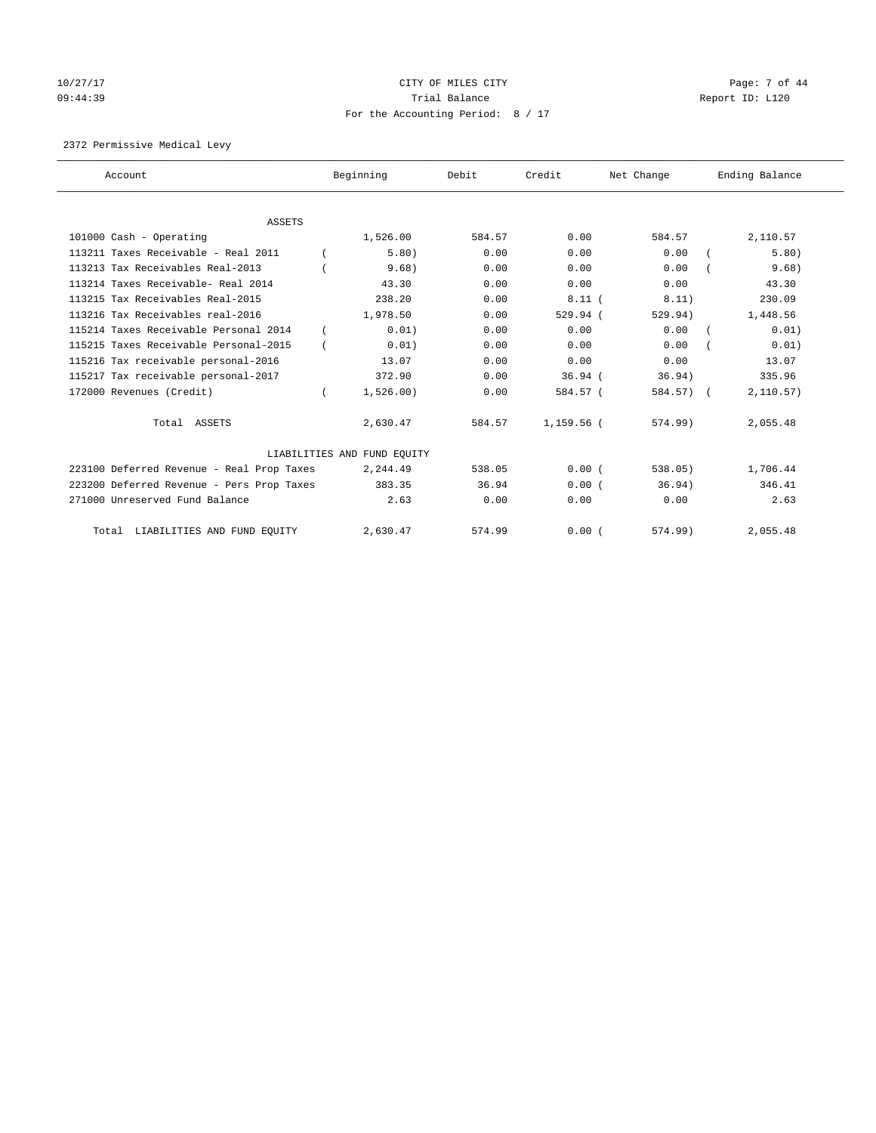# $10/27/17$  Page: 7 of 44 09:44:39 Report ID: L120 For the Accounting Period: 8 / 17

2372 Permissive Medical Levy

| Account                                   |            | Beginning                   | Debit  | Credit     | Net Change | Ending Balance |
|-------------------------------------------|------------|-----------------------------|--------|------------|------------|----------------|
|                                           |            |                             |        |            |            |                |
| <b>ASSETS</b>                             |            |                             |        |            |            |                |
| 101000 Cash - Operating                   |            | 1,526.00                    | 584.57 | 0.00       | 584.57     | 2,110.57       |
| 113211 Taxes Receivable - Real 2011       |            | 5.80)                       | 0.00   | 0.00       | 0.00       | 5.80)          |
| 113213 Tax Receivables Real-2013          |            | 9.68)                       | 0.00   | 0.00       | 0.00       | 9.68)          |
| 113214 Taxes Receivable- Real 2014        |            | 43.30                       | 0.00   | 0.00       | 0.00       | 43.30          |
| 113215 Tax Receivables Real-2015          |            | 238.20                      | 0.00   | 8.11(      | 8.11)      | 230.09         |
| 113216 Tax Receivables real-2016          |            | 1,978.50                    | 0.00   | 529.94 (   | 529.94)    | 1,448.56       |
| 115214 Taxes Receivable Personal 2014     | $\epsilon$ | 0.01)                       | 0.00   | 0.00       | 0.00       | 0.01)          |
| 115215 Taxes Receivable Personal-2015     |            | 0.01)                       | 0.00   | 0.00       | 0.00       | 0.01)          |
| 115216 Tax receivable personal-2016       |            | 13.07                       | 0.00   | 0.00       | 0.00       | 13.07          |
| 115217 Tax receivable personal-2017       |            | 372.90                      | 0.00   | $36.94$ (  | 36.94)     | 335.96         |
| 172000 Revenues (Credit)                  |            | 1,526.00)                   | 0.00   | 584.57 (   | 584.57) (  | 2,110.57)      |
| Total ASSETS                              |            | 2,630.47                    | 584.57 | 1,159.56 ( | $574.99$ ) | 2,055.48       |
|                                           |            | LIABILITIES AND FUND EQUITY |        |            |            |                |
| 223100 Deferred Revenue - Real Prop Taxes |            | 2,244.49                    | 538.05 | 0.00(      | 538.05)    | 1,706.44       |
| 223200 Deferred Revenue - Pers Prop Taxes |            | 383.35                      | 36.94  | 0.00(      | 36.94)     | 346.41         |
| 271000 Unreserved Fund Balance            |            | 2.63                        | 0.00   | 0.00       | 0.00       | 2.63           |
| Total LIABILITIES AND FUND EQUITY         |            | 2,630.47                    | 574.99 | 0.00(      | 574.99     | 2,055.48       |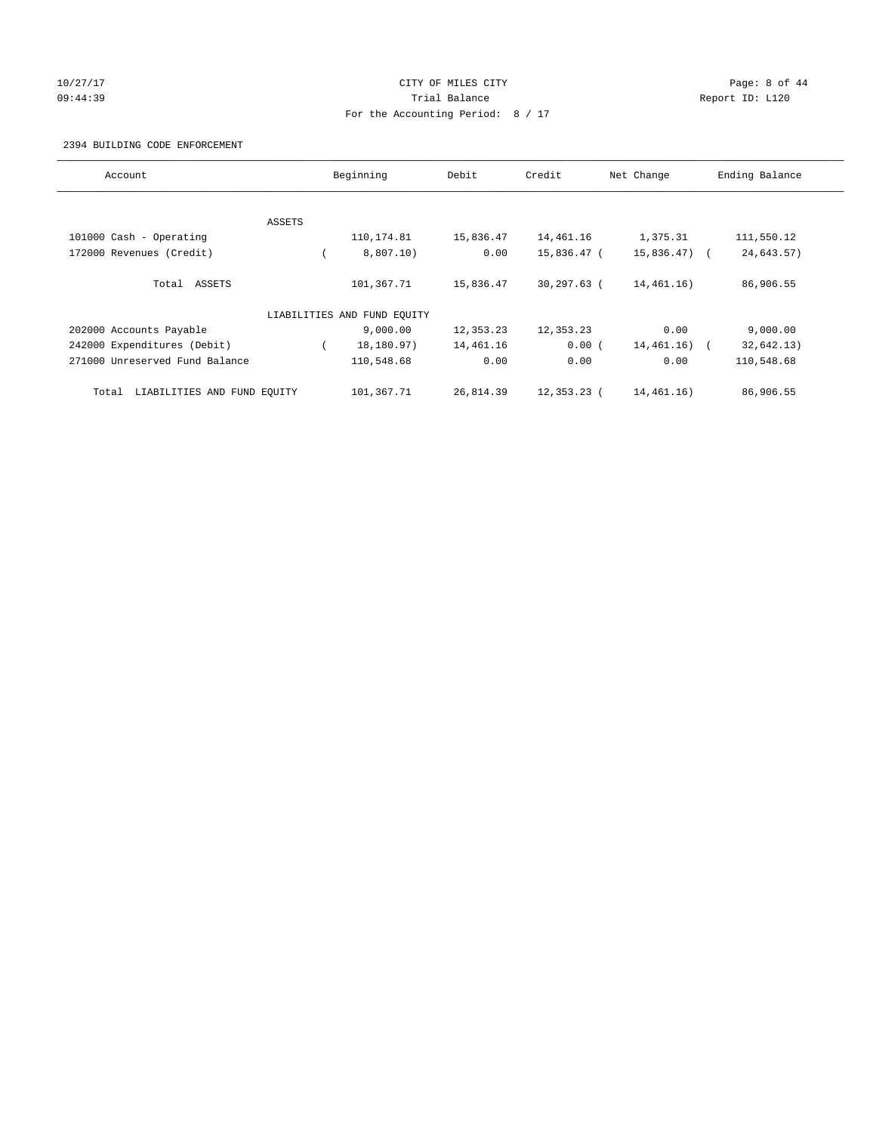#### 10/27/17 CITY OF MILES CITY Page: 8 of 44 09:44:39 Report ID: L120 For the Accounting Period: 8 / 17

#### 2394 BUILDING CODE ENFORCEMENT

| Account                              |        | Beginning                   | Debit     | Credit      | Net Change    | Ending Balance |
|--------------------------------------|--------|-----------------------------|-----------|-------------|---------------|----------------|
|                                      |        |                             |           |             |               |                |
|                                      | ASSETS |                             |           |             |               |                |
| 101000 Cash - Operating              |        | 110,174.81                  | 15,836.47 | 14,461.16   | 1,375.31      | 111,550.12     |
| 172000 Revenues (Credit)             |        | 8,807.10)                   | 0.00      | 15,836.47 ( | $15,836.47$ ( | 24,643.57)     |
| Total ASSETS                         |        | 101,367.71                  | 15,836.47 | 30,297.63 ( | 14,461.16)    | 86,906.55      |
|                                      |        | LIABILITIES AND FUND EQUITY |           |             |               |                |
| 202000 Accounts Payable              |        | 9,000.00                    | 12,353.23 | 12,353.23   | 0.00          | 9,000.00       |
| 242000 Expenditures (Debit)          |        | 18,180.97)                  | 14,461.16 | 0.00(       | 14,461.16)    | 32,642.13)     |
| 271000 Unreserved Fund Balance       |        | 110,548.68                  | 0.00      | 0.00        | 0.00          | 110,548.68     |
| LIABILITIES AND FUND EQUITY<br>Total |        | 101,367.71                  | 26,814.39 | 12,353.23 ( | 14,461.16)    | 86,906.55      |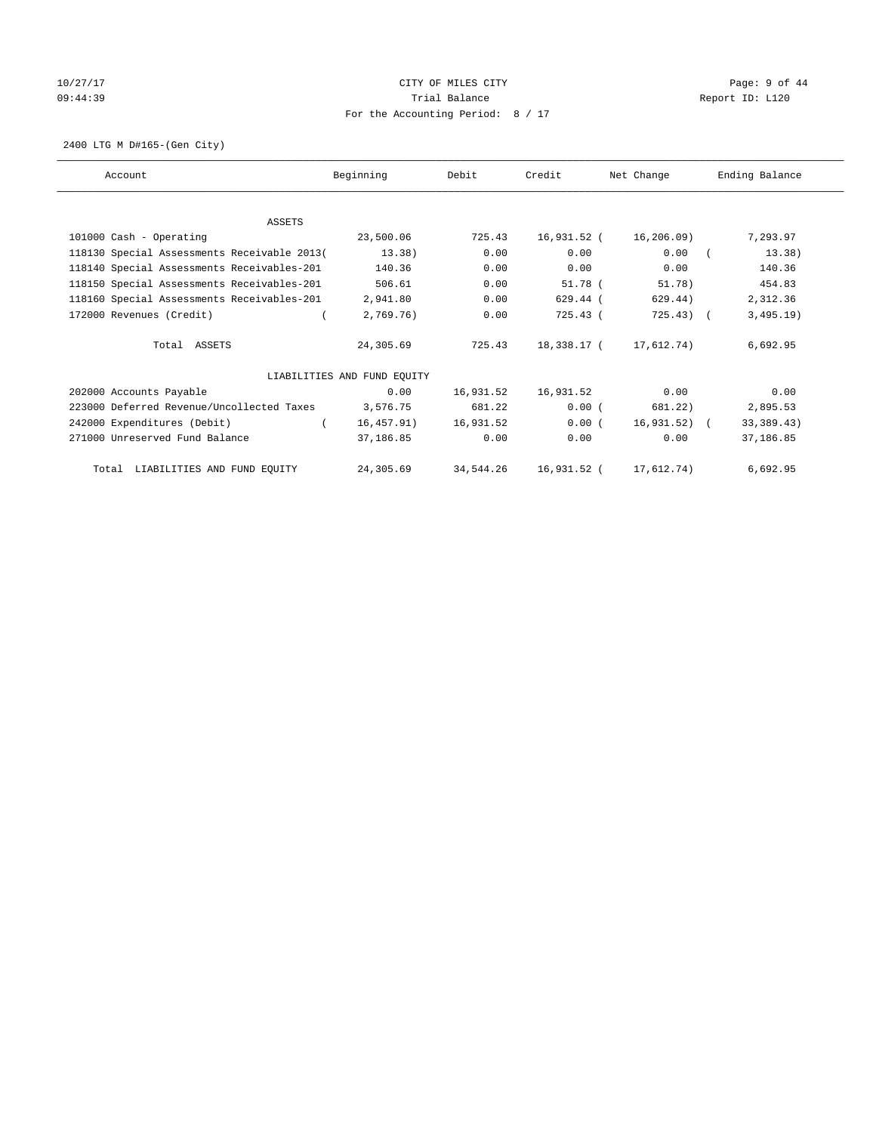# 10/27/17 Page: 9 of 44 09:44:39 Report ID: L120 For the Accounting Period: 8 / 17

2400 LTG M D#165-(Gen City)

| Account                                     | Beginning                   | Debit     | Credit      | Net Change            | Ending Balance |
|---------------------------------------------|-----------------------------|-----------|-------------|-----------------------|----------------|
|                                             |                             |           |             |                       |                |
| <b>ASSETS</b>                               |                             |           |             |                       |                |
| 101000 Cash - Operating                     | 23,500.06                   | 725.43    | 16,931.52 ( | 16,206.09)            | 7,293.97       |
| 118130 Special Assessments Receivable 2013( | 13.38)                      | 0.00      | 0.00        | 0.00                  | 13.38)         |
| 118140 Special Assessments Receivables-201  | 140.36                      | 0.00      | 0.00        | 0.00                  | 140.36         |
| 118150 Special Assessments Receivables-201  | 506.61                      | 0.00      | $51.78$ (   | 51.78)                | 454.83         |
| 118160 Special Assessments Receivables-201  | 2,941.80                    | 0.00      | 629.44 (    | 629.44)               | 2,312.36       |
| 172000 Revenues (Credit)                    | 2,769.76)                   | 0.00      | 725.43 (    | $725.43$ (            | 3,495.19)      |
| Total ASSETS                                | 24,305.69                   | 725.43    | 18,338.17 ( | 17,612.74)            | 6,692.95       |
|                                             | LIABILITIES AND FUND EQUITY |           |             |                       |                |
| 202000 Accounts Payable                     | 0.00                        | 16,931.52 | 16,931.52   | 0.00                  | 0.00           |
| 223000 Deferred Revenue/Uncollected Taxes   | 3,576.75                    | 681.22    | 0.00(       | 681.22)               | 2,895.53       |
| 242000 Expenditures (Debit)                 | 16,457.91)                  | 16,931.52 | 0.00(       | 16,931.52) (          | 33, 389.43)    |
| 271000 Unreserved Fund Balance              | 37,186.85                   | 0.00      | 0.00        | 0.00                  | 37,186.85      |
| Total LIABILITIES AND FUND EQUITY           | 24,305.69                   | 34,544.26 |             | 16,931.52 (17,612.74) | 6,692.95       |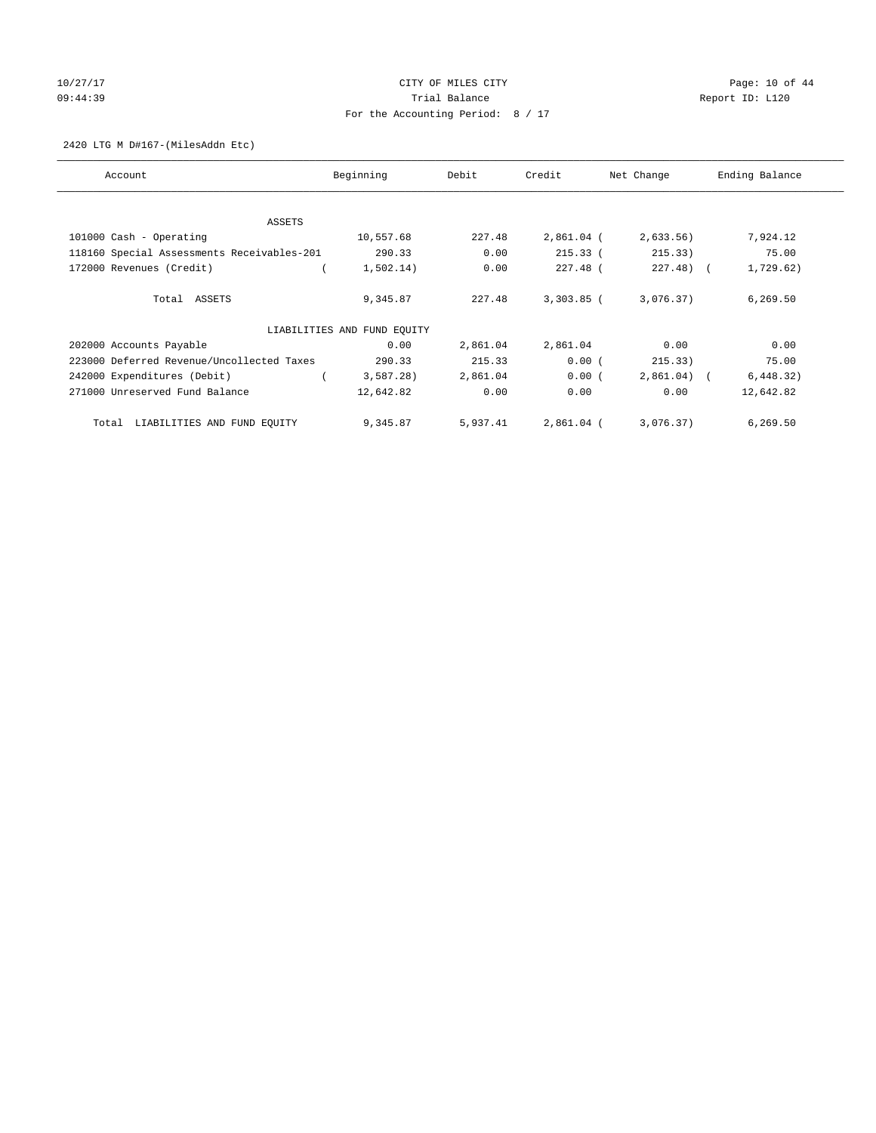# 10/27/17 Page: 10 of 44 09:44:39 Report ID: L120 For the Accounting Period: 8 / 17

2420 LTG M D#167-(MilesAddn Etc)

| Account                                    | Beginning                   | Debit    | Credit       | Net Change   | Ending Balance |
|--------------------------------------------|-----------------------------|----------|--------------|--------------|----------------|
|                                            |                             |          |              |              |                |
| ASSETS                                     |                             |          |              |              |                |
| 101000 Cash - Operating                    | 10,557.68                   | 227.48   | 2,861.04 (   | 2,633.56     | 7,924.12       |
| 118160 Special Assessments Receivables-201 | 290.33                      | 0.00     | 215.33(      | 215.33)      | 75.00          |
| 172000 Revenues (Credit)                   | 1,502.14)                   | 0.00     | 227.48 (     | $227.48$ ) ( | 1,729.62)      |
| Total ASSETS                               | 9,345.87                    | 227.48   | $3,303.85$ ( | 3,076.37)    | 6,269.50       |
|                                            | LIABILITIES AND FUND EQUITY |          |              |              |                |
| 202000 Accounts Payable                    | 0.00                        | 2,861.04 | 2,861.04     | 0.00         | 0.00           |
| 223000 Deferred Revenue/Uncollected Taxes  | 290.33                      | 215.33   | 0.00(        | 215.33)      | 75.00          |
| 242000 Expenditures (Debit)                | 3,587.28)                   | 2,861.04 | 0.00(        | $2,861.04$ ( | 6,448.32)      |
| 271000 Unreserved Fund Balance             | 12,642.82                   | 0.00     | 0.00         | 0.00         | 12,642.82      |
| LIABILITIES AND FUND EQUITY<br>Total       | 9,345.87                    | 5,937.41 | 2,861.04 (   | 3,076.37)    | 6,269.50       |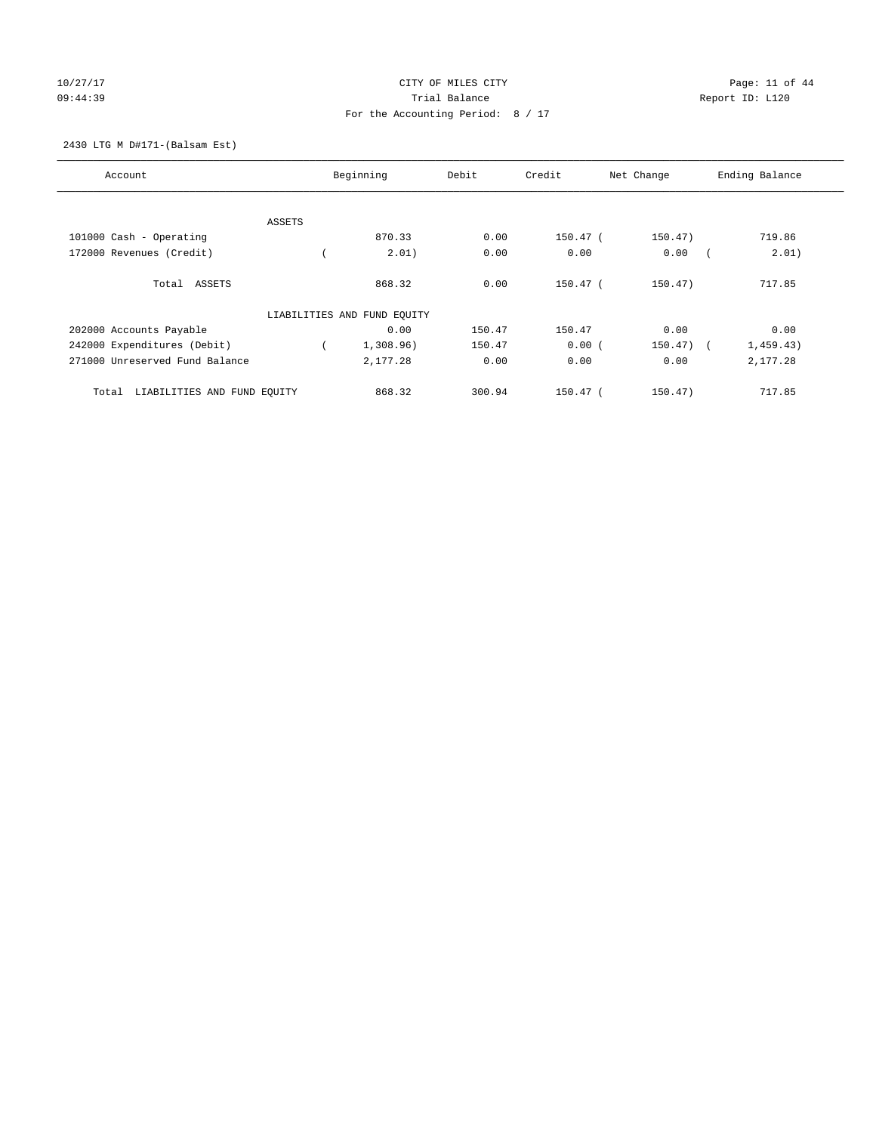# 10/27/17 Page: 11 of 44 09:44:39 Report ID: L120 For the Accounting Period: 8 / 17

#### 2430 LTG M D#171-(Balsam Est)

| Account                              |        | Beginning                   | Debit  | Credit     | Net Change   | Ending Balance |
|--------------------------------------|--------|-----------------------------|--------|------------|--------------|----------------|
|                                      |        |                             |        |            |              |                |
|                                      | ASSETS |                             |        |            |              |                |
| 101000 Cash - Operating              |        | 870.33                      | 0.00   | 150.47 (   | 150.47)      | 719.86         |
| 172000 Revenues (Credit)             |        | 2.01)                       | 0.00   | 0.00       | 0.00         | 2.01)          |
| Total ASSETS                         |        | 868.32                      | 0.00   | $150.47$ ( | 150.47)      | 717.85         |
|                                      |        | LIABILITIES AND FUND EQUITY |        |            |              |                |
| 202000 Accounts Payable              |        | 0.00                        | 150.47 | 150.47     | 0.00         | 0.00           |
| 242000 Expenditures (Debit)          |        | 1,308.96)                   | 150.47 | 0.00(      | $150.47$ ) ( | 1,459.43)      |
| 271000 Unreserved Fund Balance       |        | 2,177.28                    | 0.00   | 0.00       | 0.00         | 2,177.28       |
| LIABILITIES AND FUND EQUITY<br>Total |        | 868.32                      | 300.94 | 150.47 (   | 150.47)      | 717.85         |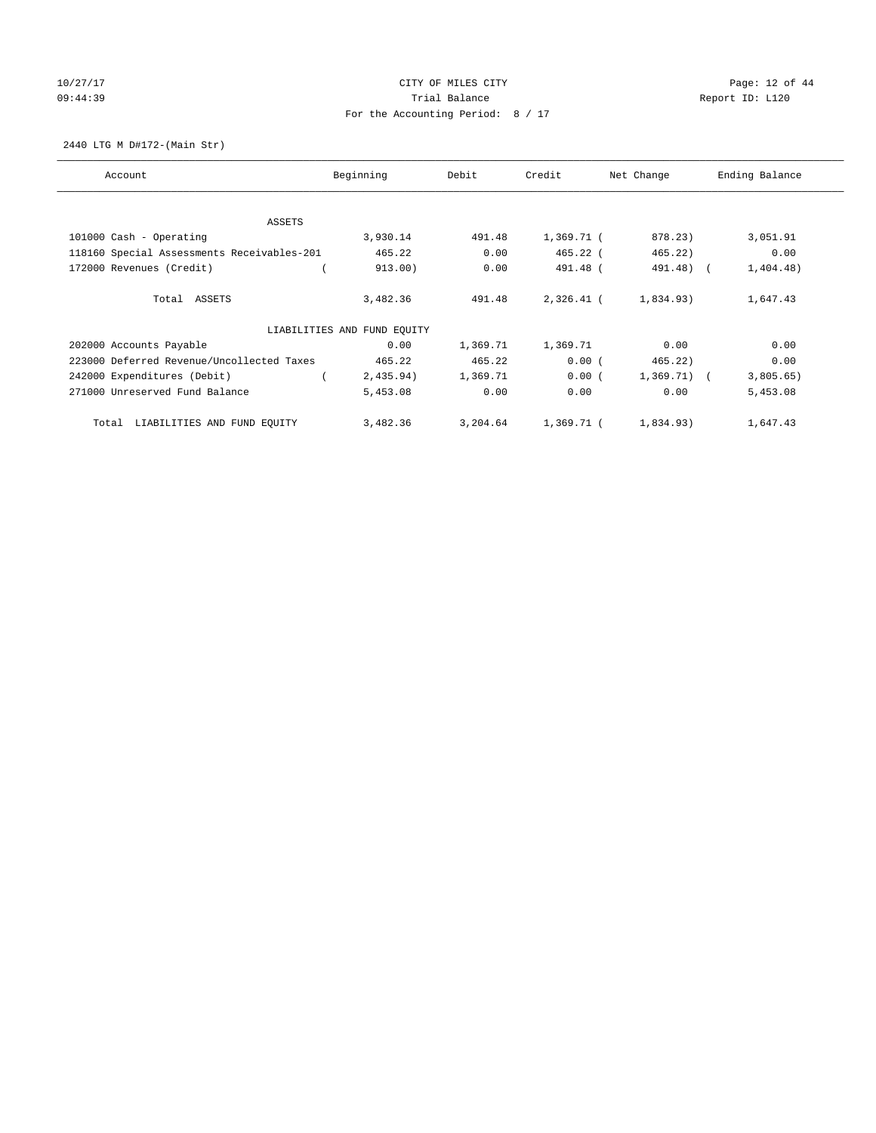# 10/27/17 Page: 12 of 44 09:44:39 Report ID: L120 For the Accounting Period: 8 / 17

2440 LTG M D#172-(Main Str)

| Account                                    | Beginning                   | Debit    | Credit     | Net Change     | Ending Balance |
|--------------------------------------------|-----------------------------|----------|------------|----------------|----------------|
|                                            |                             |          |            |                |                |
| ASSETS                                     |                             |          |            |                |                |
| 101000 Cash - Operating                    | 3,930.14                    | 491.48   | 1,369.71 ( | 878.23)        | 3,051.91       |
| 118160 Special Assessments Receivables-201 | 465.22                      | 0.00     | $465.22$ ( | 465.22)        | 0.00           |
| 172000 Revenues (Credit)                   | 913.00)                     | 0.00     | 491.48 (   | 491.48) (      | 1,404.48)      |
| Total ASSETS                               | 3,482.36                    | 491.48   | 2,326.41 ( | 1,834.93)      | 1,647.43       |
|                                            | LIABILITIES AND FUND EOUITY |          |            |                |                |
| 202000 Accounts Payable                    | 0.00                        | 1,369.71 | 1,369.71   | 0.00           | 0.00           |
| 223000 Deferred Revenue/Uncollected Taxes  | 465.22                      | 465.22   | 0.00(      | 465.22)        | 0.00           |
| 242000 Expenditures (Debit)                | 2,435.94)                   | 1,369.71 | 0.00(      | $1,369.71$ ) ( | 3,805.65)      |
| 271000 Unreserved Fund Balance             | 5,453.08                    | 0.00     | 0.00       | 0.00           | 5,453.08       |
| LIABILITIES AND FUND EQUITY<br>Total       | 3,482.36                    | 3,204.64 | 1,369.71 ( | 1,834.93)      | 1,647.43       |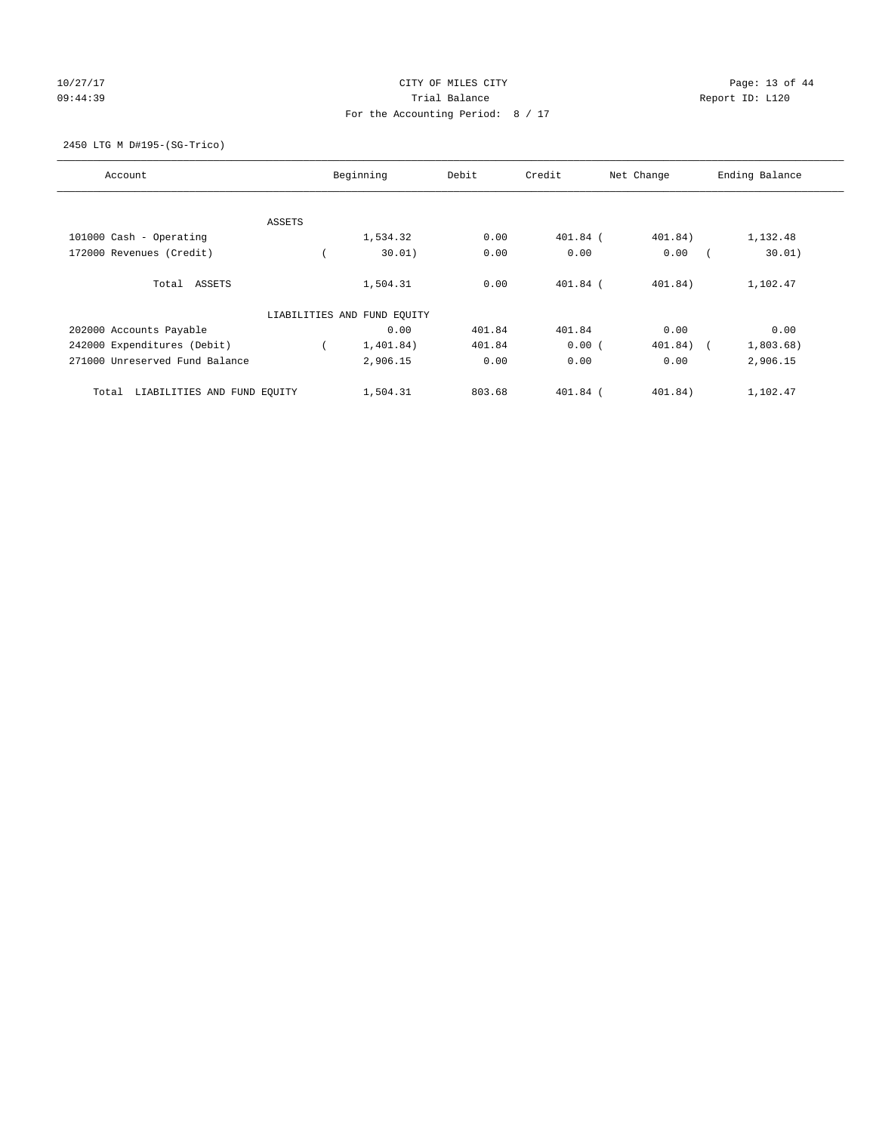# 10/27/17 Page: 13 of 44 09:44:39 Report ID: L120 For the Accounting Period: 8 / 17

#### 2450 LTG M D#195-(SG-Trico)

| Account                              |        | Beginning                   | Debit  | Credit     | Net Change | Ending Balance      |
|--------------------------------------|--------|-----------------------------|--------|------------|------------|---------------------|
|                                      |        |                             |        |            |            |                     |
|                                      | ASSETS |                             |        |            |            |                     |
| 101000 Cash - Operating              |        | 1,534.32                    | 0.00   | 401.84 (   | 401.84)    | 1,132.48            |
| 172000 Revenues (Credit)             |        | 30.01)                      | 0.00   | 0.00       | 0.00       | 30.01)              |
| Total ASSETS                         |        | 1,504.31                    | 0.00   | $401.84$ ( | 401.84)    | 1,102.47            |
|                                      |        | LIABILITIES AND FUND EQUITY |        |            |            |                     |
| 202000 Accounts Payable              |        | 0.00                        | 401.84 | 401.84     | 0.00       | 0.00                |
| 242000 Expenditures (Debit)          |        | 1,401.84)                   | 401.84 | 0.00(      | 401.84)    | 1,803.68)<br>$\sim$ |
| 271000 Unreserved Fund Balance       |        | 2,906.15                    | 0.00   | 0.00       | 0.00       | 2,906.15            |
| LIABILITIES AND FUND EQUITY<br>Total |        | 1,504.31                    | 803.68 | $401.84$ ( | 401.84)    | 1,102.47            |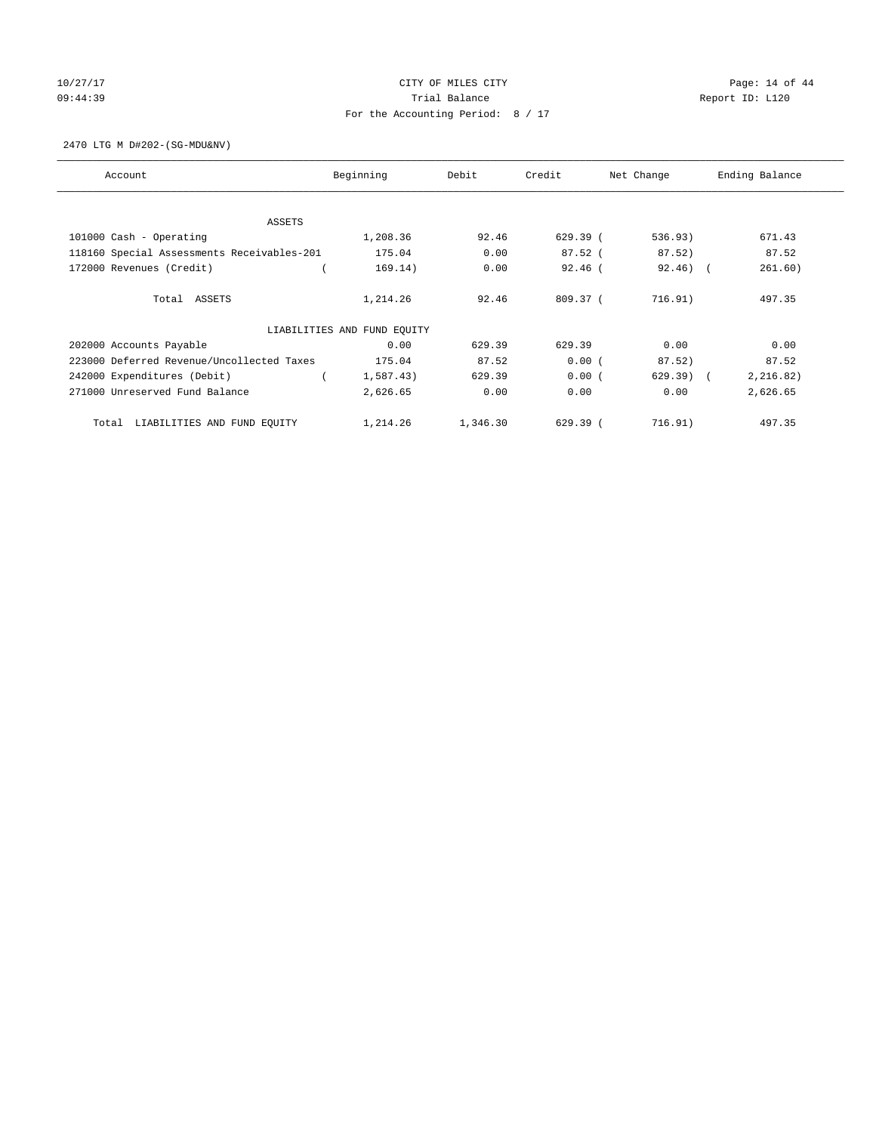# 10/27/17 Page: 14 of 44 09:44:39 Report ID: L120 For the Accounting Period: 8 / 17

2470 LTG M D#202-(SG-MDU&NV)

| Account                                    | Beginning                   | Debit    | Credit    | Net Change  | Ending Balance |
|--------------------------------------------|-----------------------------|----------|-----------|-------------|----------------|
|                                            |                             |          |           |             |                |
| ASSETS                                     |                             |          |           |             |                |
| 101000 Cash - Operating                    | 1,208.36                    | 92.46    | 629.39(   | 536.93)     | 671.43         |
| 118160 Special Assessments Receivables-201 | 175.04                      | 0.00     | $87.52$ ( | 87.52)      | 87.52          |
| 172000 Revenues (Credit)                   | 169.14)                     | 0.00     | $92.46$ ( | $92.46$ ) ( | 261.60)        |
| Total ASSETS                               | 1,214.26                    | 92.46    | 809.37(   | 716.91)     | 497.35         |
|                                            | LIABILITIES AND FUND EOUITY |          |           |             |                |
| 202000 Accounts Payable                    | 0.00                        | 629.39   | 629.39    | 0.00        | 0.00           |
| 223000 Deferred Revenue/Uncollected Taxes  | 175.04                      | 87.52    | 0.00(     | 87.52)      | 87.52          |
| 242000 Expenditures (Debit)                | 1,587.43)                   | 629.39   | 0.00(     | $629.39$ (  | 2,216.82)      |
| 271000 Unreserved Fund Balance             | 2,626.65                    | 0.00     | 0.00      | 0.00        | 2,626.65       |
| LIABILITIES AND FUND EQUITY<br>Total       | 1,214.26                    | 1,346.30 | 629.39(   | 716.91)     | 497.35         |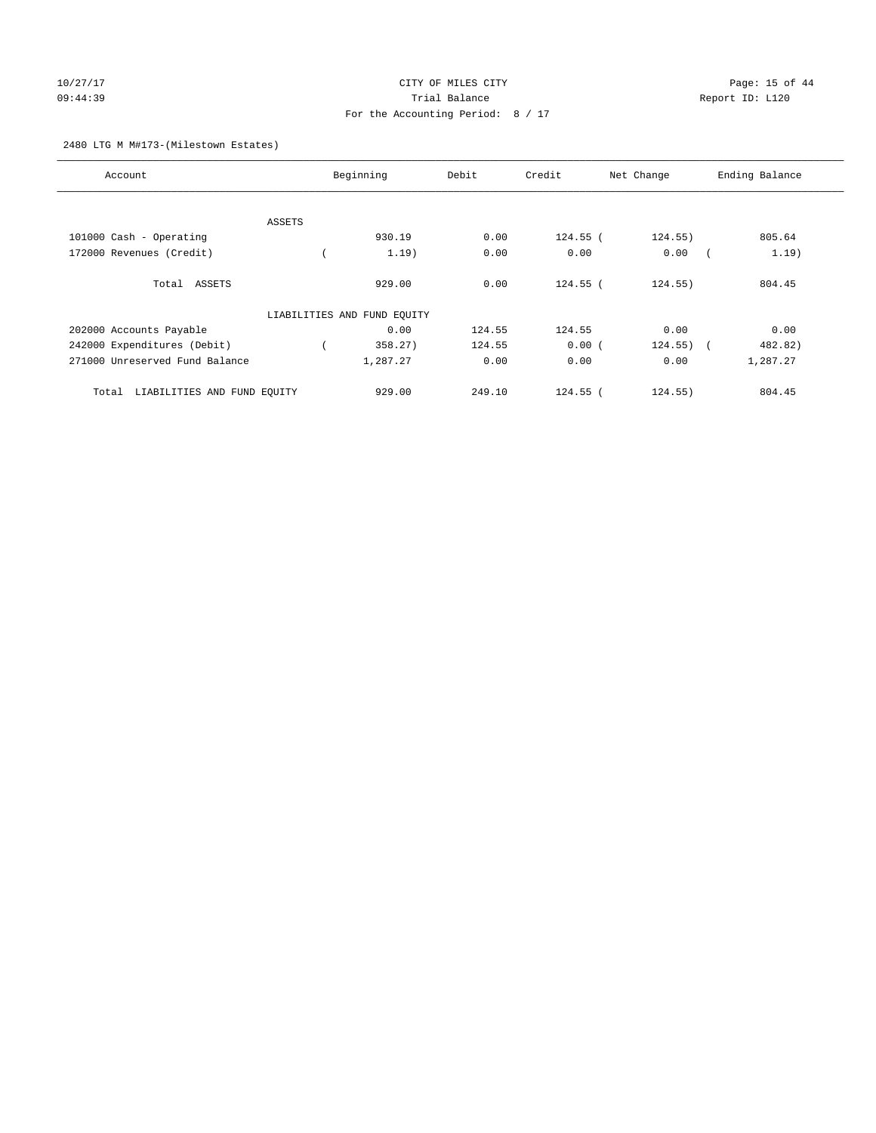# 10/27/17 Page: 15 of 44 09:44:39 Report ID: L120 For the Accounting Period: 8 / 17

#### 2480 LTG M M#173-(Milestown Estates)

| Account                              | Beginning                   | Debit  | Credit     | Net Change | Ending Balance        |
|--------------------------------------|-----------------------------|--------|------------|------------|-----------------------|
|                                      |                             |        |            |            |                       |
| ASSETS                               |                             |        |            |            |                       |
| 101000 Cash - Operating              | 930.19                      | 0.00   | 124.55 (   | 124.55)    | 805.64                |
| 172000 Revenues (Credit)             | 1.19)                       | 0.00   | 0.00       | 0.00       | 1.19)                 |
| Total ASSETS                         | 929.00                      | 0.00   | 124.55 (   | 124.55)    | 804.45                |
|                                      | LIABILITIES AND FUND EQUITY |        |            |            |                       |
| 202000 Accounts Payable              | 0.00                        | 124.55 | 124.55     | 0.00       | 0.00                  |
| 242000 Expenditures (Debit)          | 358.27)                     | 124.55 | 0.00(      | 124.55)    | 482.82)<br>$\sqrt{2}$ |
| 271000 Unreserved Fund Balance       | 1,287.27                    | 0.00   | 0.00       | 0.00       | 1,287.27              |
| LIABILITIES AND FUND EQUITY<br>Total | 929.00                      | 249.10 | $124.55$ ( | 124.55)    | 804.45                |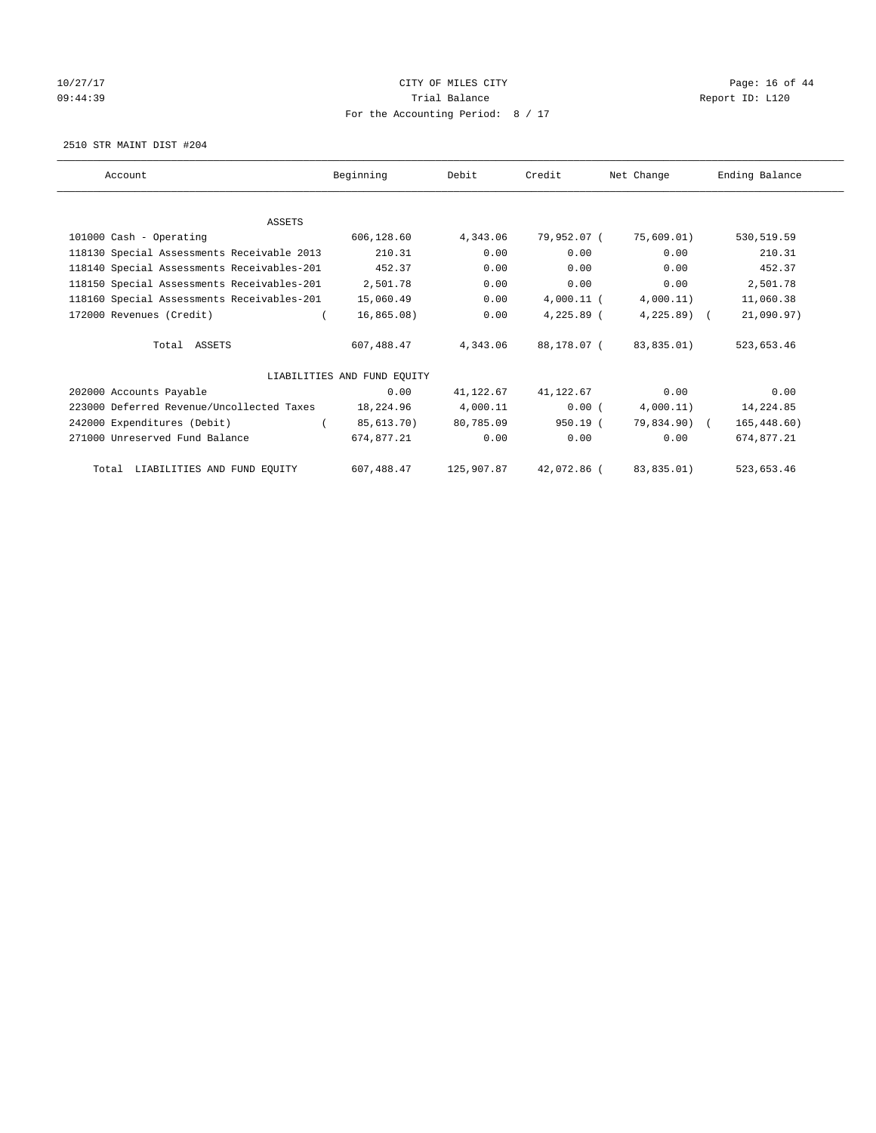# 10/27/17 Page: 16 of 44 09:44:39 Report ID: L120 For the Accounting Period: 8 / 17

2510 STR MAINT DIST #204

| Account                                    | Beginning                   | Debit      | Credit       | Net Change   | Ending Balance |
|--------------------------------------------|-----------------------------|------------|--------------|--------------|----------------|
|                                            |                             |            |              |              |                |
| <b>ASSETS</b>                              |                             |            |              |              |                |
| 101000 Cash - Operating                    | 606,128.60                  | 4,343.06   | 79,952.07 (  | 75,609.01)   | 530,519.59     |
| 118130 Special Assessments Receivable 2013 | 210.31                      | 0.00       | 0.00         | 0.00         | 210.31         |
| 118140 Special Assessments Receivables-201 | 452.37                      | 0.00       | 0.00         | 0.00         | 452.37         |
| 118150 Special Assessments Receivables-201 | 2,501.78                    | 0.00       | 0.00         | 0.00         | 2,501.78       |
| 118160 Special Assessments Receivables-201 | 15,060.49                   | 0.00       | $4,000.11$ ( | 4,000.11)    | 11,060.38      |
| 172000 Revenues (Credit)                   | 16,865.08)                  | 0.00       | 4,225.89 (   | $4,225.89$ ( | 21,090.97)     |
| Total ASSETS                               | 607,488.47                  | 4,343.06   | 88,178.07 (  | 83,835.01)   | 523,653.46     |
|                                            | LIABILITIES AND FUND EQUITY |            |              |              |                |
| 202000 Accounts Payable                    | 0.00                        | 41,122.67  | 41,122.67    | 0.00         | 0.00           |
| 223000 Deferred Revenue/Uncollected Taxes  | 18,224.96                   | 4,000.11   | 0.00(        | 4,000.11)    | 14,224.85      |
| 242000 Expenditures (Debit)                | 85,613.70)                  | 80,785.09  | 950.19 (     | 79,834.90) ( | 165, 448.60)   |
| 271000 Unreserved Fund Balance             | 674,877.21                  | 0.00       | 0.00         | 0.00         | 674,877.21     |
| Total LIABILITIES AND FUND EQUITY          | 607,488.47                  | 125,907.87 | 42,072.86 (  | 83,835.01)   | 523,653.46     |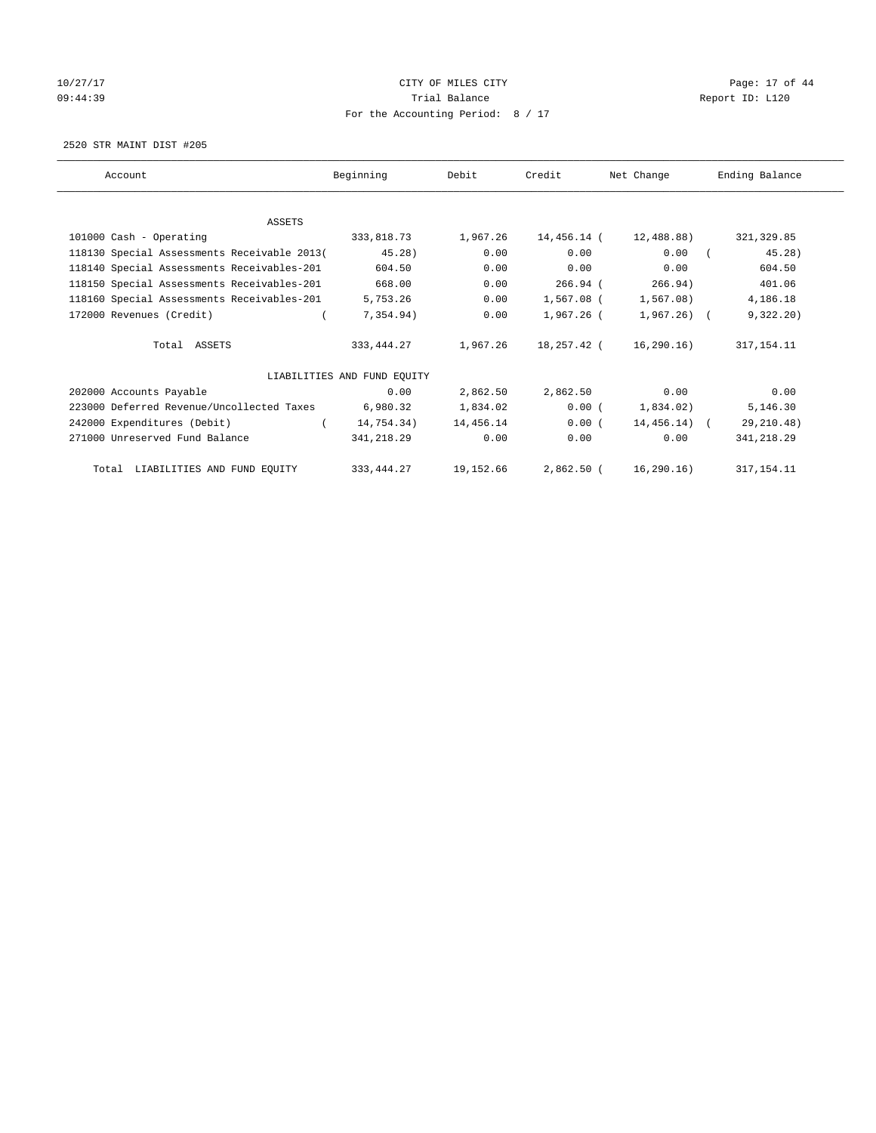# 10/27/17 Page: 17 of 44 09:44:39 Report ID: L120 For the Accounting Period: 8 / 17

2520 STR MAINT DIST #205

| Account                                     | Beginning                   | Debit     | Credit      | Net Change   | Ending Balance |
|---------------------------------------------|-----------------------------|-----------|-------------|--------------|----------------|
|                                             |                             |           |             |              |                |
| ASSETS                                      |                             |           |             |              |                |
| 101000 Cash - Operating                     | 333,818.73                  | 1,967.26  | 14,456.14 ( | 12,488.88)   | 321, 329.85    |
| 118130 Special Assessments Receivable 2013( | 45.28)                      | 0.00      | 0.00        | 0.00         | 45.28)         |
| 118140 Special Assessments Receivables-201  | 604.50                      | 0.00      | 0.00        | 0.00         | 604.50         |
| 118150 Special Assessments Receivables-201  | 668.00                      | 0.00      | $266.94$ (  | 266.94)      | 401.06         |
| 118160 Special Assessments Receivables-201  | 5,753.26                    | 0.00      | 1,567.08 (  | 1,567.08)    | 4,186.18       |
| 172000 Revenues (Credit)                    | 7,354.94)                   | 0.00      | 1,967.26 (  | 1,967.26) (  | 9,322.20)      |
| Total ASSETS                                | 333, 444. 27                | 1,967.26  | 18,257.42 ( | 16,290.16)   | 317, 154. 11   |
|                                             | LIABILITIES AND FUND EOUITY |           |             |              |                |
| 202000 Accounts Payable                     | 0.00                        | 2,862.50  | 2,862.50    | 0.00         | 0.00           |
| 223000 Deferred Revenue/Uncollected Taxes   | 6,980.32                    | 1,834.02  | 0.00(       | 1,834.02)    | 5,146.30       |
| 242000 Expenditures (Debit)                 | 14,754.34)                  | 14,456.14 | 0.00(       | 14,456.14) ( | 29, 210.48)    |
| 271000 Unreserved Fund Balance              | 341,218.29                  | 0.00      | 0.00        | 0.00         | 341, 218.29    |
| Total LIABILITIES AND FUND EQUITY           | 333, 444.27                 | 19,152.66 | 2,862.50 (  | 16, 290.16)  | 317, 154. 11   |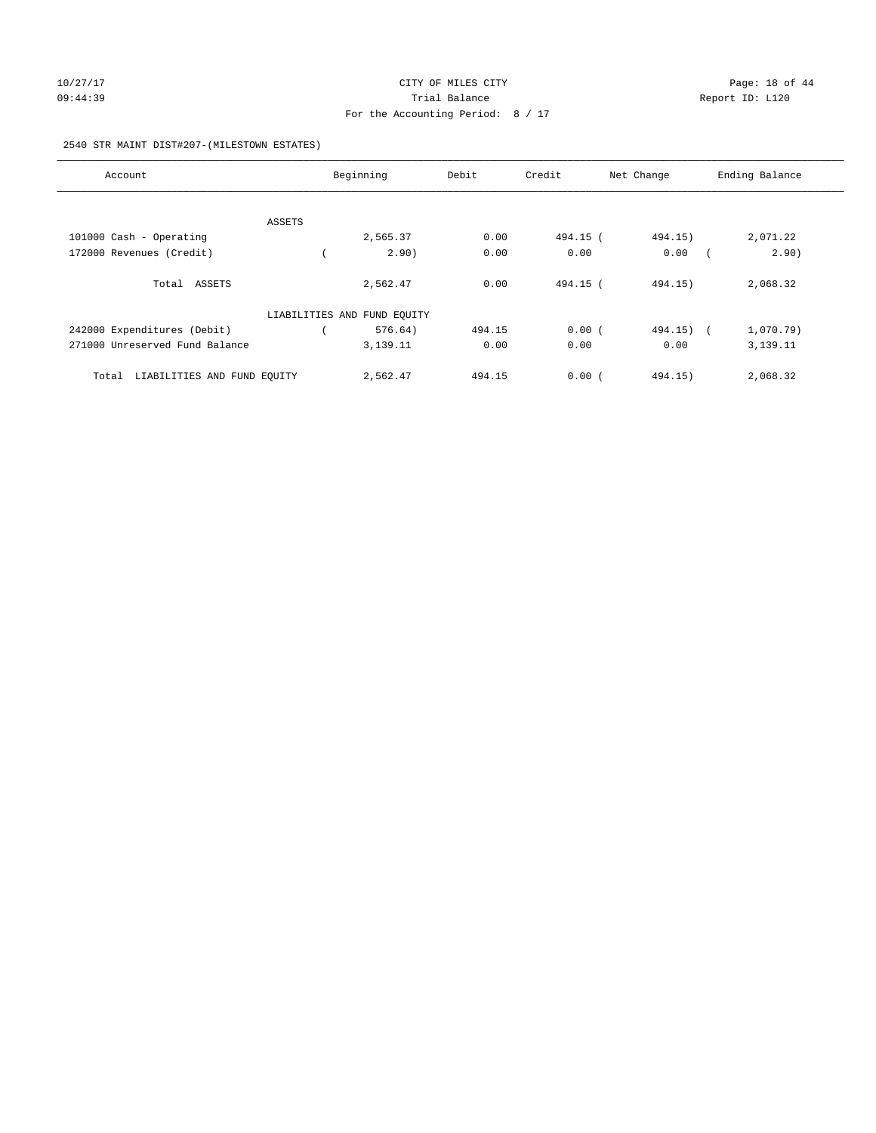#### 2540 STR MAINT DIST#207-(MILESTOWN ESTATES)

| Account                              |        | Beginning                   | Debit  | Credit   | Net Change | Ending Balance |
|--------------------------------------|--------|-----------------------------|--------|----------|------------|----------------|
|                                      |        |                             |        |          |            |                |
|                                      | ASSETS |                             |        |          |            |                |
| 101000 Cash - Operating              |        | 2,565.37                    | 0.00   | 494.15 ( | 494.15)    | 2,071.22       |
| 172000 Revenues (Credit)             |        | 2.90)                       | 0.00   | 0.00     | 0.00       | 2.90)          |
| Total ASSETS                         |        | 2,562.47                    | 0.00   | 494.15 ( | 494.15)    | 2,068.32       |
|                                      |        | LIABILITIES AND FUND EQUITY |        |          |            |                |
| 242000 Expenditures (Debit)          |        | 576.64)                     | 494.15 | 0.00(    | 494.15)    | 1,070.79)      |
| 271000 Unreserved Fund Balance       |        | 3,139.11                    | 0.00   | 0.00     | 0.00       | 3,139.11       |
| LIABILITIES AND FUND EQUITY<br>Total |        | 2,562.47                    | 494.15 | 0.00(    | 494.15)    | 2,068.32       |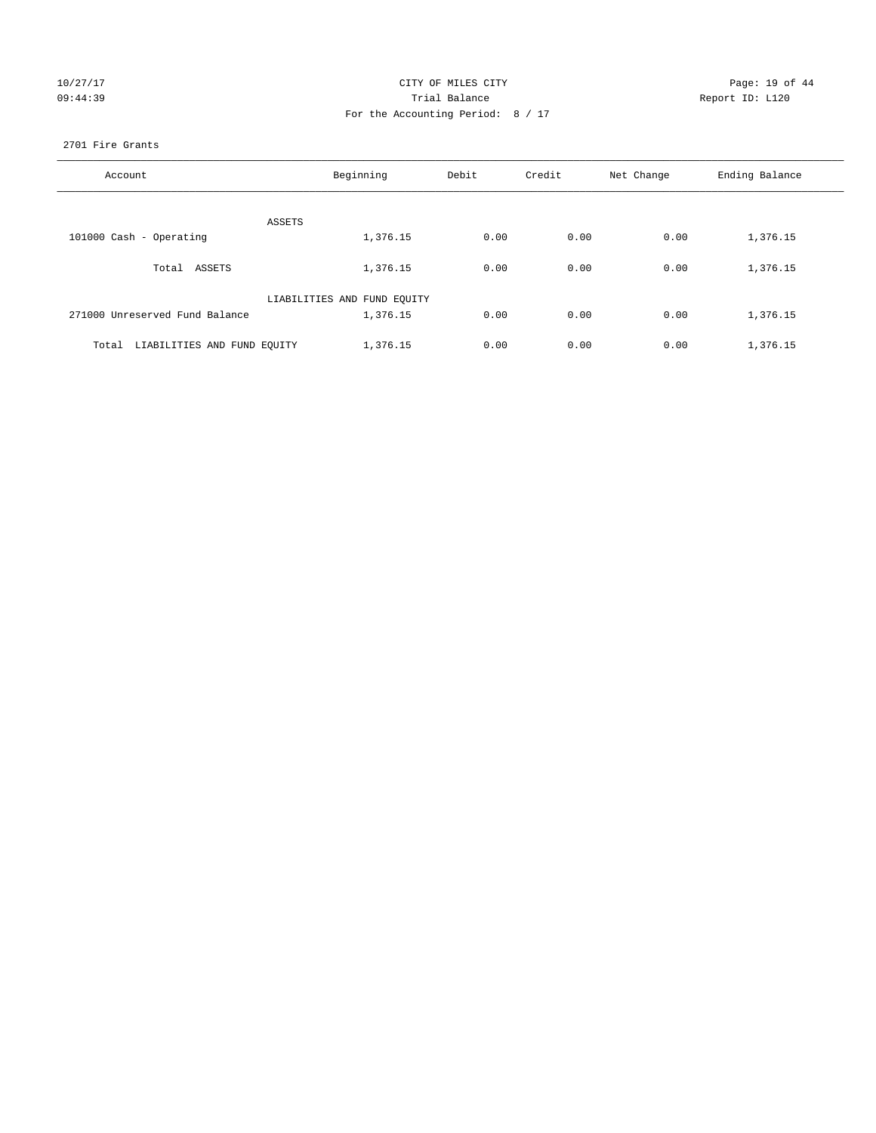| 10/27/17 |  |  |
|----------|--|--|
| 09:44:39 |  |  |

#### CITY OF MILES CITY Page: 19 of 44<br>
Trial Balance Report ID: L120 09:44:39 Trial Balance Report ID: L120 For the Accounting Period: 8 / 17

#### 2701 Fire Grants

| Account                              | Beginning                   | Debit | Credit | Net Change | Ending Balance |
|--------------------------------------|-----------------------------|-------|--------|------------|----------------|
|                                      |                             |       |        |            |                |
| ASSETS                               |                             |       |        |            |                |
| 101000 Cash - Operating              | 1,376.15                    | 0.00  | 0.00   | 0.00       | 1,376.15       |
| Total ASSETS                         | 1,376.15                    | 0.00  | 0.00   | 0.00       | 1,376.15       |
|                                      | LIABILITIES AND FUND EQUITY |       |        |            |                |
| 271000 Unreserved Fund Balance       | 1,376.15                    | 0.00  | 0.00   | 0.00       | 1,376.15       |
| LIABILITIES AND FUND EQUITY<br>Total | 1,376.15                    | 0.00  | 0.00   | 0.00       | 1,376.15       |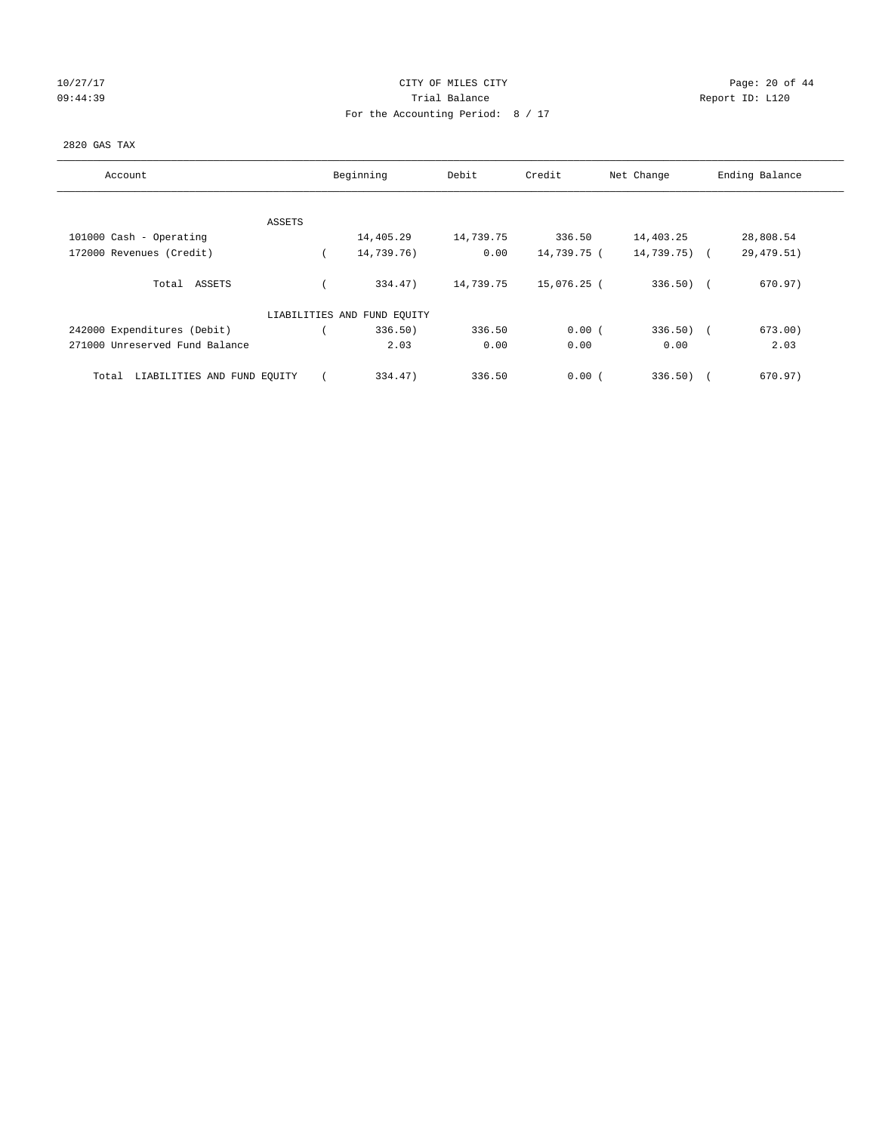# 10/27/17 Page: 20 of 44 09:44:39 Report ID: L120 For the Accounting Period: 8 / 17

#### 2820 GAS TAX

| Account                              | Beginning                   | Debit     | Credit      | Net Change   | Ending Balance    |
|--------------------------------------|-----------------------------|-----------|-------------|--------------|-------------------|
|                                      |                             |           |             |              |                   |
| ASSETS<br>101000 Cash - Operating    | 14,405.29                   | 14,739.75 | 336.50      | 14,403.25    | 28,808.54         |
| 172000 Revenues (Credit)             | 14,739.76)                  | 0.00      | 14,739.75 ( | 14,739.75) ( | 29, 479.51)       |
| Total ASSETS                         | 334.47)                     | 14,739.75 | 15,076.25 ( | $336.50$ (   | 670.97)           |
|                                      | LIABILITIES AND FUND EQUITY |           |             |              |                   |
| 242000 Expenditures (Debit)          | 336.50)                     | 336.50    | 0.00(       | $336.50$ (   | 673.00)           |
| 271000 Unreserved Fund Balance       | 2.03                        | 0.00      | 0.00        | 0.00         | 2.03              |
| LIABILITIES AND FUND EQUITY<br>Total | 334.47)                     | 336.50    | 0.00(       | 336.50)      | 670.97)<br>$\sim$ |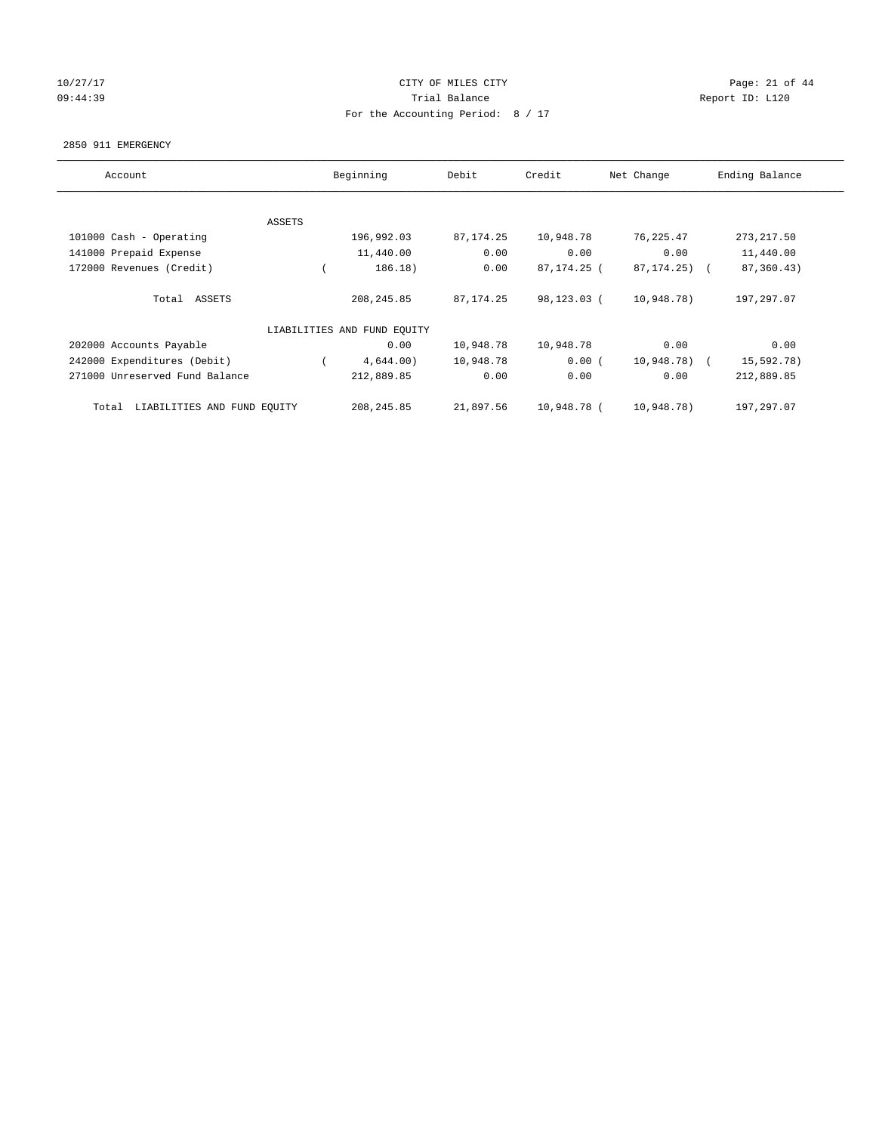# 10/27/17 Page: 21 of 44 09:44:39 Report ID: L120 For the Accounting Period: 8 / 17

#### 2850 911 EMERGENCY

| Account                              |        | Beginning                   | Debit       | Credit      | Net Change   | Ending Balance |
|--------------------------------------|--------|-----------------------------|-------------|-------------|--------------|----------------|
|                                      |        |                             |             |             |              |                |
|                                      | ASSETS |                             |             |             |              |                |
| 101000 Cash - Operating              |        | 196,992.03                  | 87, 174. 25 | 10,948.78   | 76,225.47    | 273, 217.50    |
| 141000 Prepaid Expense               |        | 11,440.00                   | 0.00        | 0.00        | 0.00         | 11,440.00      |
| 172000 Revenues (Credit)             |        | 186.18)                     | 0.00        | 87,174.25 ( | 87, 174. 25) | 87,360.43)     |
|                                      |        |                             |             |             |              |                |
| Total ASSETS                         |        | 208, 245.85                 | 87, 174. 25 | 98,123.03 ( | 10,948.78)   | 197,297.07     |
|                                      |        |                             |             |             |              |                |
|                                      |        | LIABILITIES AND FUND EQUITY |             |             |              |                |
| 202000 Accounts Payable              |        | 0.00                        | 10,948.78   | 10,948.78   | 0.00         | 0.00           |
| 242000 Expenditures (Debit)          |        | 4,644.00)                   | 10,948.78   | 0.00(       | 10,948.78) ( | 15,592.78)     |
| 271000 Unreserved Fund Balance       |        | 212,889.85                  | 0.00        | 0.00        | 0.00         | 212,889.85     |
|                                      |        |                             |             |             |              |                |
| LIABILITIES AND FUND EQUITY<br>Total |        | 208, 245.85                 | 21,897.56   | 10,948.78 ( | 10,948.78)   | 197.297.07     |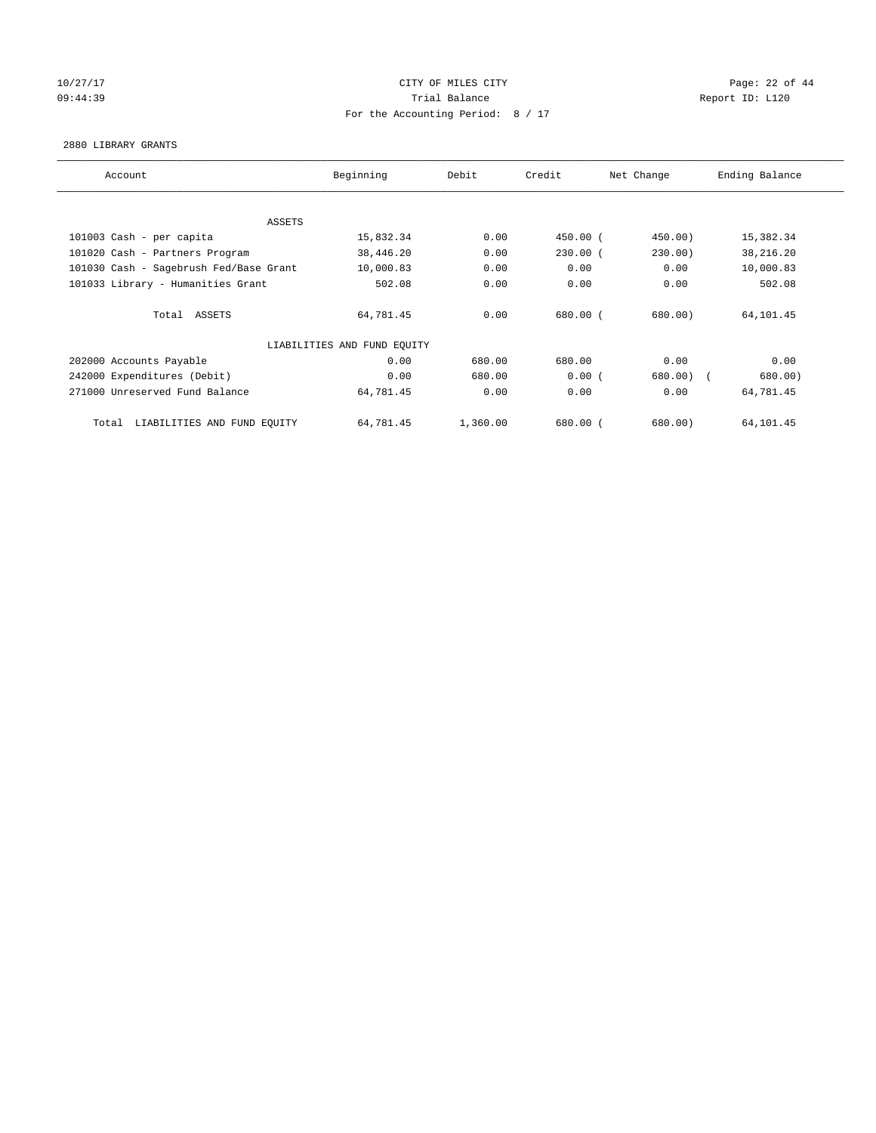# 10/27/17 Page: 22 of 44 09:44:39 Report ID: L120 For the Accounting Period: 8 / 17

#### 2880 LIBRARY GRANTS

| Account                                | Beginning                   | Debit    | Credit       | Net Change  | Ending Balance |
|----------------------------------------|-----------------------------|----------|--------------|-------------|----------------|
|                                        |                             |          |              |             |                |
| <b>ASSETS</b>                          |                             |          |              |             |                |
| 101003 Cash - per capita               | 15,832.34                   | 0.00     | $450.00$ (   | 450.00)     | 15,382.34      |
| 101020 Cash - Partners Program         | 38,446.20                   | 0.00     | $230.00$ (   | 230.00)     | 38, 216. 20    |
| 101030 Cash - Sagebrush Fed/Base Grant | 10,000.83                   | 0.00     | 0.00         | 0.00        | 10,000.83      |
| 101033 Library - Humanities Grant      | 502.08                      | 0.00     | 0.00         | 0.00        | 502.08         |
| Total ASSETS                           | 64,781.45                   | 0.00     | 680.00 (     | 680.00)     | 64,101.45      |
|                                        | LIABILITIES AND FUND EQUITY |          |              |             |                |
| 202000 Accounts Payable                | 0.00                        | 680.00   | 680.00       | 0.00        | 0.00           |
| 242000 Expenditures (Debit)            | 0.00                        | 680.00   | 0.00(        | $680.00)$ ( | 680.00)        |
| 271000 Unreserved Fund Balance         | 64,781.45                   | 0.00     | 0.00         | 0.00        | 64,781.45      |
| LIABILITIES AND FUND EQUITY<br>Total   | 64,781.45                   | 1,360.00 | $680.00$ $($ | 680.00      | 64,101.45      |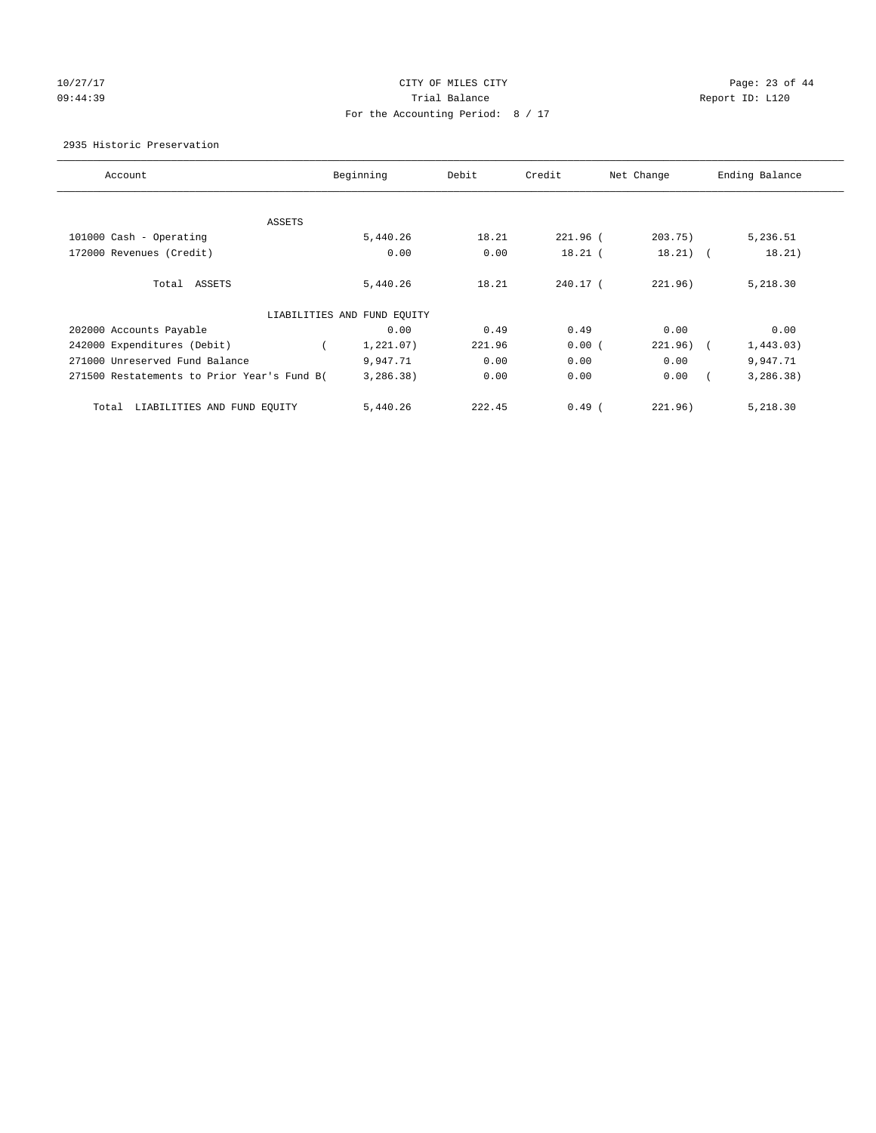# 10/27/17 Page: 23 of 44 09:44:39 Report ID: L120 For the Accounting Period: 8 / 17

2935 Historic Preservation

| Account                                     | Beginning                   | Debit  | Credit    | Net Change | Ending Balance          |
|---------------------------------------------|-----------------------------|--------|-----------|------------|-------------------------|
|                                             |                             |        |           |            |                         |
|                                             |                             |        |           |            |                         |
| ASSETS                                      |                             |        |           |            |                         |
| 101000 Cash - Operating                     | 5,440.26                    | 18.21  | 221.96 (  | 203.75)    | 5,236.51                |
| 172000 Revenues (Credit)                    | 0.00                        | 0.00   | $18.21$ ( | $18.21)$ ( | 18.21)                  |
|                                             |                             |        |           |            |                         |
| Total ASSETS                                | 5,440.26                    | 18.21  | 240.17 (  | 221.96)    | 5,218.30                |
|                                             |                             |        |           |            |                         |
|                                             | LIABILITIES AND FUND EQUITY |        |           |            |                         |
| 202000 Accounts Payable                     | 0.00                        | 0.49   | 0.49      | 0.00       | 0.00                    |
| 242000 Expenditures (Debit)                 | $\left($<br>1,221.07)       | 221.96 | 0.00(     | 221.96)    | 1,443.03)<br>$\sqrt{2}$ |
| 271000 Unreserved Fund Balance              | 9,947.71                    | 0.00   | 0.00      | 0.00       | 9,947.71                |
| 271500 Restatements to Prior Year's Fund B( | 3,286.38)                   | 0.00   | 0.00      | 0.00       | 3, 286.38)              |
|                                             |                             |        |           |            |                         |
| LIABILITIES AND FUND EQUITY<br>Total        | 5,440.26                    | 222.45 | $0.49$ (  | 221.96)    | 5,218.30                |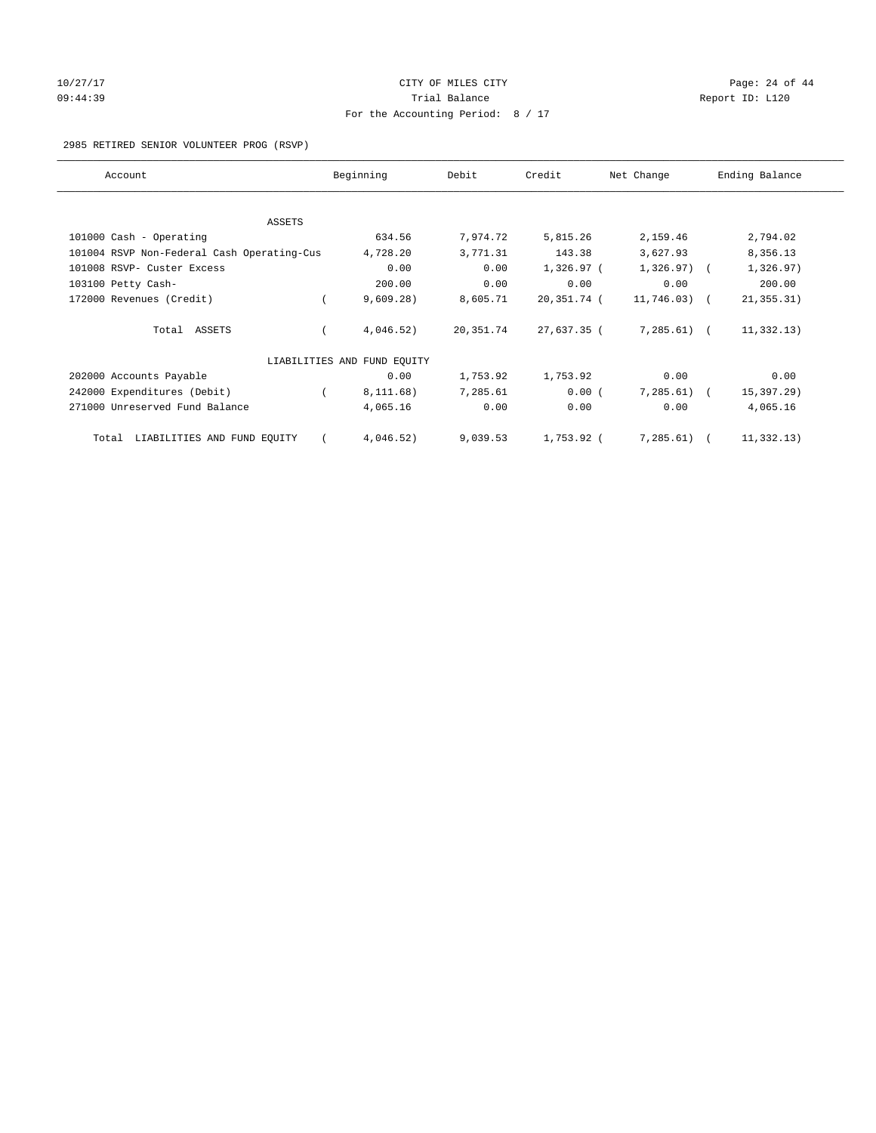# 10/27/17 Page: 24 of 44 09:44:39 Report ID: L120 For the Accounting Period: 8 / 17

#### 2985 RETIRED SENIOR VOLUNTEER PROG (RSVP)

| Account                                    | Beginning                   | Debit     | Credit       | Net Change    | Ending Balance |
|--------------------------------------------|-----------------------------|-----------|--------------|---------------|----------------|
|                                            |                             |           |              |               |                |
| ASSETS                                     |                             |           |              |               |                |
| 101000 Cash - Operating                    | 634.56                      | 7,974.72  | 5,815.26     | 2,159.46      | 2,794.02       |
| 101004 RSVP Non-Federal Cash Operating-Cus | 4,728.20                    | 3,771.31  | 143.38       | 3,627.93      | 8,356.13       |
| 101008 RSVP- Custer Excess                 | 0.00                        | 0.00      | $1,326.97$ ( | $1,326.97$ (  | 1,326.97)      |
| 103100 Petty Cash-                         | 200.00                      | 0.00      | 0.00         | 0.00          | 200.00         |
| 172000 Revenues (Credit)                   | 9,609.28)                   | 8,605.71  | 20,351.74 (  | $11,746.03$ ( | 21, 355.31)    |
| Total ASSETS                               | 4,046.52)                   | 20,351.74 | 27,637.35 (  | $7,285.61$ (  | 11, 332.13)    |
|                                            | LIABILITIES AND FUND EQUITY |           |              |               |                |
| 202000 Accounts Payable                    | 0.00                        | 1,753.92  | 1,753.92     | 0.00          | 0.00           |
| 242000 Expenditures (Debit)                | 8,111.68)                   | 7,285.61  | 0.00(        | 7,285.61)     | 15,397.29)     |
| 271000 Unreserved Fund Balance             | 4,065.16                    | 0.00      | 0.00         | 0.00          | 4,065.16       |
| LIABILITIES AND FUND EQUITY<br>Total       | 4,046.52)                   | 9,039.53  | 1,753.92 (   | 7, 285.61)    | 11, 332.13)    |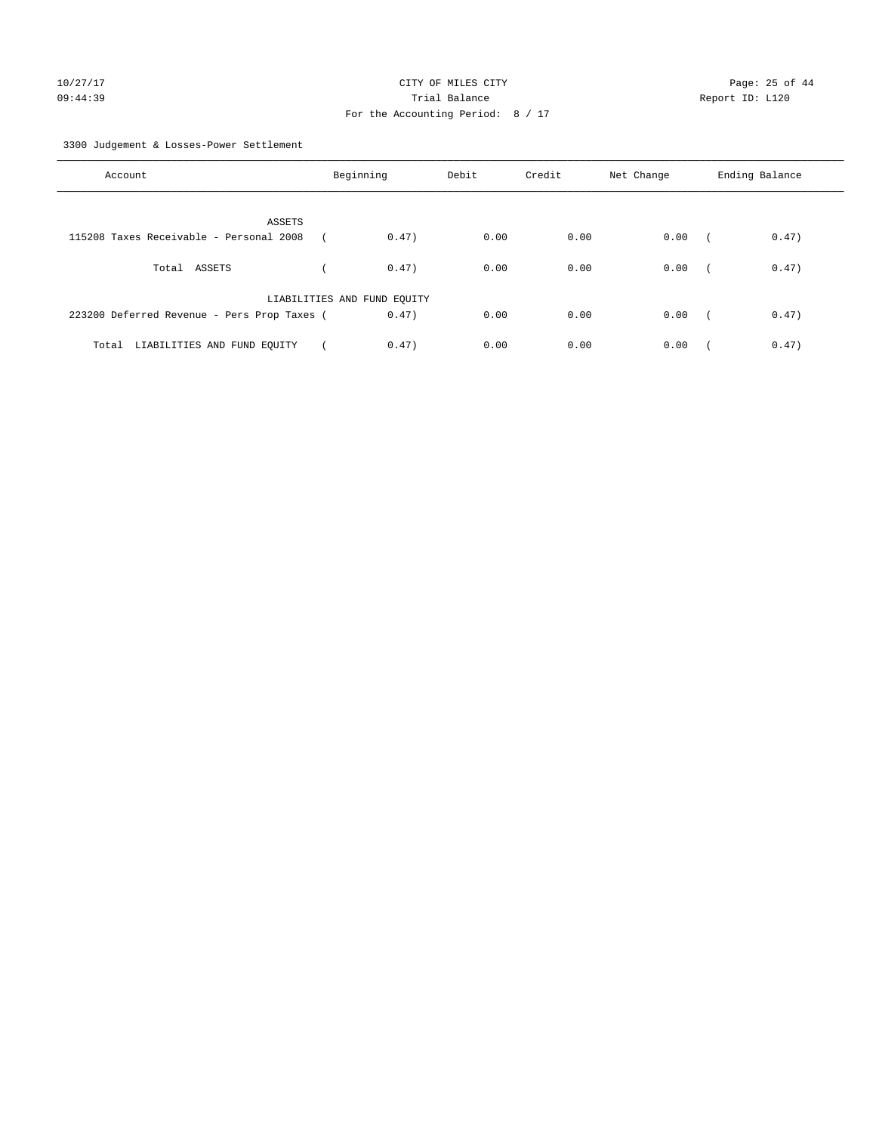3300 Judgement & Losses-Power Settlement

| Account                                     | Beginning                   |       | Debit | Credit | Net Change | Ending Balance |       |
|---------------------------------------------|-----------------------------|-------|-------|--------|------------|----------------|-------|
| ASSETS                                      |                             |       |       |        |            |                |       |
| 115208 Taxes Receivable - Personal 2008     |                             | 0.47) | 0.00  | 0.00   | 0.00       |                | 0.47) |
| Total ASSETS                                |                             | 0.47) | 0.00  | 0.00   | 0.00       | $\sqrt{2}$     | 0.47) |
|                                             | LIABILITIES AND FUND EQUITY |       |       |        |            |                |       |
| 223200 Deferred Revenue - Pers Prop Taxes ( |                             | 0.47) | 0.00  | 0.00   | 0.00       | $\sim$         | 0.47) |
| Total LIABILITIES AND FUND EQUITY           |                             | 0.47) | 0.00  | 0.00   | 0.00       |                | 0.47) |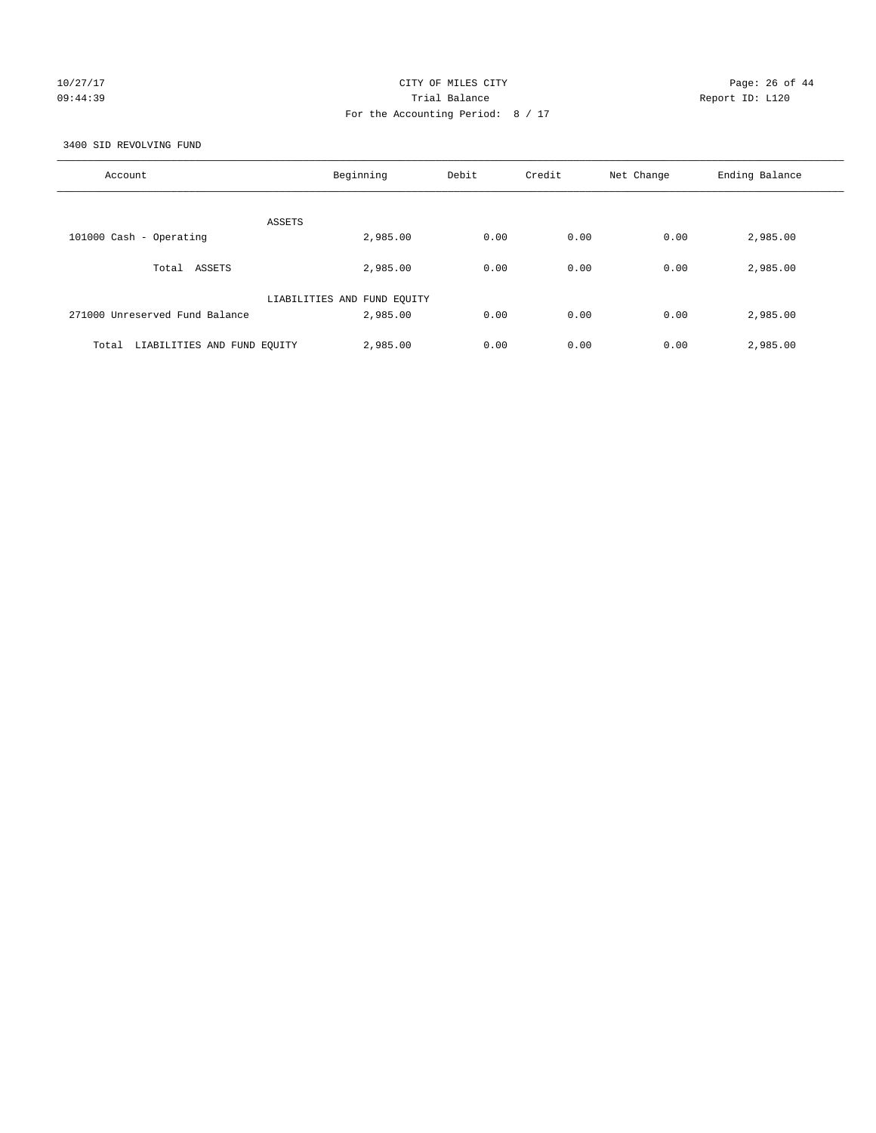# 10/27/17 Page: 26 of 44 09:44:39 Trial Balance Report ID: L120 For the Accounting Period: 8 / 17

3400 SID REVOLVING FUND

| Account                              | Beginning                   | Debit | Credit | Net Change | Ending Balance |
|--------------------------------------|-----------------------------|-------|--------|------------|----------------|
| ASSETS                               |                             |       |        |            |                |
| 101000 Cash - Operating              | 2,985.00                    | 0.00  | 0.00   | 0.00       | 2,985.00       |
| ASSETS<br>Total                      | 2,985.00                    | 0.00  | 0.00   | 0.00       | 2,985.00       |
|                                      | LIABILITIES AND FUND EQUITY |       |        |            |                |
| 271000 Unreserved Fund Balance       | 2,985.00                    | 0.00  | 0.00   | 0.00       | 2,985.00       |
| LIABILITIES AND FUND EQUITY<br>Total | 2,985.00                    | 0.00  | 0.00   | 0.00       | 2,985.00       |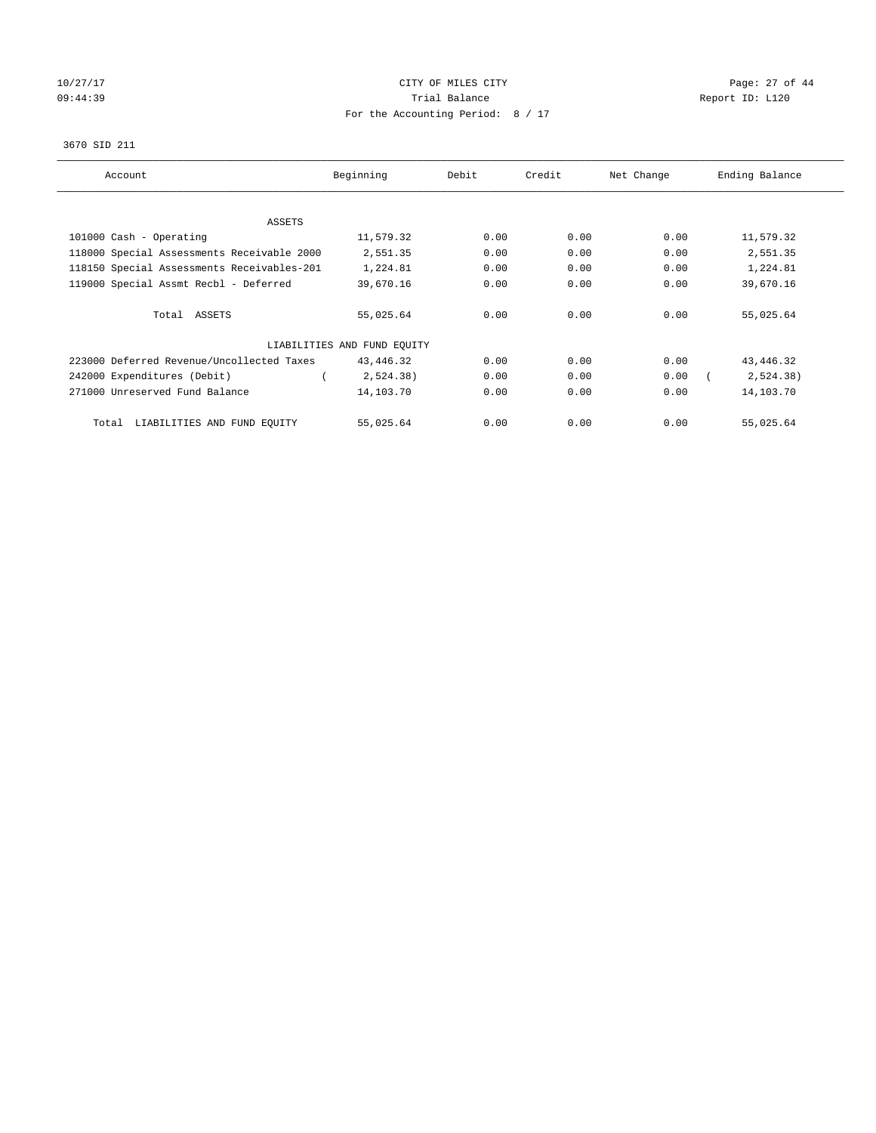# 10/27/17 Page: 27 of 44 09:44:39 Report ID: L120 For the Accounting Period: 8 / 17

#### 3670 SID 211

| Account                                    | Beginning                   | Debit | Credit | Net Change | Ending Balance |
|--------------------------------------------|-----------------------------|-------|--------|------------|----------------|
|                                            |                             |       |        |            |                |
| ASSETS                                     |                             |       |        |            |                |
| 101000 Cash - Operating                    | 11,579.32                   | 0.00  | 0.00   | 0.00       | 11,579.32      |
| 118000 Special Assessments Receivable 2000 | 2,551.35                    | 0.00  | 0.00   | 0.00       | 2,551.35       |
| 118150 Special Assessments Receivables-201 | 1,224.81                    | 0.00  | 0.00   | 0.00       | 1,224.81       |
| 119000 Special Assmt Recbl - Deferred      | 39,670.16                   | 0.00  | 0.00   | 0.00       | 39,670.16      |
| Total ASSETS                               | 55,025.64                   | 0.00  | 0.00   | 0.00       | 55,025.64      |
|                                            | LIABILITIES AND FUND EQUITY |       |        |            |                |
| 223000 Deferred Revenue/Uncollected Taxes  | 43,446.32                   | 0.00  | 0.00   | 0.00       | 43, 446.32     |
| 242000 Expenditures (Debit)                | 2,524.38)                   | 0.00  | 0.00   | 0.00       | 2,524.38)      |
| 271000 Unreserved Fund Balance             | 14,103.70                   | 0.00  | 0.00   | 0.00       | 14,103.70      |
| LIABILITIES AND FUND EQUITY<br>Total       | 55,025.64                   | 0.00  | 0.00   | 0.00       | 55,025.64      |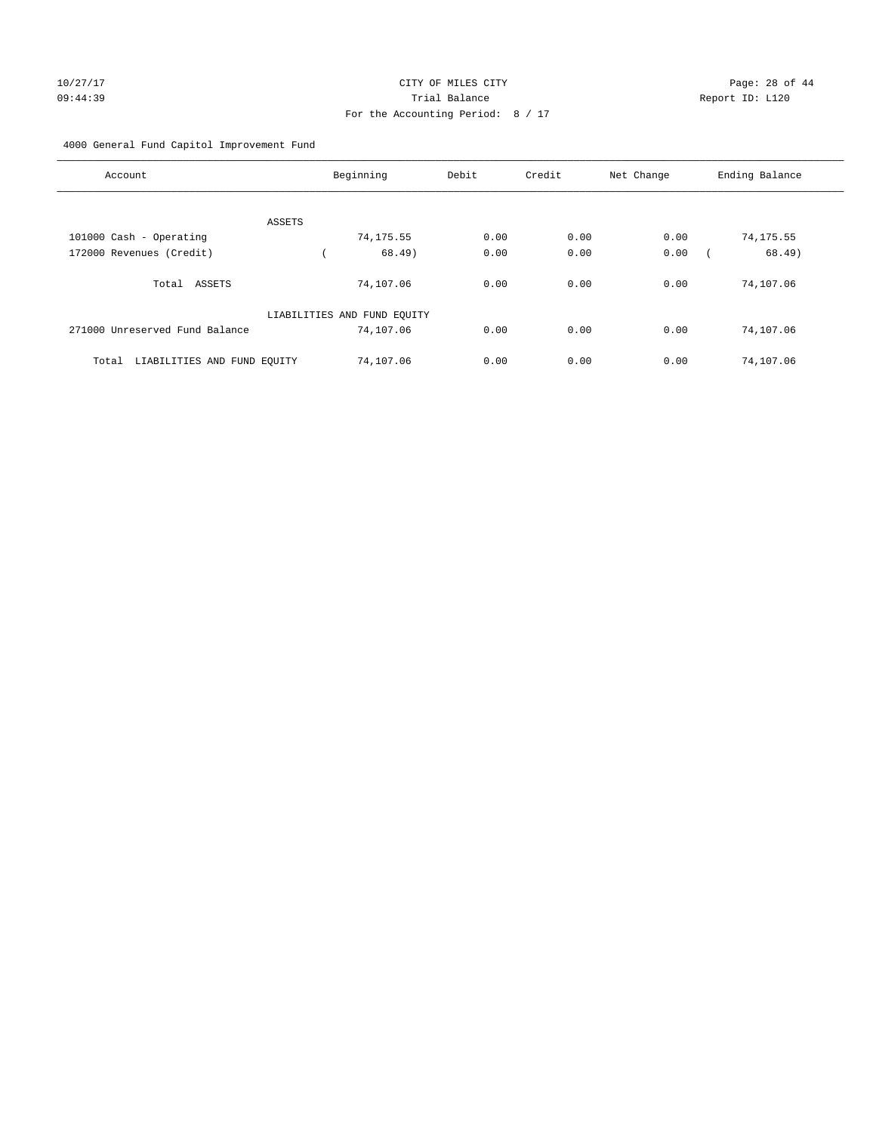#### 4000 General Fund Capitol Improvement Fund

| Account                              | Beginning                   | Debit | Credit | Net Change | Ending Balance |
|--------------------------------------|-----------------------------|-------|--------|------------|----------------|
|                                      |                             |       |        |            |                |
| ASSETS<br>101000 Cash - Operating    | 74,175.55                   | 0.00  | 0.00   | 0.00       | 74,175.55      |
| 172000 Revenues (Credit)             | 68.49)                      | 0.00  | 0.00   | 0.00       | 68.49)         |
|                                      |                             |       |        |            |                |
| Total ASSETS                         | 74,107.06                   | 0.00  | 0.00   | 0.00       | 74,107.06      |
|                                      | LIABILITIES AND FUND EQUITY |       |        |            |                |
| 271000 Unreserved Fund Balance       | 74,107.06                   | 0.00  | 0.00   | 0.00       | 74,107.06      |
| LIABILITIES AND FUND EQUITY<br>Total | 74,107.06                   | 0.00  | 0.00   | 0.00       | 74,107.06      |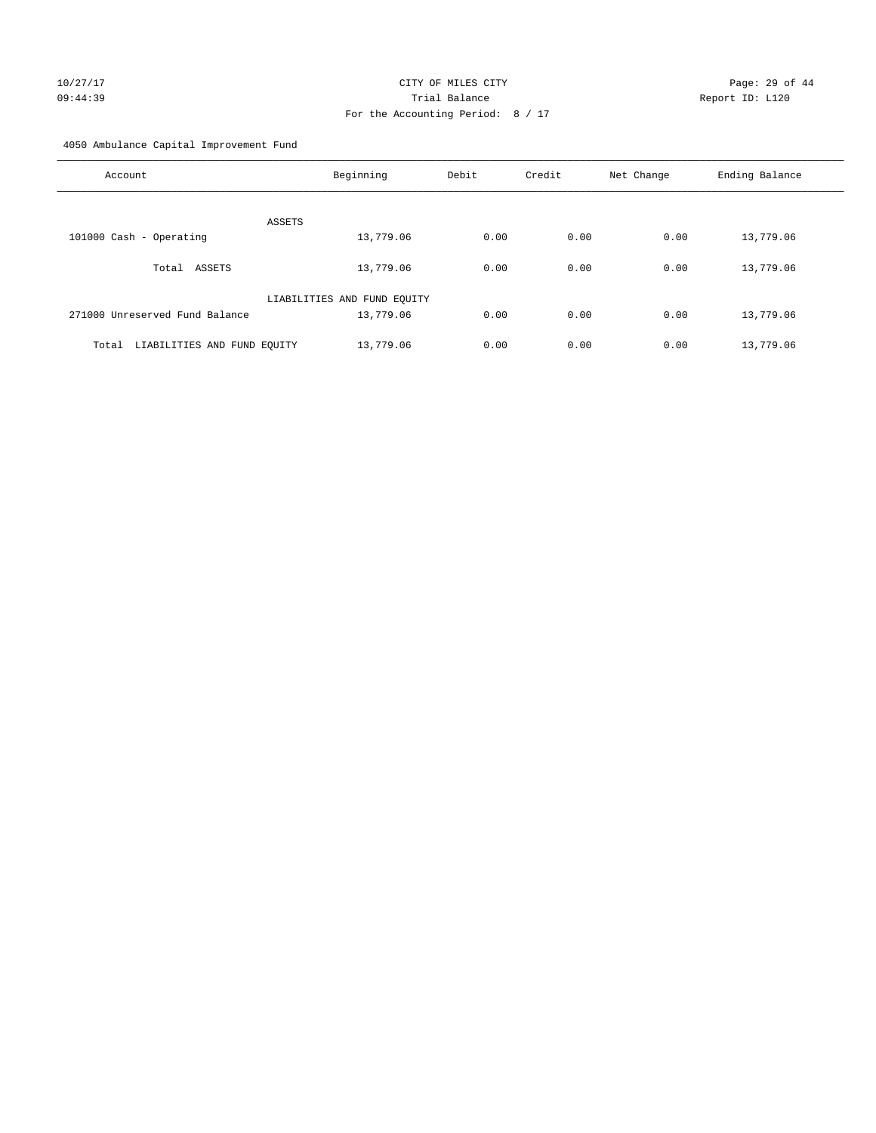# 10/27/17 Page: 29 of 44 09:44:39 Trial Balance Report ID: L120 For the Accounting Period: 8 / 17

4050 Ambulance Capital Improvement Fund

| Account                              | Beginning                   | Debit | Credit | Net Change | Ending Balance |
|--------------------------------------|-----------------------------|-------|--------|------------|----------------|
| ASSETS                               |                             |       |        |            |                |
| 101000 Cash - Operating              | 13,779.06                   | 0.00  | 0.00   | 0.00       | 13,779.06      |
| ASSETS<br>Total                      | 13,779.06                   | 0.00  | 0.00   | 0.00       | 13,779.06      |
|                                      | LIABILITIES AND FUND EQUITY |       |        |            |                |
| 271000 Unreserved Fund Balance       | 13,779.06                   | 0.00  | 0.00   | 0.00       | 13,779.06      |
| LIABILITIES AND FUND EQUITY<br>Total | 13,779.06                   | 0.00  | 0.00   | 0.00       | 13,779.06      |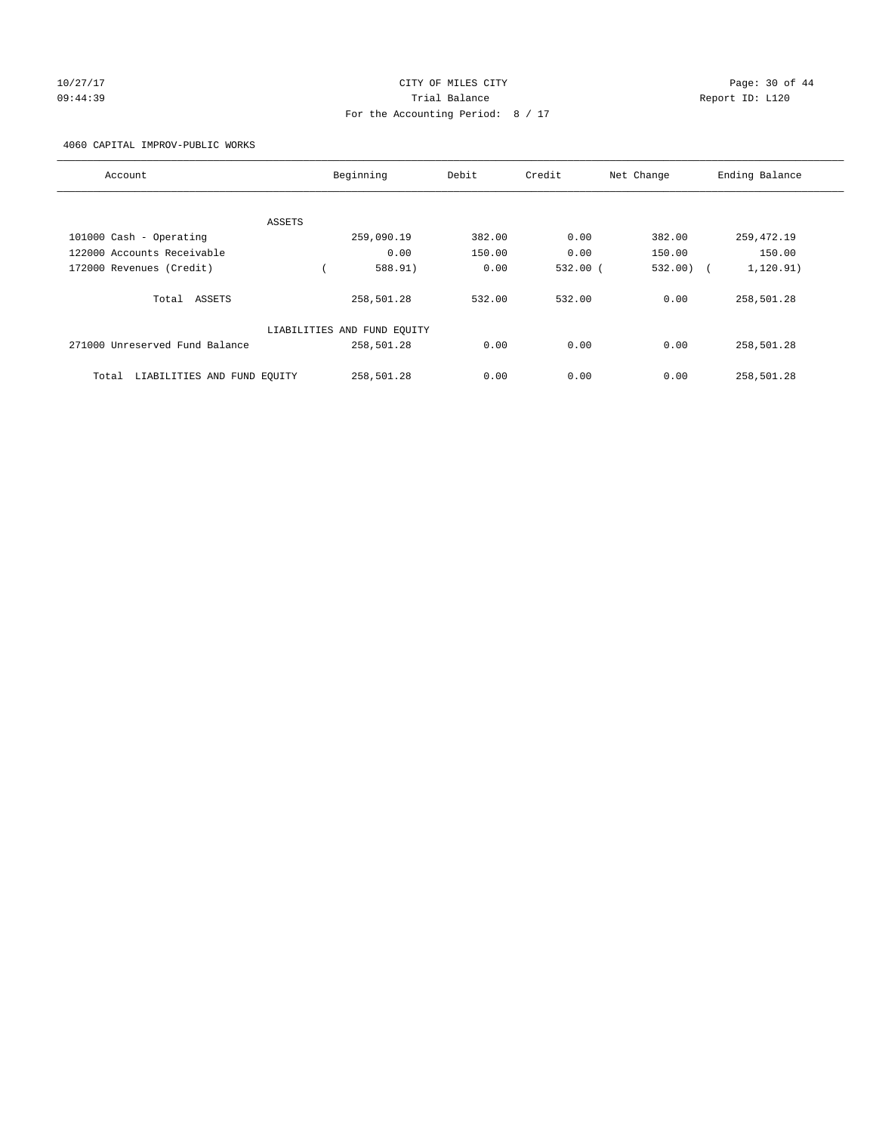#### 10/27/17 Page: 30 of 44 09:44:39 Trial Balance Report ID: L120 For the Accounting Period: 8 / 17

4060 CAPITAL IMPROV-PUBLIC WORKS

| Account                              | Beginning                   | Debit  | Credit       | Net Change | Ending Balance           |
|--------------------------------------|-----------------------------|--------|--------------|------------|--------------------------|
|                                      |                             |        |              |            |                          |
| ASSETS                               |                             |        |              |            |                          |
| 101000 Cash - Operating              | 259,090.19                  | 382.00 | 0.00         | 382.00     | 259, 472.19              |
| 122000 Accounts Receivable           | 0.00                        | 150.00 | 0.00         | 150.00     | 150.00                   |
| 172000 Revenues (Credit)             | 588.91)                     | 0.00   | $532.00$ $($ | 532.00)    | 1, 120.91)<br>$\sqrt{2}$ |
| Total ASSETS                         | 258,501.28                  | 532.00 | 532.00       | 0.00       | 258,501.28               |
|                                      | LIABILITIES AND FUND EQUITY |        |              |            |                          |
| 271000 Unreserved Fund Balance       | 258,501.28                  | 0.00   | 0.00         | 0.00       | 258,501.28               |
| LIABILITIES AND FUND EQUITY<br>Total | 258,501.28                  | 0.00   | 0.00         | 0.00       | 258,501.28               |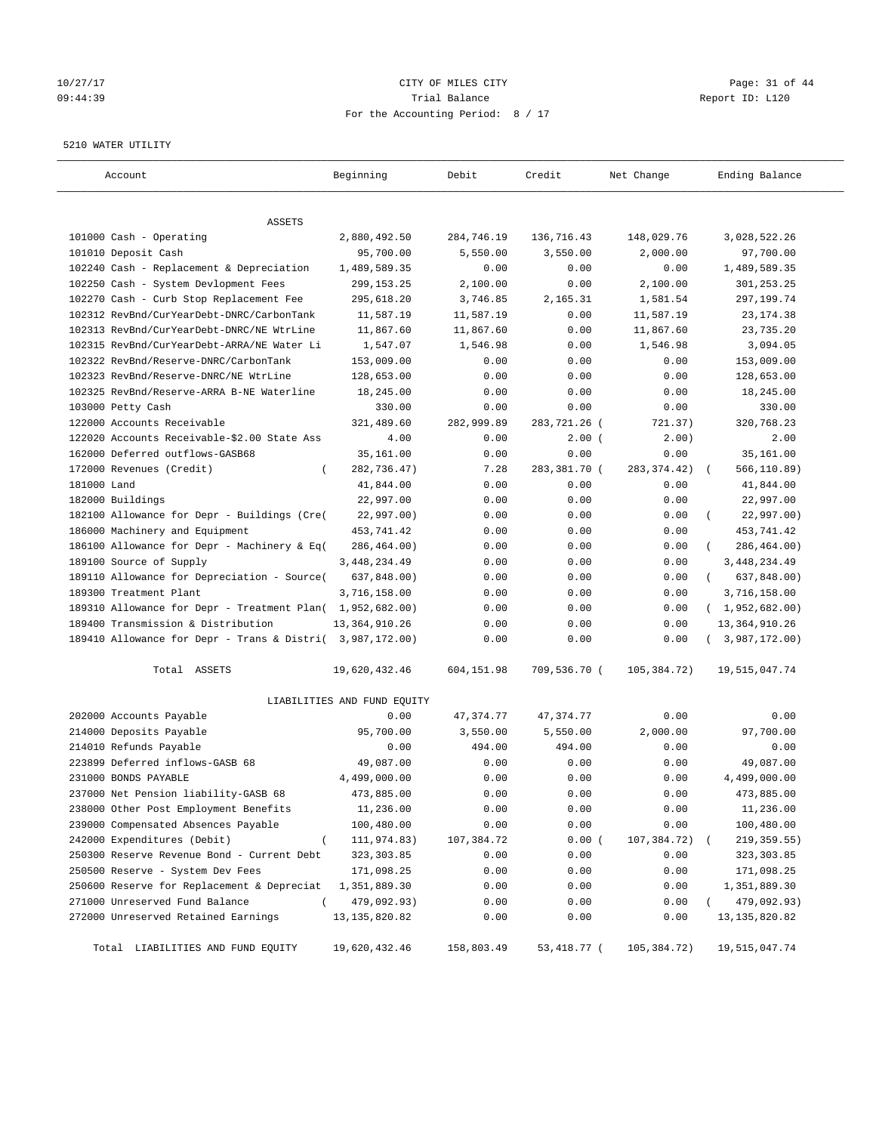# 10/27/17 Page: 31 of 44 09:44:39 Trial Balance Report ID: L120 For the Accounting Period: 8 / 17

#### 5210 WATER UTILITY

| Account                                                   | Beginning                   | Debit      | Credit       | Net Change    | Ending Balance          |
|-----------------------------------------------------------|-----------------------------|------------|--------------|---------------|-------------------------|
| ASSETS                                                    |                             |            |              |               |                         |
| 101000 Cash - Operating                                   | 2,880,492.50                | 284,746.19 | 136,716.43   | 148,029.76    | 3,028,522.26            |
| 101010 Deposit Cash                                       | 95,700.00                   | 5,550.00   | 3,550.00     | 2,000.00      | 97,700.00               |
| 102240 Cash - Replacement & Depreciation                  | 1,489,589.35                | 0.00       | 0.00         | 0.00          | 1,489,589.35            |
| 102250 Cash - System Devlopment Fees                      | 299,153.25                  | 2,100.00   | 0.00         | 2,100.00      | 301,253.25              |
| 102270 Cash - Curb Stop Replacement Fee                   | 295,618.20                  | 3,746.85   | 2,165.31     | 1,581.54      | 297,199.74              |
| 102312 RevBnd/CurYearDebt-DNRC/CarbonTank                 | 11,587.19                   | 11,587.19  | 0.00         | 11,587.19     | 23, 174.38              |
| 102313 RevBnd/CurYearDebt-DNRC/NE WtrLine                 | 11,867.60                   | 11,867.60  | 0.00         | 11,867.60     | 23,735.20               |
| 102315 RevBnd/CurYearDebt-ARRA/NE Water Li                | 1,547.07                    | 1,546.98   | 0.00         | 1,546.98      | 3,094.05                |
| 102322 RevBnd/Reserve-DNRC/CarbonTank                     | 153,009.00                  | 0.00       | 0.00         | 0.00          | 153,009.00              |
| 102323 RevBnd/Reserve-DNRC/NE WtrLine                     | 128,653.00                  | 0.00       | 0.00         | 0.00          | 128,653.00              |
| 102325 RevBnd/Reserve-ARRA B-NE Waterline                 | 18,245.00                   | 0.00       | 0.00         | 0.00          | 18,245.00               |
| 103000 Petty Cash                                         | 330.00                      | 0.00       | 0.00         | 0.00          | 330.00                  |
| 122000 Accounts Receivable                                | 321,489.60                  | 282,999.89 | 283,721.26 ( | 721.37)       | 320,768.23              |
| 122020 Accounts Receivable-\$2.00 State Ass               | 4.00                        | 0.00       | $2.00$ (     | 2.00)         | 2.00                    |
| 162000 Deferred outflows-GASB68                           | 35,161.00                   | 0.00       | 0.00         | 0.00          | 35,161.00               |
| 172000 Revenues (Credit)<br>$\left($                      | 282,736.47)                 | 7.28       | 283,381.70 ( | 283, 374.42)  | 566,110.89)             |
| 181000 Land                                               | 41,844.00                   | 0.00       | 0.00         | 0.00          | 41,844.00               |
| 182000 Buildings                                          | 22,997.00                   | 0.00       | 0.00         | 0.00          | 22,997.00               |
| 182100 Allowance for Depr - Buildings (Cre(               | 22,997.00)                  | 0.00       | 0.00         | 0.00          | 22,997.00)              |
| 186000 Machinery and Equipment                            | 453,741.42                  | 0.00       | 0.00         | 0.00          | 453,741.42              |
| 186100 Allowance for Depr - Machinery & Eq(               | 286,464.00)                 | 0.00       | 0.00         | 0.00          | 286,464.00)             |
| 189100 Source of Supply                                   | 3, 448, 234.49              | 0.00       | 0.00         | 0.00          | 3,448,234.49            |
| 189110 Allowance for Depreciation - Source(               | 637,848.00)                 | 0.00       | 0.00         | 0.00          | 637,848.00)<br>$\left($ |
| 189300 Treatment Plant                                    | 3,716,158.00                | 0.00       | 0.00         | 0.00          | 3,716,158.00            |
| 189310 Allowance for Depr - Treatment Plan( 1,952,682.00) |                             | 0.00       | 0.00         | 0.00          | (1,952,682.00)          |
| 189400 Transmission & Distribution                        | 13, 364, 910.26             | 0.00       | 0.00         | 0.00          | 13, 364, 910.26         |
| 189410 Allowance for Depr - Trans & Distri( 3,987,172.00) |                             | 0.00       | 0.00         | 0.00          | (3,987,172.00)          |
| Total ASSETS                                              | 19,620,432.46               | 604,151.98 | 709,536.70 ( | 105,384.72)   | 19,515,047.74           |
|                                                           | LIABILITIES AND FUND EQUITY |            |              |               |                         |
| 202000 Accounts Payable                                   | 0.00                        | 47,374.77  | 47, 374. 77  | 0.00          | 0.00                    |
| 214000 Deposits Payable                                   | 95,700.00                   | 3,550.00   | 5,550.00     | 2,000.00      | 97,700.00               |
| 214010 Refunds Payable                                    | 0.00                        | 494.00     | 494.00       | 0.00          | 0.00                    |
| 223899 Deferred inflows-GASB 68                           | 49,087.00                   | 0.00       | 0.00         | 0.00          | 49,087.00               |
| 231000 BONDS PAYABLE                                      | 4,499,000.00                | 0.00       | 0.00         | 0.00          | 4,499,000.00            |
| 237000 Net Pension liability-GASB 68                      | 473,885.00                  | 0.00       | 0.00         | 0.00          | 473,885.00              |
| 238000 Other Post Employment Benefits                     | 11,236.00                   | 0.00       | 0.00         | 0.00          | 11,236.00               |
| 239000 Compensated Absences Payable                       | 100,480.00                  | 0.00       | 0.00         | 0.00          | 100,480.00              |
| 242000 Expenditures (Debit)<br>$\overline{(\ }$           | 111,974.83)                 | 107,384.72 | 0.00(        | 107,384.72)   | 219, 359.55)            |
| 250300 Reserve Revenue Bond - Current Debt                | 323, 303.85                 | 0.00       | 0.00         | 0.00          | 323, 303.85             |
| 250500 Reserve - System Dev Fees                          | 171,098.25                  | 0.00       | 0.00         | 0.00          | 171,098.25              |
| 250600 Reserve for Replacement & Depreciat                | 1,351,889.30                | 0.00       | 0.00         | 0.00          | 1,351,889.30            |
| 271000 Unreserved Fund Balance<br>$\left($                | 479,092.93)                 | 0.00       | 0.00         | 0.00          | 479,092.93)             |
| 272000 Unreserved Retained Earnings                       | 13, 135, 820.82             | 0.00       | 0.00         | 0.00          | 13, 135, 820.82         |
| Total LIABILITIES AND FUND EQUITY                         | 19,620,432.46               | 158,803.49 | 53,418.77 (  | 105, 384. 72) | 19,515,047.74           |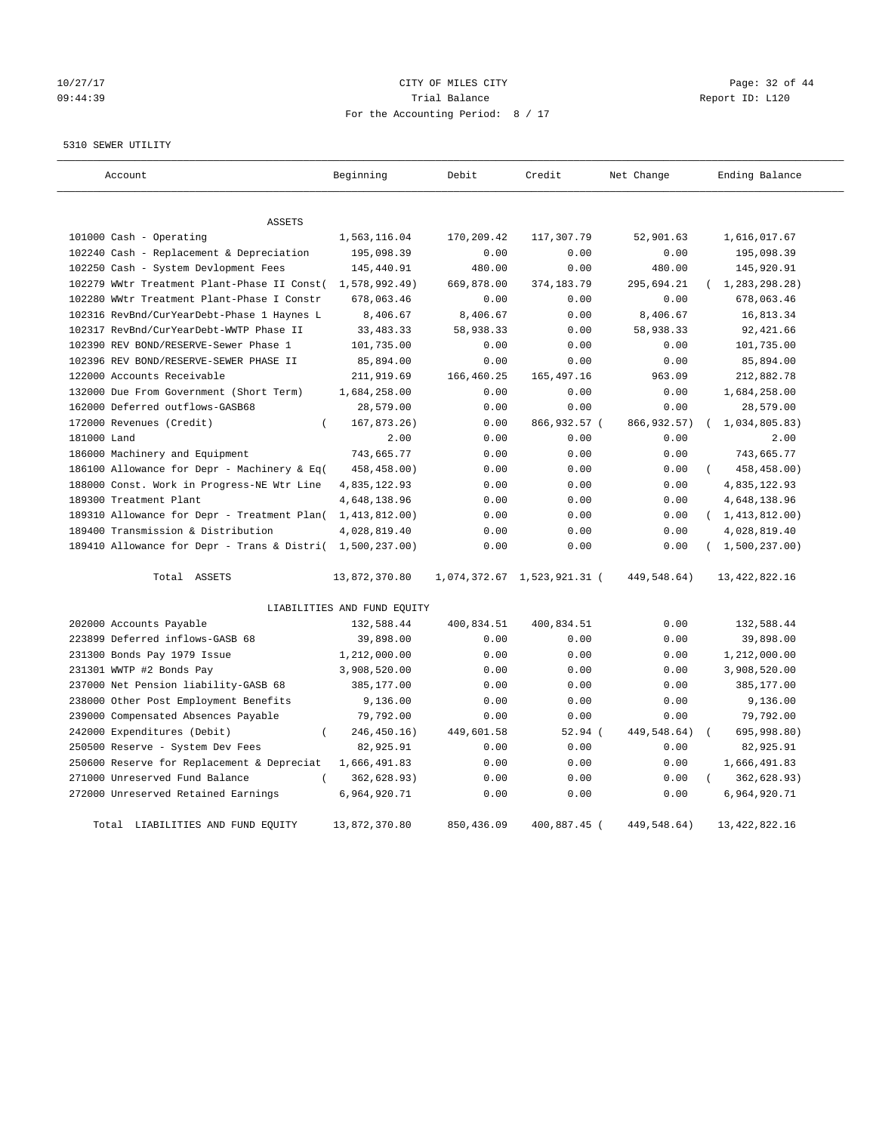# 10/27/17 Page: 32 of 44 09:44:39 Trial Balance Report ID: L120 For the Accounting Period: 8 / 17

#### 5310 SEWER UTILITY

| Account                                                   | Beginning                   | Debit      | Credit                      | Net Change   | Ending Balance   |
|-----------------------------------------------------------|-----------------------------|------------|-----------------------------|--------------|------------------|
| <b>ASSETS</b>                                             |                             |            |                             |              |                  |
| 101000 Cash - Operating                                   | 1,563,116.04                | 170,209.42 | 117,307.79                  | 52,901.63    | 1,616,017.67     |
| 102240 Cash - Replacement & Depreciation                  | 195,098.39                  | 0.00       | 0.00                        | 0.00         | 195,098.39       |
| 102250 Cash - System Devlopment Fees                      | 145,440.91                  | 480.00     | 0.00                        | 480.00       | 145,920.91       |
| 102279 WWtr Treatment Plant-Phase II Const(               | 1,578,992.49)               | 669,878.00 | 374,183.79                  | 295,694.21   | 1,283,298.28)    |
| 102280 WWtr Treatment Plant-Phase I Constr                | 678,063.46                  | 0.00       | 0.00                        | 0.00         | 678,063.46       |
| 102316 RevBnd/CurYearDebt-Phase 1 Haynes L                | 8,406.67                    | 8,406.67   | 0.00                        | 8,406.67     | 16,813.34        |
| 102317 RevBnd/CurYearDebt-WWTP Phase II                   | 33, 483. 33                 | 58,938.33  | 0.00                        | 58,938.33    | 92, 421.66       |
| 102390 REV BOND/RESERVE-Sewer Phase 1                     | 101,735.00                  | 0.00       | 0.00                        | 0.00         | 101,735.00       |
| 102396 REV BOND/RESERVE-SEWER PHASE II                    | 85,894.00                   | 0.00       | 0.00                        | 0.00         | 85,894.00        |
| 122000 Accounts Receivable                                | 211,919.69                  | 166,460.25 | 165, 497. 16                | 963.09       | 212,882.78       |
| 132000 Due From Government (Short Term)                   | 1,684,258.00                | 0.00       | 0.00                        | 0.00         | 1,684,258.00     |
| 162000 Deferred outflows-GASB68                           | 28,579.00                   | 0.00       | 0.00                        | 0.00         | 28,579.00        |
| 172000 Revenues (Credit)<br>$\left($                      | 167,873.26)                 | 0.00       | 866,932.57 (                | 866, 932.57) | 1,034,805.83)    |
| 181000 Land                                               | 2.00                        | 0.00       | 0.00                        | 0.00         | 2.00             |
| 186000 Machinery and Equipment                            | 743,665.77                  | 0.00       | 0.00                        | 0.00         | 743,665.77       |
| 186100 Allowance for Depr - Machinery & Eq(               | 458,458.00)                 | 0.00       | 0.00                        | 0.00         | 458,458.00)      |
| 188000 Const. Work in Progress-NE Wtr Line                | 4,835,122.93                | 0.00       | 0.00                        | 0.00         | 4,835,122.93     |
| 189300 Treatment Plant                                    | 4,648,138.96                | 0.00       | 0.00                        | 0.00         | 4,648,138.96     |
| 189310 Allowance for Depr - Treatment Plan(               | 1,413,812.00)               | 0.00       | 0.00                        | 0.00         | (1, 413, 812.00) |
| 189400 Transmission & Distribution                        | 4,028,819.40                | 0.00       | 0.00                        | 0.00         | 4,028,819.40     |
| 189410 Allowance for Depr - Trans & Distri( 1,500,237.00) |                             | 0.00       | 0.00                        | 0.00         | (1,500,237.00)   |
| Total ASSETS                                              | 13,872,370.80               |            | 1,074,372.67 1,523,921.31 ( | 449,548.64)  | 13, 422, 822.16  |
|                                                           | LIABILITIES AND FUND EQUITY |            |                             |              |                  |
| 202000 Accounts Payable                                   | 132,588.44                  | 400,834.51 | 400,834.51                  | 0.00         | 132,588.44       |
| 223899 Deferred inflows-GASB 68                           | 39,898.00                   | 0.00       | 0.00                        | 0.00         | 39,898.00        |
| 231300 Bonds Pay 1979 Issue                               | 1,212,000.00                | 0.00       | 0.00                        | 0.00         | 1,212,000.00     |
| 231301 WWTP #2 Bonds Pay                                  | 3,908,520.00                | 0.00       | 0.00                        | 0.00         | 3,908,520.00     |
| 237000 Net Pension liability-GASB 68                      | 385,177.00                  | 0.00       | 0.00                        | 0.00         | 385,177.00       |
| 238000 Other Post Employment Benefits                     | 9,136.00                    | 0.00       | 0.00                        | 0.00         | 9,136.00         |
| 239000 Compensated Absences Payable                       | 79,792.00                   | 0.00       | 0.00                        | 0.00         | 79,792.00        |
| 242000 Expenditures (Debit)<br>$\overline{(\ }$           | 246,450.16)                 | 449,601.58 | $52.94$ (                   | 449,548.64)  | 695,998.80)      |
| 250500 Reserve - System Dev Fees                          | 82,925.91                   | 0.00       | 0.00                        | 0.00         | 82,925.91        |
| 250600 Reserve for Replacement & Depreciat                | 1,666,491.83                | 0.00       | 0.00                        | 0.00         | 1,666,491.83     |
| 271000 Unreserved Fund Balance                            | 362,628.93)                 | 0.00       | 0.00                        | 0.00         | 362,628.93)      |
| 272000 Unreserved Retained Earnings                       | 6,964,920.71                | 0.00       | 0.00                        | 0.00         | 6,964,920.71     |
| Total LIABILITIES AND FUND EOUITY                         | 13,872,370.80               | 850,436.09 | 400,887.45 (                | 449,548.64)  | 13, 422, 822. 16 |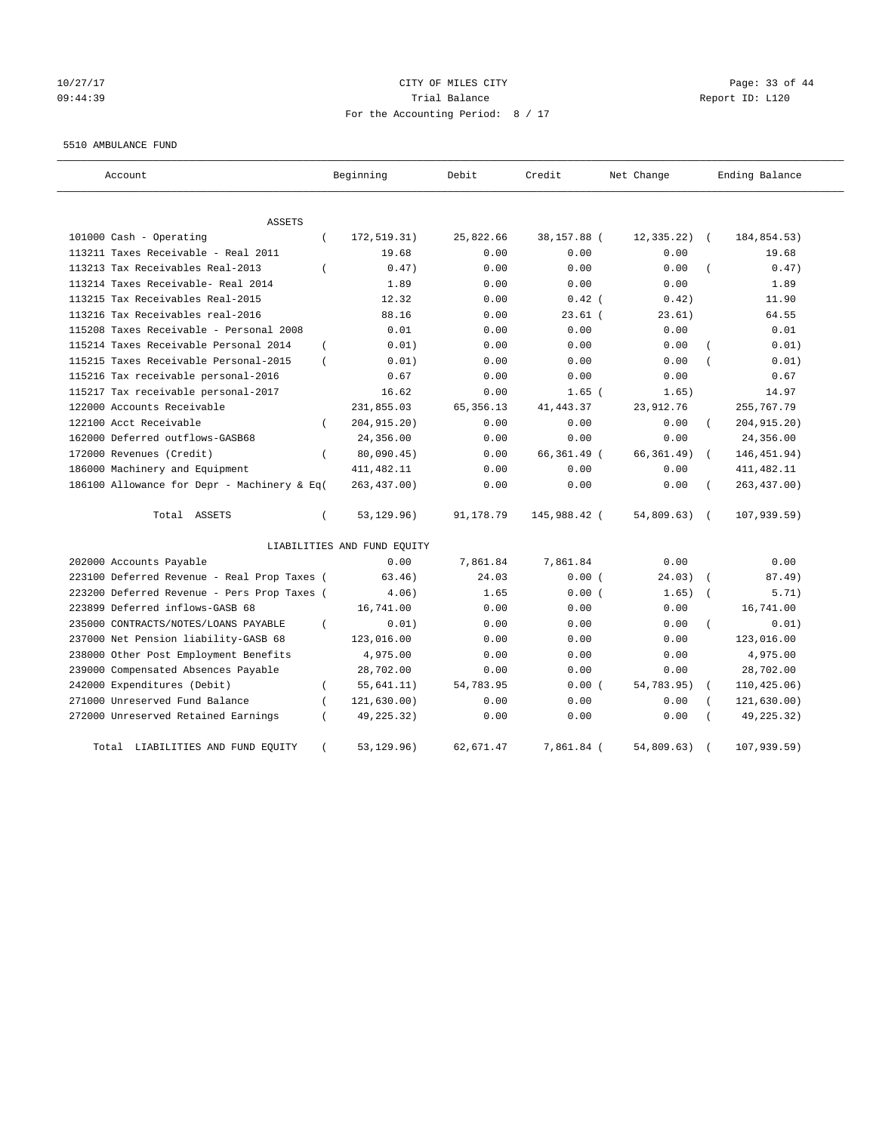#### 10/27/17 Page: 33 of 44 09:44:39 Trial Balance Report ID: L120 For the Accounting Period: 8 / 17

#### 5510 AMBULANCE FUND

| Account                                           | Beginning                   | Debit      | Credit       | Net Change  | Ending Balance             |
|---------------------------------------------------|-----------------------------|------------|--------------|-------------|----------------------------|
| ASSETS                                            |                             |            |              |             |                            |
| 101000 Cash - Operating<br>$\overline{(\ }$       | 172,519.31)                 | 25,822.66  | 38,157.88 (  | 12,335.22)  | 184,854.53)<br>$\sqrt{ }$  |
| 113211 Taxes Receivable - Real 2011               | 19.68                       | 0.00       | 0.00         | 0.00        | 19.68                      |
| 113213 Tax Receivables Real-2013<br>$\left($      | 0.47)                       | 0.00       | 0.00         | 0.00        | 0.47)                      |
| 113214 Taxes Receivable- Real 2014                | 1.89                        | 0.00       | 0.00         | 0.00        | 1.89                       |
| 113215 Tax Receivables Real-2015                  | 12.32                       | 0.00       | $0.42$ (     | 0.42)       | 11.90                      |
| 113216 Tax Receivables real-2016                  | 88.16                       | 0.00       | $23.61$ (    | 23.61)      | 64.55                      |
| 115208 Taxes Receivable - Personal 2008           | 0.01                        | 0.00       | 0.00         | 0.00        | 0.01                       |
| 115214 Taxes Receivable Personal 2014<br>$\left($ | 0.01)                       | 0.00       | 0.00         | 0.00        | 0.01)                      |
| 115215 Taxes Receivable Personal-2015<br>$\left($ | 0.01)                       | 0.00       | 0.00         | 0.00        | 0.01)                      |
| 115216 Tax receivable personal-2016               | 0.67                        | 0.00       | 0.00         | 0.00        | 0.67                       |
| 115217 Tax receivable personal-2017               | 16.62                       | 0.00       | $1.65$ (     | 1.65)       | 14.97                      |
| 122000 Accounts Receivable                        | 231,855.03                  | 65, 356.13 | 41, 443.37   | 23,912.76   | 255,767.79                 |
| 122100 Acct Receivable                            | 204, 915. 20)               | 0.00       | 0.00         | 0.00        | 204, 915. 20)              |
| 162000 Deferred outflows-GASB68                   | 24,356.00                   | 0.00       | 0.00         | 0.00        | 24,356.00                  |
| 172000 Revenues (Credit)<br>$\left($              | 80,090.45)                  | 0.00       | 66,361.49 (  | 66, 361.49) | 146, 451.94)               |
| 186000 Machinery and Equipment                    | 411, 482.11                 | 0.00       | 0.00         | 0.00        | 411, 482.11                |
| 186100 Allowance for Depr - Machinery & Eq(       | 263, 437.00)                | 0.00       | 0.00         | 0.00        | 263, 437.00)               |
| Total ASSETS<br>$\left($                          | 53, 129. 96)                | 91,178.79  | 145,988.42 ( | 54,809.63)  | 107, 939.59)<br>$\sqrt{ }$ |
|                                                   | LIABILITIES AND FUND EQUITY |            |              |             |                            |
| 202000 Accounts Payable                           | 0.00                        | 7,861.84   | 7,861.84     | 0.00        | 0.00                       |
| 223100 Deferred Revenue - Real Prop Taxes (       | 63.46)                      | 24.03      | 0.00(        | 24.03)      | 87.49)                     |
| 223200 Deferred Revenue - Pers Prop Taxes (       | 4.06)                       | 1.65       | 0.00(        | 1.65)       | 5.71)                      |
| 223899 Deferred inflows-GASB 68                   | 16,741.00                   | 0.00       | 0.00         | 0.00        | 16,741.00                  |
| 235000 CONTRACTS/NOTES/LOANS PAYABLE<br>$\left($  | 0.01)                       | 0.00       | 0.00         | 0.00        | 0.01)                      |
| 237000 Net Pension liability-GASB 68              | 123,016.00                  | 0.00       | 0.00         | 0.00        | 123,016.00                 |
| 238000 Other Post Employment Benefits             | 4,975.00                    | 0.00       | 0.00         | 0.00        | 4,975.00                   |
| 239000 Compensated Absences Payable               | 28,702.00                   | 0.00       | 0.00         | 0.00        | 28,702.00                  |
| 242000 Expenditures (Debit)<br>$\left($           | 55,641.11)                  | 54,783.95  | 0.00(        | 54,783.95)  | 110, 425.06)               |
| 271000 Unreserved Fund Balance                    | 121,630.00)                 | 0.00       | 0.00         | 0.00        | 121,630.00)                |
| 272000 Unreserved Retained Earnings               | 49,225.32)                  | 0.00       | 0.00         | 0.00        | 49, 225. 32)               |
| LIABILITIES AND FUND EQUITY<br>Total<br>$\left($  | 53, 129. 96)                | 62,671.47  | 7,861.84 (   | 54,809.63)  | 107, 939.59)               |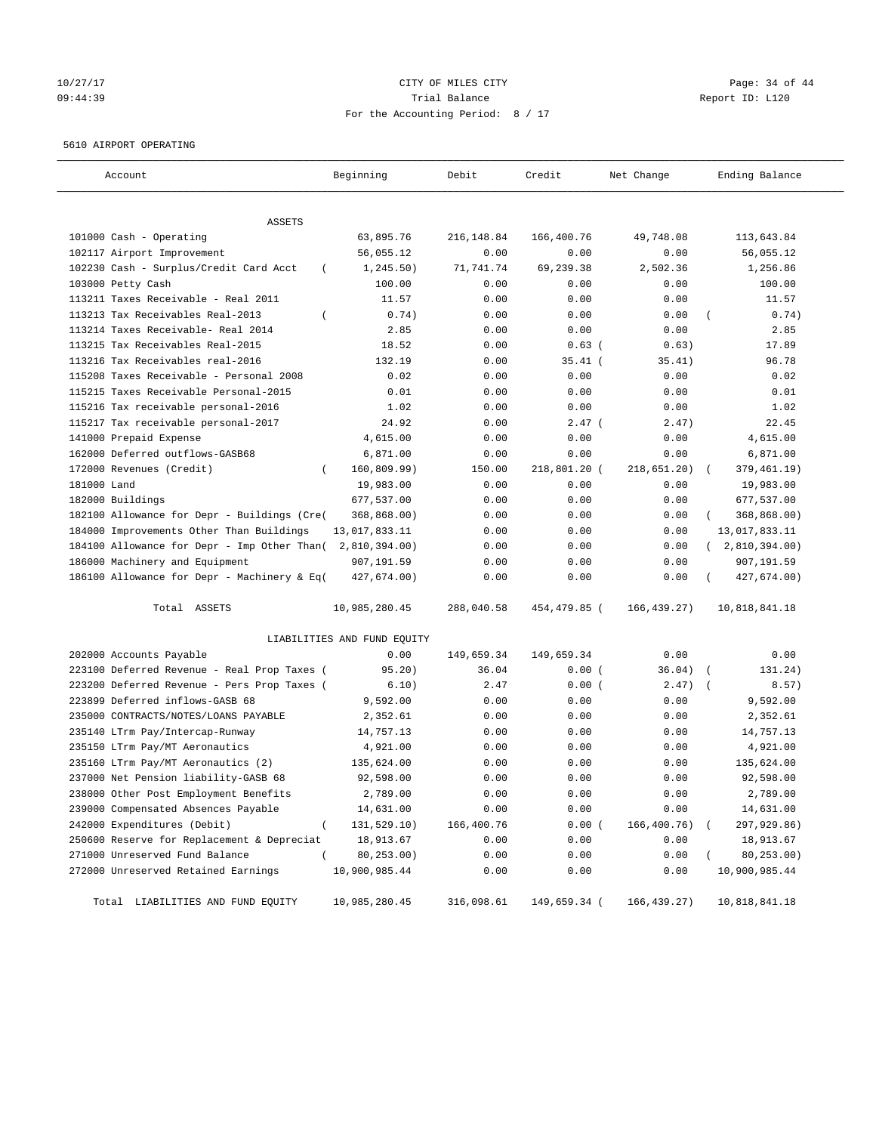#### 10/27/17 Page: 34 of 44 09:44:39 Trial Balance Report ID: L120 For the Accounting Period: 8 / 17

#### 5610 AIRPORT OPERATING

| Account                                            | Beginning                   | Debit       | Credit       | Net Change    | Ending Balance |
|----------------------------------------------------|-----------------------------|-------------|--------------|---------------|----------------|
| ASSETS                                             |                             |             |              |               |                |
| 101000 Cash - Operating                            | 63,895.76                   | 216, 148.84 | 166,400.76   | 49,748.08     | 113,643.84     |
| 102117 Airport Improvement                         | 56,055.12                   | 0.00        | 0.00         | 0.00          | 56,055.12      |
| 102230 Cash - Surplus/Credit Card Acct<br>$\left($ | 1, 245.50)                  | 71,741.74   | 69,239.38    | 2,502.36      | 1,256.86       |
| 103000 Petty Cash                                  | 100.00                      | 0.00        | 0.00         | 0.00          | 100.00         |
| 113211 Taxes Receivable - Real 2011                | 11.57                       | 0.00        | 0.00         | 0.00          | 11.57          |
| 113213 Tax Receivables Real-2013                   | 0.74)                       | 0.00        | 0.00         | 0.00          | 0.74)          |
| 113214 Taxes Receivable- Real 2014                 | 2.85                        | 0.00        | 0.00         | 0.00          | 2.85           |
| 113215 Tax Receivables Real-2015                   | 18.52                       | 0.00        | $0.63$ (     | 0.63)         | 17.89          |
| 113216 Tax Receivables real-2016                   | 132.19                      | 0.00        | $35.41$ (    | 35.41)        | 96.78          |
| 115208 Taxes Receivable - Personal 2008            | 0.02                        | 0.00        | 0.00         | 0.00          | 0.02           |
| 115215 Taxes Receivable Personal-2015              | 0.01                        | 0.00        | 0.00         | 0.00          | 0.01           |
| 115216 Tax receivable personal-2016                | 1.02                        | 0.00        | 0.00         | 0.00          | 1.02           |
| 115217 Tax receivable personal-2017                | 24.92                       | 0.00        | $2.47$ (     | 2.47)         | 22.45          |
| 141000 Prepaid Expense                             | 4,615.00                    | 0.00        | 0.00         | 0.00          | 4,615.00       |
| 162000 Deferred outflows-GASB68                    | 6,871.00                    | 0.00        | 0.00         | 0.00          | 6,871.00       |
| 172000 Revenues (Credit)<br>$\left($               | 160, 809.99)                | 150.00      | 218,801.20 ( | 218,651.20)   | 379, 461.19)   |
| 181000 Land                                        | 19,983.00                   | 0.00        | 0.00         | 0.00          | 19,983.00      |
| 182000 Buildings                                   | 677,537.00                  | 0.00        | 0.00         | 0.00          | 677,537.00     |
| 182100 Allowance for Depr - Buildings (Cre(        | 368,868.00)                 | 0.00        | 0.00         | 0.00          | 368,868.00)    |
| 184000 Improvements Other Than Buildings           | 13,017,833.11               | 0.00        | 0.00         | 0.00          | 13,017,833.11  |
| 184100 Allowance for Depr - Imp Other Than(        | 2,810,394.00)               | 0.00        | 0.00         | 0.00          | 2,810,394.00)  |
| 186000 Machinery and Equipment                     | 907,191.59                  | 0.00        | 0.00         | 0.00          | 907,191.59     |
| 186100 Allowance for Depr - Machinery & Eq(        | 427,674.00)                 | 0.00        | 0.00         | 0.00          | 427,674.00)    |
| Total ASSETS                                       | 10,985,280.45               | 288,040.58  | 454,479.85 ( | 166, 439. 27) | 10,818,841.18  |
|                                                    | LIABILITIES AND FUND EQUITY |             |              |               |                |
| 202000 Accounts Payable                            | 0.00                        | 149,659.34  | 149,659.34   | 0.00          | 0.00           |
| 223100 Deferred Revenue - Real Prop Taxes (        | 95.20)                      | 36.04       | 0.00(        | 36.04)        | 131.24)        |
| 223200 Deferred Revenue - Pers Prop Taxes (        | 6.10)                       | 2.47        | 0.00(        | 2.47)         | 8.57)          |
| 223899 Deferred inflows-GASB 68                    | 9,592.00                    | 0.00        | 0.00         | 0.00          | 9,592.00       |
| 235000 CONTRACTS/NOTES/LOANS PAYABLE               | 2,352.61                    | 0.00        | 0.00         | 0.00          | 2,352.61       |
| 235140 LTrm Pay/Intercap-Runway                    | 14,757.13                   | 0.00        | 0.00         | 0.00          | 14,757.13      |
| 235150 LTrm Pay/MT Aeronautics                     | 4,921.00                    | 0.00        | 0.00         | 0.00          | 4,921.00       |
| 235160 LTrm Pay/MT Aeronautics (2)                 | 135,624.00                  | 0.00        | 0.00         | 0.00          | 135,624.00     |
| 237000 Net Pension liability-GASB 68               | 92,598.00                   | 0.00        | 0.00         | 0.00          | 92,598.00      |
| 238000 Other Post Employment Benefits              | 2,789.00                    | 0.00        | 0.00         | 0.00          | 2,789.00       |
| 239000 Compensated Absences Payable                | 14,631.00                   | 0.00        | 0.00         | 0.00          | 14,631.00      |
| 242000 Expenditures (Debit)<br>$\overline{(\ }$    | 131,529.10)                 | 166,400.76  | 0.00(        | 166,400.76)   | 297,929.86)    |
| 250600 Reserve for Replacement & Depreciat         | 18,913.67                   | 0.00        | 0.00         | 0.00          | 18,913.67      |
| 271000 Unreserved Fund Balance                     | 80,253.00)                  | 0.00        | 0.00         | 0.00          | 80, 253.00)    |
| 272000 Unreserved Retained Earnings                | 10,900,985.44               | 0.00        | 0.00         | 0.00          | 10,900,985.44  |
| Total LIABILITIES AND FUND EQUITY                  | 10,985,280.45               | 316,098.61  | 149,659.34 ( | 166,439.27)   | 10,818,841.18  |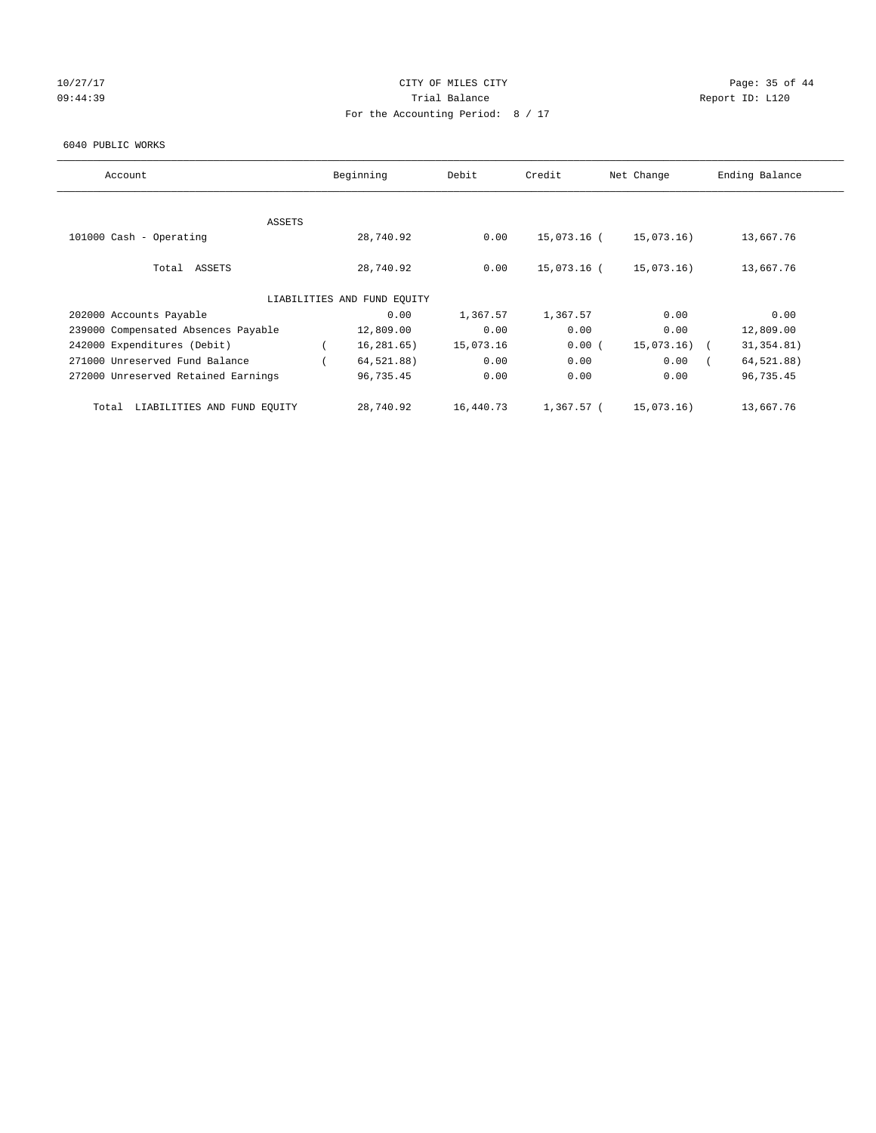# 10/27/17 Page: 35 of 44 09:44:39 Report ID: L120 For the Accounting Period: 8 / 17

#### 6040 PUBLIC WORKS

| Account                              | Beginning                   | Debit     | Credit      | Net Change | Ending Balance |
|--------------------------------------|-----------------------------|-----------|-------------|------------|----------------|
|                                      |                             |           |             |            |                |
|                                      |                             |           |             |            |                |
| ASSETS                               |                             |           |             |            |                |
| 101000 Cash - Operating              | 28,740.92                   | 0.00      | 15,073.16 ( | 15,073.16) | 13,667.76      |
|                                      |                             |           |             |            |                |
| Total ASSETS                         | 28,740.92                   | 0.00      | 15,073.16 ( | 15,073.16) | 13,667.76      |
|                                      |                             |           |             |            |                |
|                                      | LIABILITIES AND FUND EQUITY |           |             |            |                |
| 202000 Accounts Payable              | 0.00                        | 1,367.57  | 1,367.57    | 0.00       | 0.00           |
| 239000 Compensated Absences Payable  | 12,809.00                   | 0.00      | 0.00        | 0.00       | 12,809.00      |
| 242000 Expenditures (Debit)          | 16, 281, 65)                | 15,073.16 | 0.00(       | 15,073.16) | 31, 354.81)    |
| 271000 Unreserved Fund Balance       | 64,521.88)                  | 0.00      | 0.00        | 0.00       | 64,521.88)     |
| 272000 Unreserved Retained Earnings  | 96,735.45                   | 0.00      | 0.00        | 0.00       | 96,735.45      |
|                                      |                             |           |             |            |                |
| LIABILITIES AND FUND EQUITY<br>Total | 28,740.92                   | 16,440.73 | 1,367.57 (  | 15,073.16) | 13,667.76      |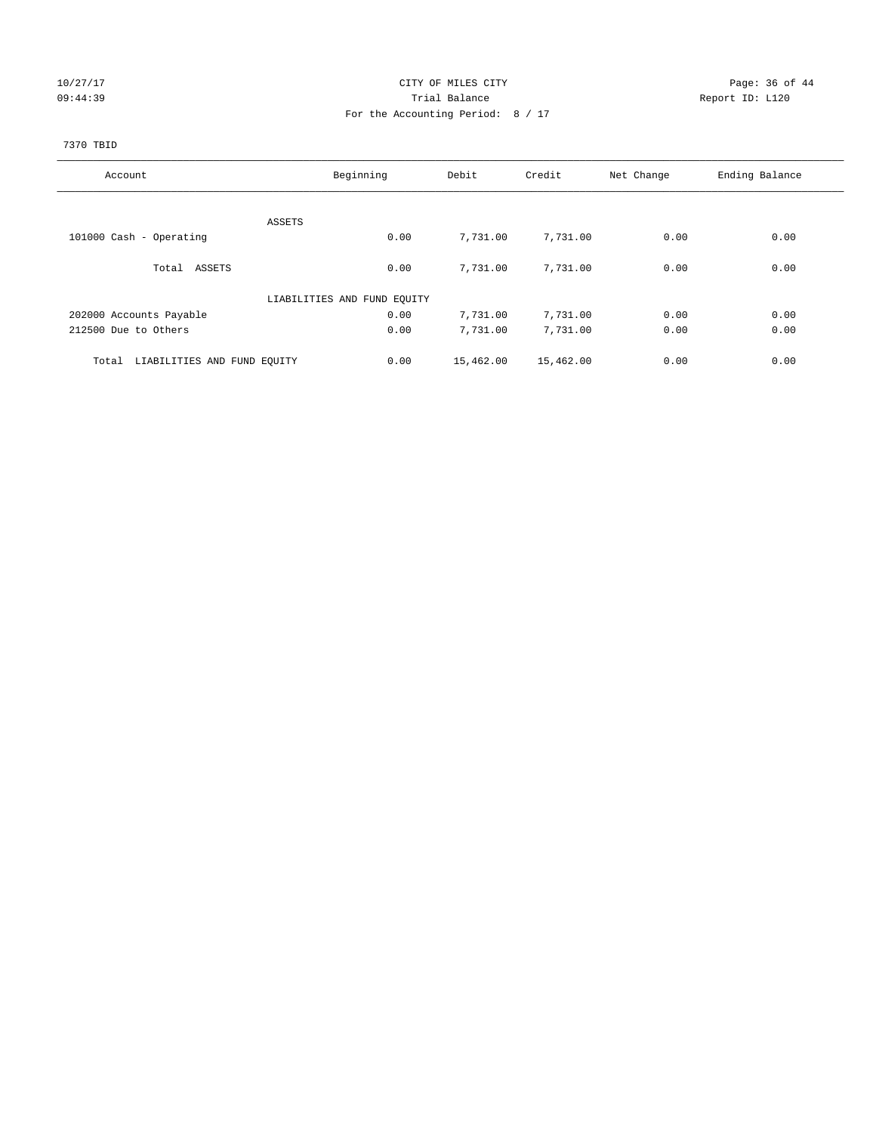# 10/27/17 Page: 36 of 44 09:44:39 Report ID: L120 For the Accounting Period: 8 / 17

## 7370 TBID

| Account                              | Beginning                   | Debit             | Credit    | Net Change | Ending Balance |
|--------------------------------------|-----------------------------|-------------------|-----------|------------|----------------|
|                                      |                             |                   |           |            |                |
|                                      | ASSETS                      |                   |           |            |                |
| 101000 Cash - Operating              |                             | 0.00<br>7,731.00  | 7,731.00  | 0.00       | 0.00           |
| Total ASSETS                         |                             | 0.00<br>7,731.00  | 7,731.00  | 0.00       | 0.00           |
|                                      | LIABILITIES AND FUND EQUITY |                   |           |            |                |
| 202000 Accounts Payable              |                             | 0.00<br>7,731.00  | 7,731.00  | 0.00       | 0.00           |
| 212500 Due to Others                 |                             | 0.00<br>7,731.00  | 7,731.00  | 0.00       | 0.00           |
| LIABILITIES AND FUND EQUITY<br>Total |                             | 15,462.00<br>0.00 | 15,462.00 | 0.00       | 0.00           |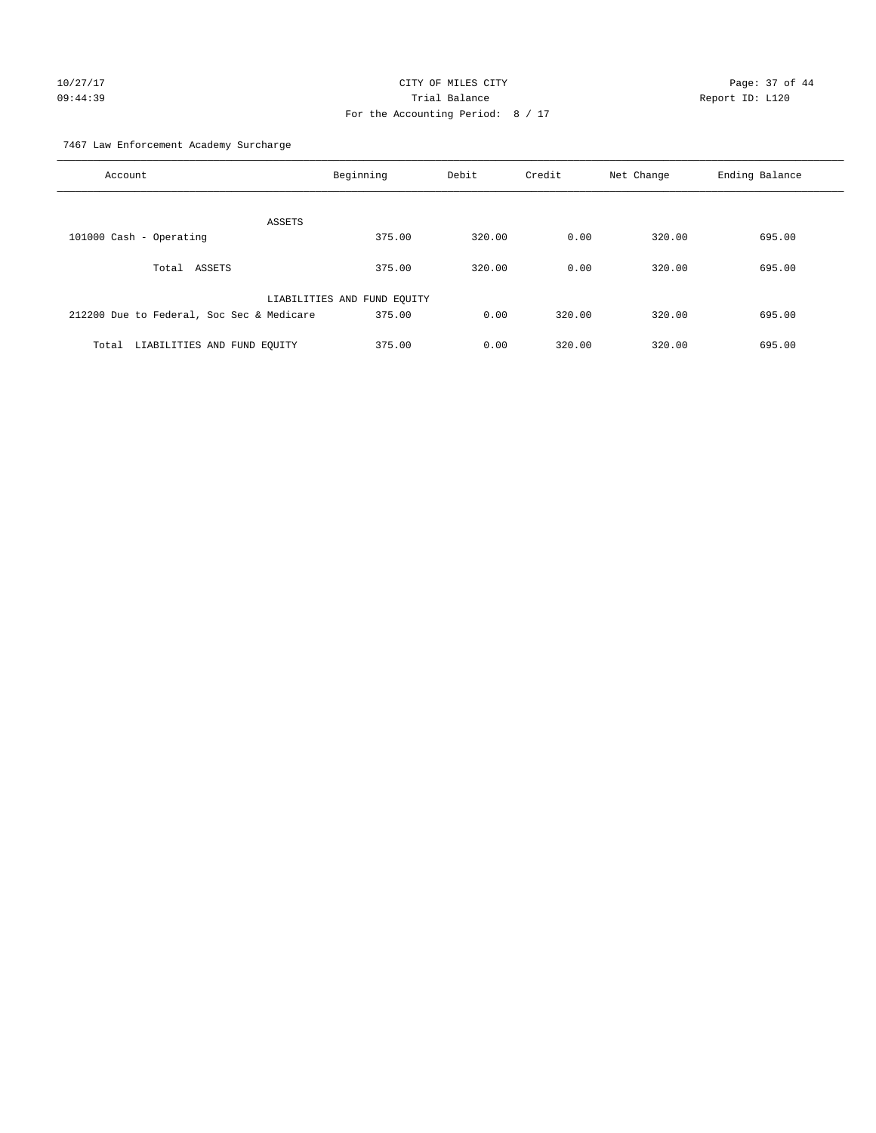# 10/27/17 Page: 37 of 44 09:44:39 Trial Balance Report ID: L120 For the Accounting Period: 8 / 17

7467 Law Enforcement Academy Surcharge

| Account                                   | Beginning                   | Debit  | Credit | Net Change | Ending Balance |
|-------------------------------------------|-----------------------------|--------|--------|------------|----------------|
| ASSETS                                    |                             |        |        |            |                |
| 101000 Cash - Operating                   | 375.00                      | 320.00 | 0.00   | 320.00     | 695.00         |
| ASSETS<br>Total                           | 375.00                      | 320.00 | 0.00   | 320.00     | 695.00         |
|                                           | LIABILITIES AND FUND EQUITY |        |        |            |                |
| 212200 Due to Federal, Soc Sec & Medicare | 375.00                      | 0.00   | 320.00 | 320.00     | 695.00         |
| LIABILITIES AND FUND EQUITY<br>Total      | 375.00                      | 0.00   | 320.00 | 320.00     | 695.00         |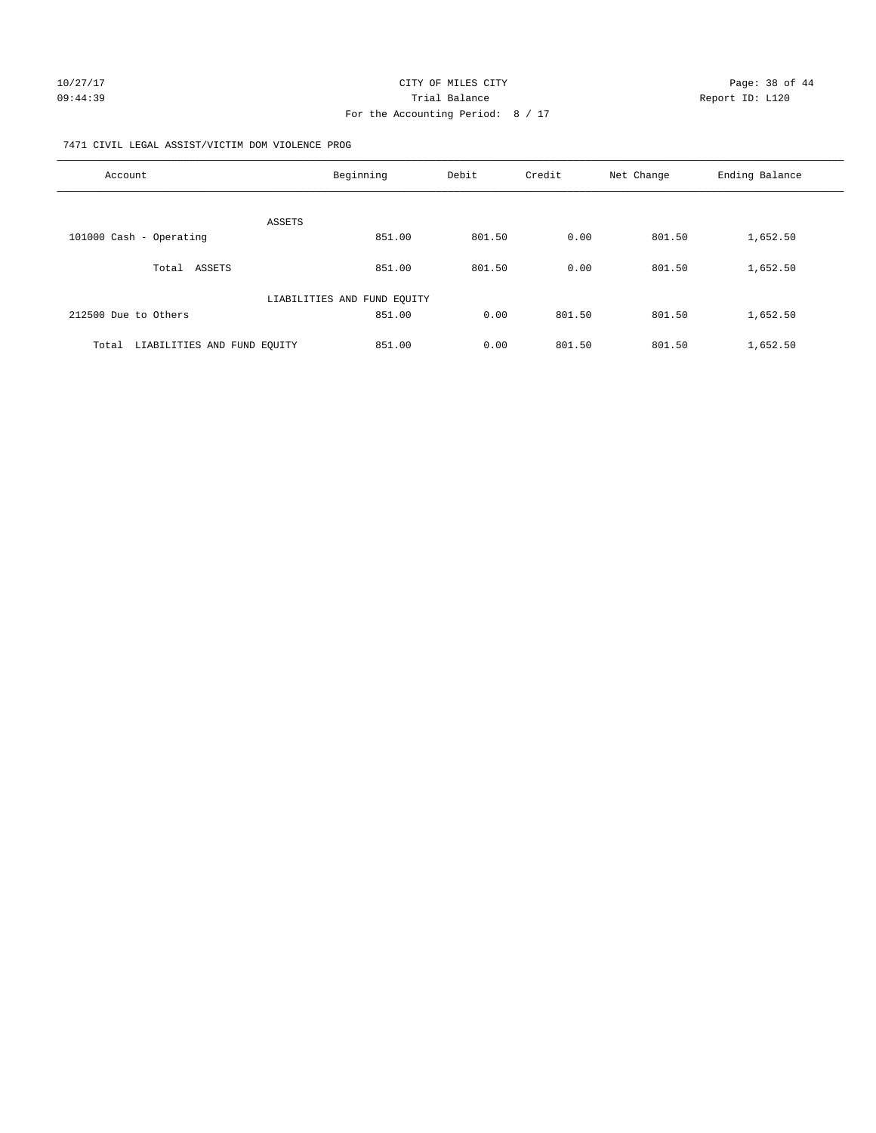#### 7471 CIVIL LEGAL ASSIST/VICTIM DOM VIOLENCE PROG

| Account                              | Beginning                   | Debit  | Credit | Net Change | Ending Balance |
|--------------------------------------|-----------------------------|--------|--------|------------|----------------|
|                                      |                             |        |        |            |                |
| ASSETS                               |                             |        |        |            |                |
| 101000 Cash - Operating              | 851.00                      | 801.50 | 0.00   | 801.50     | 1,652.50       |
| ASSETS<br>Total                      | 851.00                      | 801.50 | 0.00   | 801.50     | 1,652.50       |
|                                      | LIABILITIES AND FUND EQUITY |        |        |            |                |
| 212500 Due to Others                 | 851.00                      | 0.00   | 801.50 | 801.50     | 1,652.50       |
| LIABILITIES AND FUND EQUITY<br>Total | 851.00                      | 0.00   | 801.50 | 801.50     | 1,652.50       |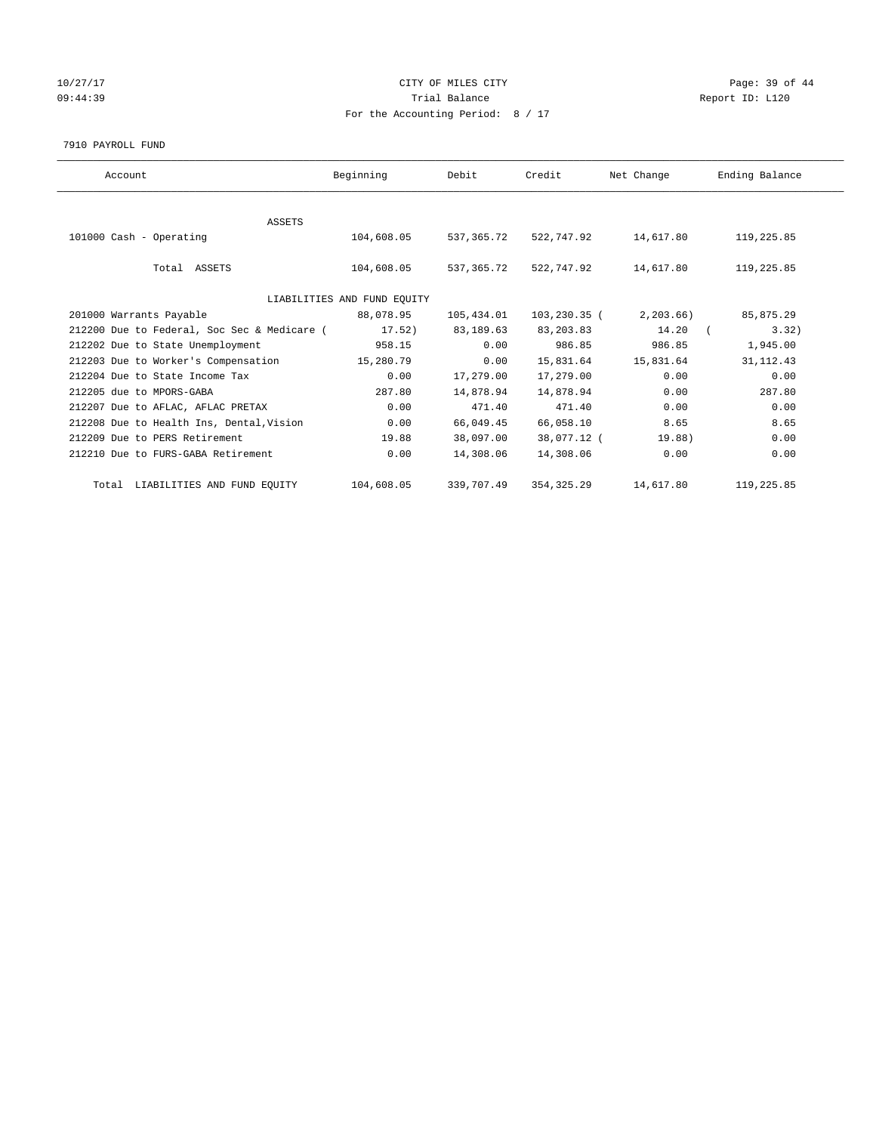# 10/27/17 Page: 39 of 44 09:44:39 Report ID: L120 For the Accounting Period: 8 / 17

#### 7910 PAYROLL FUND

| Account                                     | Beginning                   | Debit      | Credit       | Net Change | Ending Balance |
|---------------------------------------------|-----------------------------|------------|--------------|------------|----------------|
|                                             |                             |            |              |            |                |
| <b>ASSETS</b>                               |                             |            |              |            |                |
| 101000 Cash - Operating                     | 104,608.05                  | 537,365.72 | 522,747.92   | 14,617.80  | 119,225.85     |
|                                             |                             |            |              |            |                |
| Total ASSETS                                | 104,608.05                  | 537,365.72 | 522,747.92   | 14,617.80  | 119,225.85     |
|                                             |                             |            |              |            |                |
|                                             | LIABILITIES AND FUND EQUITY |            |              |            |                |
| 201000 Warrants Payable                     | 88,078.95                   | 105,434.01 | 103,230.35 ( | 2, 203.66  | 85,875.29      |
| 212200 Due to Federal, Soc Sec & Medicare ( | 17.52)                      | 83,189.63  | 83, 203.83   | 14.20      | 3.32)          |
| 212202 Due to State Unemployment            | 958.15                      | 0.00       | 986.85       | 986.85     | 1,945.00       |
| 212203 Due to Worker's Compensation         | 15,280.79                   | 0.00       | 15,831.64    | 15,831.64  | 31, 112.43     |
| 212204 Due to State Income Tax              | 0.00                        | 17,279.00  | 17,279.00    | 0.00       | 0.00           |
| 212205 due to MPORS-GABA                    | 287.80                      | 14,878.94  | 14,878.94    | 0.00       | 287.80         |
| 212207 Due to AFLAC, AFLAC PRETAX           | 0.00                        | 471.40     | 471.40       | 0.00       | 0.00           |
| 212208 Due to Health Ins, Dental, Vision    | 0.00                        | 66,049.45  | 66,058.10    | 8.65       | 8.65           |
| 212209 Due to PERS Retirement               | 19.88                       | 38,097.00  | 38,077.12 (  | 19.88)     | 0.00           |
| 212210 Due to FURS-GABA Retirement          | 0.00                        | 14,308.06  | 14,308.06    | 0.00       | 0.00           |
| Total LIABILITIES AND FUND EQUITY           | 104,608.05                  | 339,707.49 | 354, 325.29  | 14,617.80  | 119,225.85     |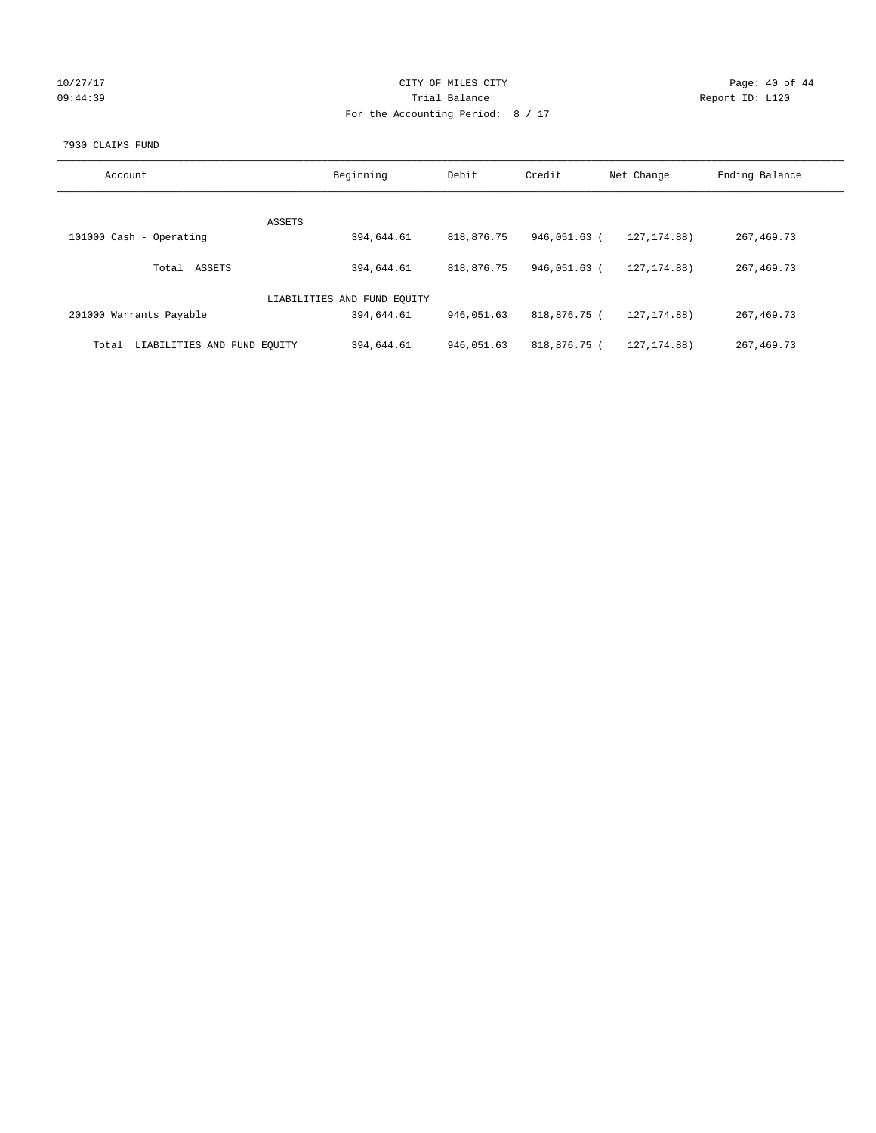| 10/27/17 |  |
|----------|--|
| 09:44:39 |  |

#### CITY OF MILES CITY CONTROL CONTROL CONTROL CITY 09:44:39 Trial Balance Report ID: L120 For the Accounting Period: 8 / 17

#### 7930 CLAIMS FUND

| Account                              | Beginning                   | Debit      | Credit       | Net Change    | Ending Balance |
|--------------------------------------|-----------------------------|------------|--------------|---------------|----------------|
|                                      |                             |            |              |               |                |
| ASSETS                               |                             |            |              |               |                |
| 101000 Cash - Operating              | 394,644.61                  | 818,876.75 | 946,051.63 ( | 127, 174, 88) | 267, 469. 73   |
| ASSETS<br>Total                      | 394,644.61                  | 818,876.75 | 946,051.63 ( | 127, 174, 88) | 267, 469. 73   |
|                                      | LIABILITIES AND FUND EQUITY |            |              |               |                |
| 201000 Warrants Payable              | 394,644.61                  | 946,051.63 | 818,876.75 ( | 127, 174, 88) | 267, 469. 73   |
| LIABILITIES AND FUND EQUITY<br>Total | 394,644.61                  | 946,051.63 | 818,876.75 ( | 127, 174.88)  | 267, 469. 73   |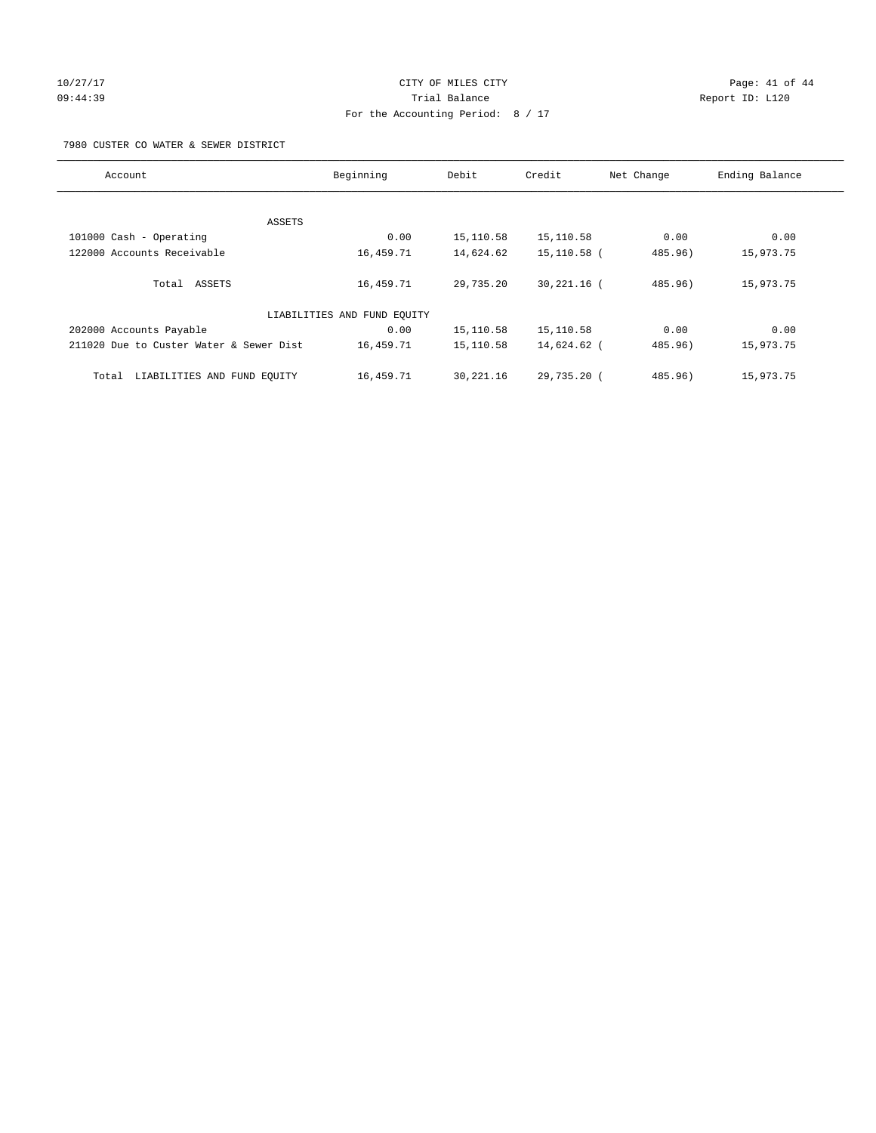# 10/27/17 Page: 41 of 44 09:44:39 Report ID: L120 For the Accounting Period: 8 / 17

7980 CUSTER CO WATER & SEWER DISTRICT

| Account                                 | Beginning                   | Debit     | Credit          | Net Change | Ending Balance |
|-----------------------------------------|-----------------------------|-----------|-----------------|------------|----------------|
|                                         |                             |           |                 |            |                |
|                                         | ASSETS                      |           |                 |            |                |
| 101000 Cash - Operating                 | 0.00                        | 15,110.58 | 15,110.58       | 0.00       | 0.00           |
| 122000 Accounts Receivable              | 16,459.71                   | 14,624.62 | 15,110.58 (     | 485.96)    | 15,973.75      |
| Total ASSETS                            | 16,459.71                   | 29,735.20 | $30, 221, 16$ ( | 485.96)    | 15,973.75      |
|                                         | LIABILITIES AND FUND EQUITY |           |                 |            |                |
| 202000 Accounts Payable                 | 0.00                        | 15,110.58 | 15,110.58       | 0.00       | 0.00           |
| 211020 Due to Custer Water & Sewer Dist | 16,459.71                   | 15,110.58 | 14,624.62 (     | 485.96)    | 15,973.75      |
| LIABILITIES AND FUND EOUITY<br>Total    | 16,459.71                   | 30,221.16 | 29,735.20 (     | 485.96)    | 15,973.75      |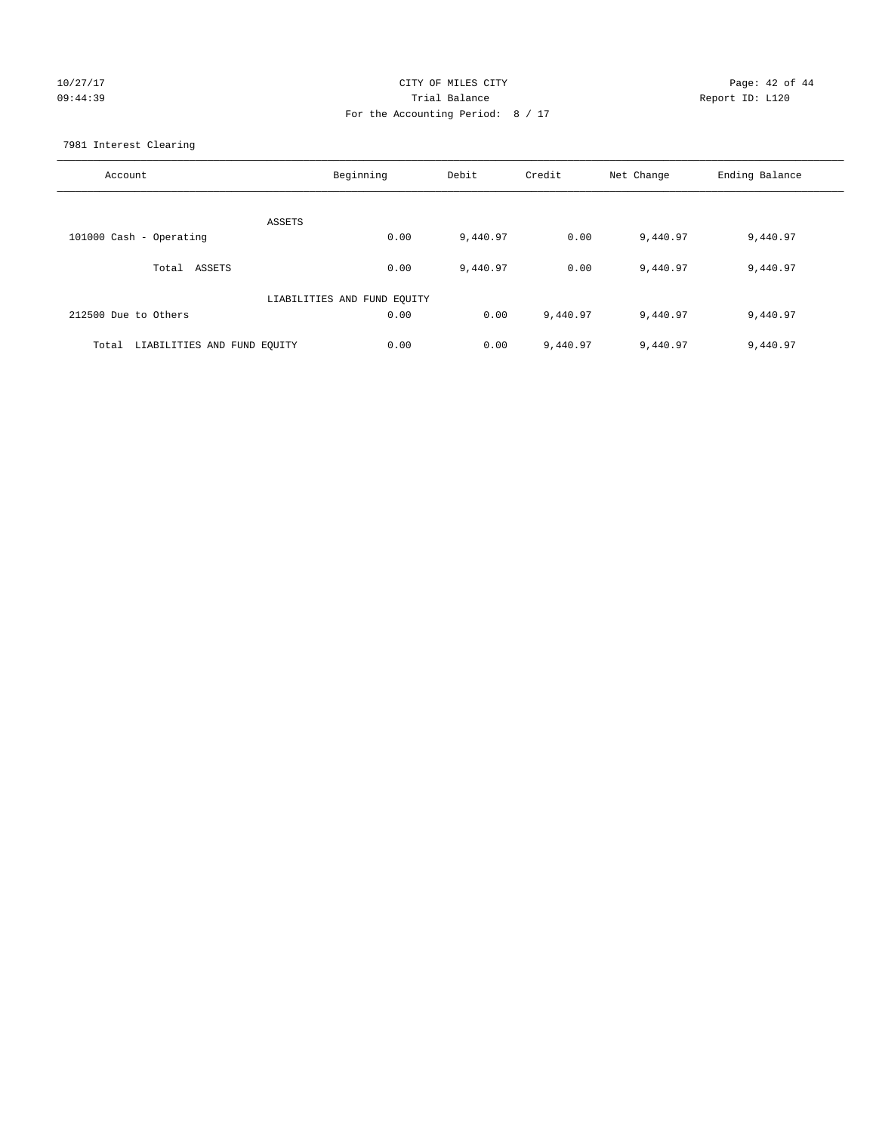# 10/27/17 Page: 42 of 44 09:44:39 Trial Balance Report ID: L120 For the Accounting Period: 8 / 17

7981 Interest Clearing

| Account                           | Beginning                   | Debit    | Credit   | Net Change | Ending Balance |
|-----------------------------------|-----------------------------|----------|----------|------------|----------------|
|                                   | ASSETS                      |          |          |            |                |
| 101000 Cash - Operating           | 0.00                        | 9,440.97 | 0.00     | 9,440.97   | 9,440.97       |
| Total ASSETS                      | 0.00                        | 9,440.97 | 0.00     | 9,440.97   | 9,440.97       |
|                                   | LIABILITIES AND FUND EQUITY |          |          |            |                |
| 212500 Due to Others              | 0.00                        | 0.00     | 9,440.97 | 9,440.97   | 9,440.97       |
| Total LIABILITIES AND FUND EQUITY | 0.00                        | 0.00     | 9,440.97 | 9,440.97   | 9,440.97       |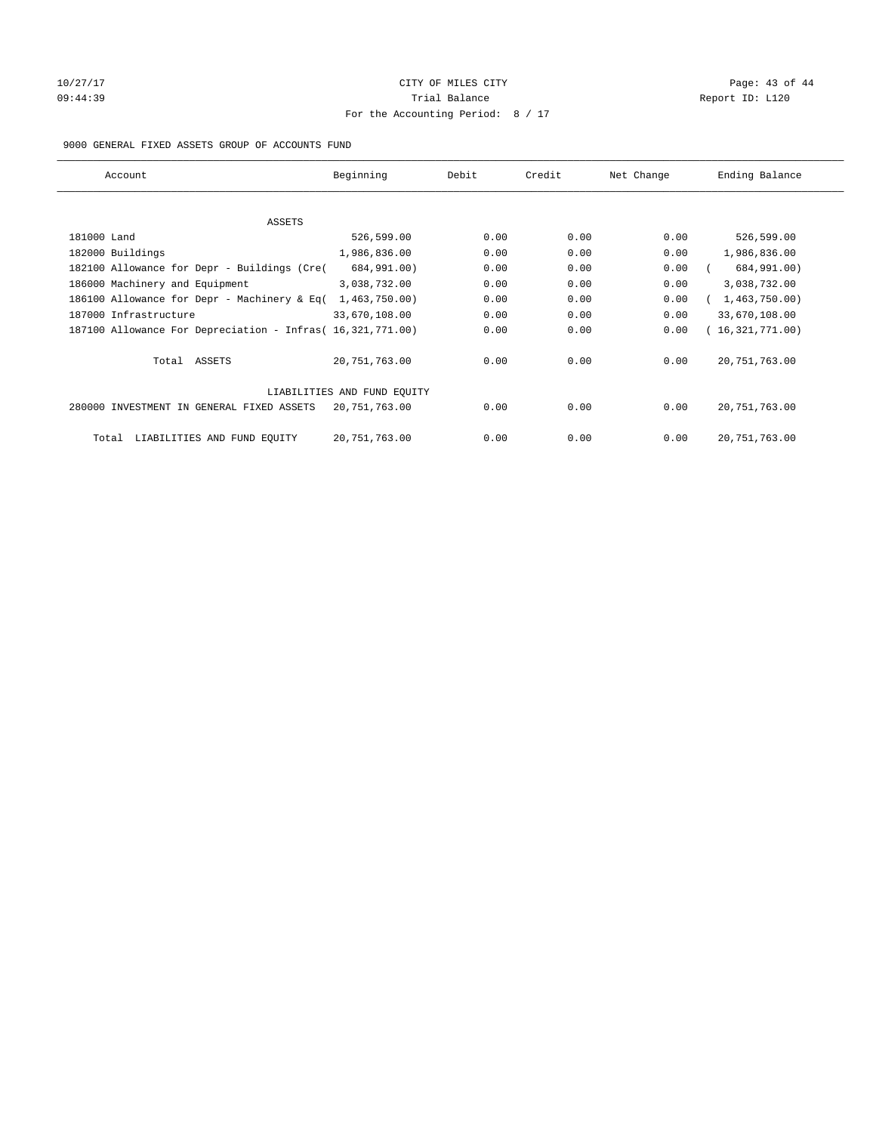## 10/27/17 Page: 43 of 44 09:44:39 Report ID: L120 For the Accounting Period: 8 / 17

#### 9000 GENERAL FIXED ASSETS GROUP OF ACCOUNTS FUND

| Account                                                    | Beginning                   | Debit | Credit | Net Change | Ending Balance  |
|------------------------------------------------------------|-----------------------------|-------|--------|------------|-----------------|
| ASSETS                                                     |                             |       |        |            |                 |
| 181000 Land                                                | 526,599.00                  | 0.00  | 0.00   | 0.00       | 526,599.00      |
| 182000 Buildings                                           | 1,986,836.00                | 0.00  | 0.00   | 0.00       | 1,986,836.00    |
| 182100 Allowance for Depr - Buildings (Cre(                | 684,991.00)                 | 0.00  | 0.00   | 0.00       | 684,991.00)     |
| 186000 Machinery and Equipment                             | 3,038,732.00                | 0.00  | 0.00   | 0.00       | 3,038,732.00    |
| 186100 Allowance for Depr - Machinery & Eq(                | 1,463,750.00                | 0.00  | 0.00   | 0.00       | 1,463,750.00    |
| 187000 Infrastructure                                      | 33,670,108.00               | 0.00  | 0.00   | 0.00       | 33,670,108.00   |
| 187100 Allowance For Depreciation - Infras( 16,321,771.00) |                             | 0.00  | 0.00   | 0.00       | 16,321,771.00)  |
| Total ASSETS                                               | 20, 751, 763.00             | 0.00  | 0.00   | 0.00       | 20, 751, 763.00 |
|                                                            | LIABILITIES AND FUND EQUITY |       |        |            |                 |
| 280000 INVESTMENT IN GENERAL FIXED ASSETS                  | 20, 751, 763.00             | 0.00  | 0.00   | 0.00       | 20, 751, 763.00 |
| LIABILITIES AND FUND EQUITY<br>Total                       | 20, 751, 763.00             | 0.00  | 0.00   | 0.00       | 20, 751, 763.00 |